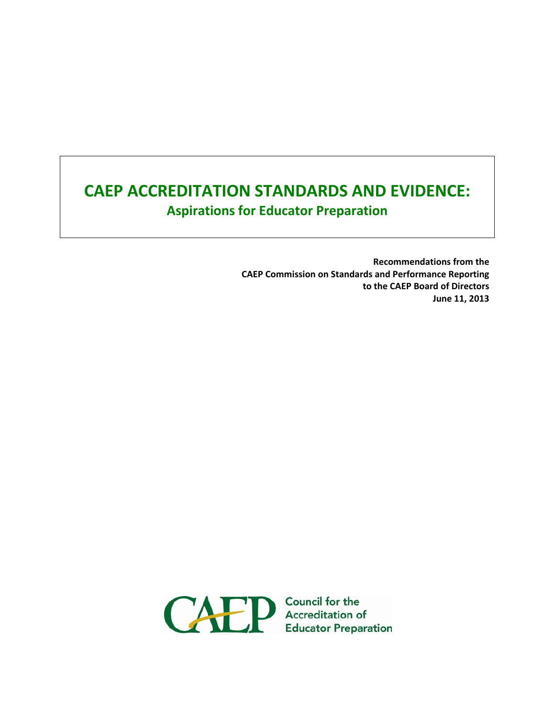# **CAEP ACCREDITATION STANDARDS AND EVIDENCE: Aspirations for Educator Preparation**

**Recommendations from the CAEP Commission on Standards and Performance Reporting to the CAEP Board of Directors June 11, 2013**

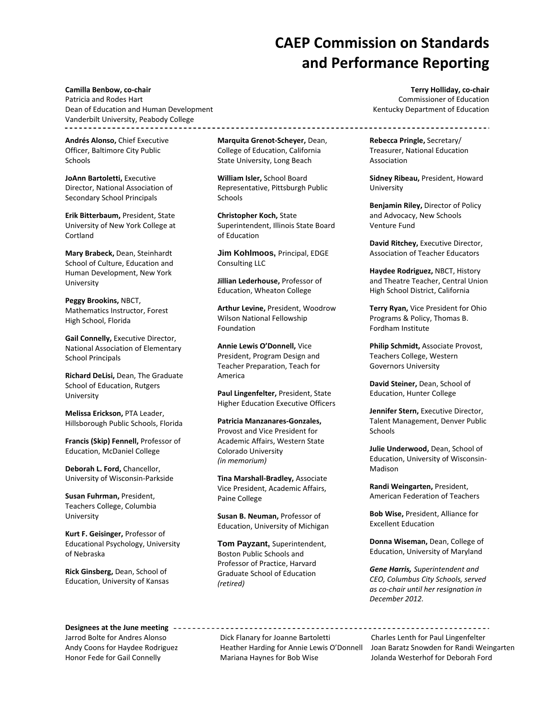## **CAEP Commission on Standards and Performance Reporting**

**Camilla Benbow, co‐chair**  Patricia and Rodes Hart Dean of Education and Human Development Vanderbilt University, Peabody College

**Andrés Alonso,** Chief Executive Officer, Baltimore City Public Schools

**JoAnn Bartoletti,** Executive Director, National Association of Secondary School Principals

**Erik Bitterbaum,** President, State University of New York College at Cortland

**Mary Brabeck,** Dean, Steinhardt School of Culture, Education and Human Development, New York University

**Peggy Brookins,** NBCT, Mathematics Instructor, Forest High School, Florida

**Gail Connelly,** Executive Director, National Association of Elementary School Principals

**Richard DeLisi,** Dean, The Graduate School of Education, Rutgers University

**Melissa Erickson,** PTA Leader, Hillsborough Public Schools, Florida

**Francis (Skip) Fennell,** Professor of Education, McDaniel College

**Deborah L. Ford,** Chancellor, University of Wisconsin‐Parkside

**Susan Fuhrman,** President, Teachers College, Columbia University

**Kurt F. Geisinger,** Professor of Educational Psychology, University of Nebraska

**Rick Ginsberg,** Dean, School of Education, University of Kansas

**Marquita Grenot‐Scheyer,** Dean, College of Education, California State University, Long Beach

**William Isler,** School Board Representative, Pittsburgh Public Schools

**Christopher Koch,** State Superintendent, Illinois State Board of Education

**Jim Kohlmoos,** Principal, EDGE Consulting LLC

**Jillian Lederhouse,** Professor of Education, Wheaton College

**Arthur Levine,** President, Woodrow Wilson National Fellowship Foundation

**Annie Lewis O'Donnell,** Vice President, Program Design and Teacher Preparation, Teach for America

**Paul Lingenfelter,** President, State Higher Education Executive Officers

**Patricia Manzanares‐Gonzales,** Provost and Vice President for Academic Affairs, Western State Colorado University *(in memorium)*

**Tina Marshall‐Bradley,** Associate Vice President, Academic Affairs, Paine College

**Susan B. Neuman,** Professor of Education, University of Michigan

**Tom Payzant,** Superintendent, Boston Public Schools and Professor of Practice, Harvard Graduate School of Education *(retired)*

**Terry Holliday, co‐chair** Commissioner of Education Kentucky Department of Education

----------------------

**Rebecca Pringle,** Secretary/ Treasurer, National Education Association

**Sidney Ribeau,** President, Howard University

**Benjamin Riley,** Director of Policy and Advocacy, New Schools Venture Fund

**David Ritchey,** Executive Director, Association of Teacher Educators

**Haydee Rodriguez,** NBCT, History and Theatre Teacher, Central Union High School District, California

**Terry Ryan,** Vice President for Ohio Programs & Policy, Thomas B. Fordham Institute

**Philip Schmidt,** Associate Provost, Teachers College, Western Governors University

**David Steiner,** Dean, School of Education, Hunter College

**Jennifer Stern,** Executive Director, Talent Management, Denver Public **Schools** 

**Julie Underwood,** Dean, School of Education, University of Wisconsin‐ Madison

**Randi Weingarten,** President, American Federation of Teachers

**Bob Wise,** President, Alliance for Excellent Education

**Donna Wiseman,** Dean, College of Education, University of Maryland

*Gene Harris, Superintendent and CEO, Columbus City Schools, served as co‐chair until her resignation in December 2012.*

**Designees at the June meeting** Jarrod Bolte for Andres Alonso Dick Flanary for Joanne Bartoletti Charles Lenth for Paul Lingenfelter

Honor Fede for Gail Connelly Mariana Haynes for Bob Wise Jolanda Westerhof for Deborah Ford

------------------------

Andy Coons for Haydee Rodriguez Heather Harding for Annie Lewis O'Donnell Joan Baratz Snowden for Randi Weingarten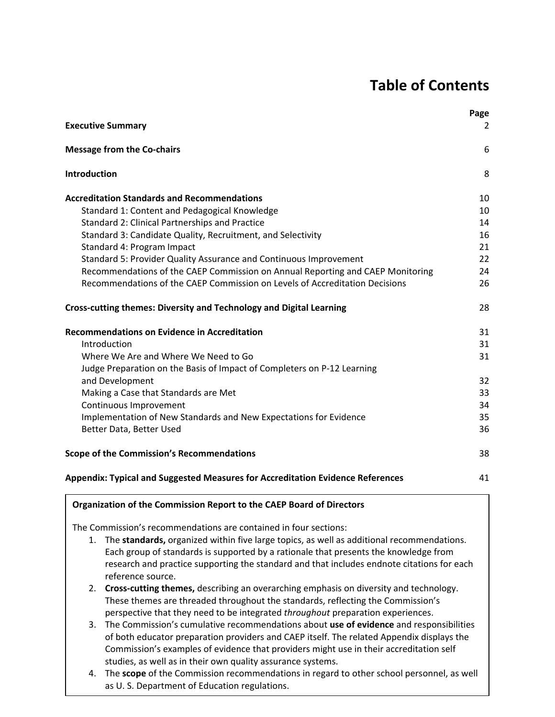## **Table of Contents**

| <b>Executive Summary</b>                                                       | Page<br>2 |
|--------------------------------------------------------------------------------|-----------|
|                                                                                |           |
| <b>Message from the Co-chairs</b>                                              | 6         |
| Introduction                                                                   | 8         |
| <b>Accreditation Standards and Recommendations</b>                             | 10        |
| Standard 1: Content and Pedagogical Knowledge                                  | 10        |
| Standard 2: Clinical Partnerships and Practice                                 | 14        |
| Standard 3: Candidate Quality, Recruitment, and Selectivity                    | 16        |
| Standard 4: Program Impact                                                     | 21        |
| Standard 5: Provider Quality Assurance and Continuous Improvement              | 22        |
| Recommendations of the CAEP Commission on Annual Reporting and CAEP Monitoring | 24        |
| Recommendations of the CAEP Commission on Levels of Accreditation Decisions    | 26        |
| Cross-cutting themes: Diversity and Technology and Digital Learning            | 28        |
| <b>Recommendations on Evidence in Accreditation</b>                            | 31        |
| Introduction                                                                   | 31        |
| Where We Are and Where We Need to Go                                           | 31        |
| Judge Preparation on the Basis of Impact of Completers on P-12 Learning        |           |
| and Development                                                                | 32        |
| Making a Case that Standards are Met                                           | 33        |
| Continuous Improvement                                                         | 34        |
| Implementation of New Standards and New Expectations for Evidence              | 35        |
| Better Data, Better Used                                                       | 36        |
| <b>Scope of the Commission's Recommendations</b>                               | 38        |
| Appendix: Typical and Suggested Measures for Accreditation Evidence References | 41        |
| Organization of the Commission Report to the CAEP Board of Directors           |           |

The Commission's recommendations are contained in four sections:

- 1. The **standards,** organized within five large topics, as well as additional recommendations. Each group of standards is supported by a rationale that presents the knowledge from research and practice supporting the standard and that includes endnote citations for each reference source.
	- 2. **Cross‐cutting themes,** describing an overarching emphasis on diversity and technology. These themes are threaded throughout the standards, reflecting the Commission's perspective that they need to be integrated *throughout* preparation experiences.
	- 3. The Commission's cumulative recommendations about **use of evidence** and responsibilities of both educator preparation providers and CAEP itself. The related Appendix displays the Commission's examples of evidence that providers might use in their accreditation self studies, as well as in their own quality assurance systems.
	- 4. The **scope** of the Commission recommendations in regard to other school personnel, as well as U. S. Department of Education regulations.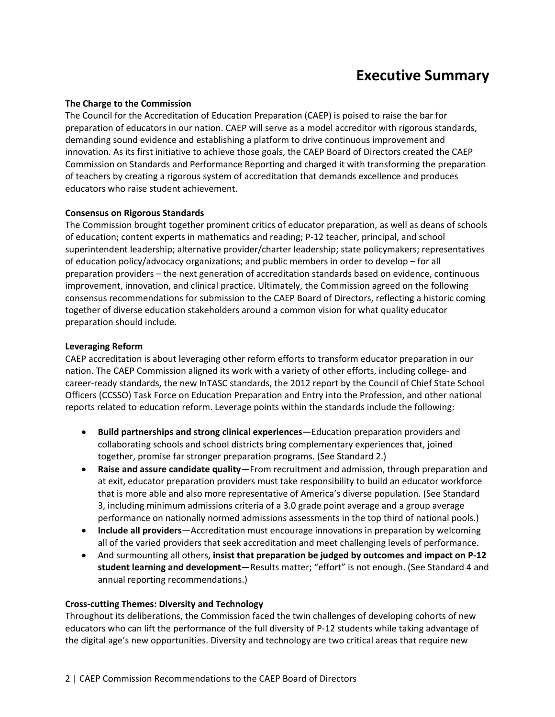## **Executive Summary**

#### **The Charge to the Commission**

The Council for the Accreditation of Education Preparation (CAEP) is poised to raise the bar for preparation of educators in our nation. CAEP will serve as a model accreditor with rigorous standards, demanding sound evidence and establishing a platform to drive continuous improvement and innovation. As its first initiative to achieve those goals, the CAEP Board of Directors created the CAEP Commission on Standards and Performance Reporting and charged it with transforming the preparation of teachers by creating a rigorous system of accreditation that demands excellence and produces educators who raise student achievement.

#### **Consensus on Rigorous Standards**

The Commission brought together prominent critics of educator preparation, as well as deans of schools of education; content experts in mathematics and reading; P‐12 teacher, principal, and school superintendent leadership; alternative provider/charter leadership; state policymakers; representatives of education policy/advocacy organizations; and public members in order to develop – for all preparation providers – the next generation of accreditation standards based on evidence, continuous improvement, innovation, and clinical practice. Ultimately, the Commission agreed on the following consensus recommendations for submission to the CAEP Board of Directors, reflecting a historic coming together of diverse education stakeholders around a common vision for what quality educator preparation should include.

#### **Leveraging Reform**

CAEP accreditation is about leveraging other reform efforts to transform educator preparation in our nation. The CAEP Commission aligned its work with a variety of other efforts, including college- and career-ready standards, the new InTASC standards, the 2012 report by the Council of Chief State School Officers (CCSSO) Task Force on Education Preparation and Entry into the Profession, and other national reports related to education reform. Leverage points within the standards include the following:

- **Build partnerships and strong clinical experiences**—Education preparation providers and collaborating schools and school districts bring complementary experiences that, joined together, promise far stronger preparation programs. (See Standard 2.)
- **Raise and assure candidate quality**—From recruitment and admission, through preparation and at exit, educator preparation providers must take responsibility to build an educator workforce that is more able and also more representative of America's diverse population. (See Standard 3, including minimum admissions criteria of a 3.0 grade point average and a group average performance on nationally normed admissions assessments in the top third of national pools.)
- **Include all providers**—Accreditation must encourage innovations in preparation by welcoming all of the varied providers that seek accreditation and meet challenging levels of performance.
- And surmounting all others, **insist that preparation be judged by outcomes and impact on P‐12 student learning and development**—Results matter; "effort" is not enough. (See Standard 4 and annual reporting recommendations.)

#### **Cross‐cutting Themes: Diversity and Technology**

Throughout its deliberations, the Commission faced the twin challenges of developing cohorts of new educators who can lift the performance of the full diversity of P‐12 students while taking advantage of the digital age's new opportunities. Diversity and technology are two critical areas that require new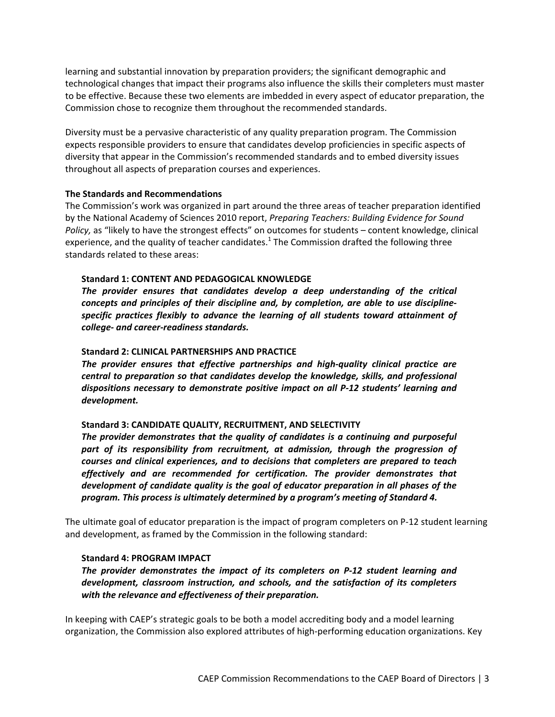learning and substantial innovation by preparation providers; the significant demographic and technological changes that impact their programs also influence the skills their completers must master to be effective. Because these two elements are imbedded in every aspect of educator preparation, the Commission chose to recognize them throughout the recommended standards.

Diversity must be a pervasive characteristic of any quality preparation program. The Commission expects responsible providers to ensure that candidates develop proficiencies in specific aspects of diversity that appear in the Commission's recommended standards and to embed diversity issues throughout all aspects of preparation courses and experiences.

#### **The Standards and Recommendations**

The Commission's work was organized in part around the three areas of teacher preparation identified by the National Academy of Sciences 2010 report, *Preparing Teachers: Building Evidence for Sound Policy,* as "likely to have the strongest effects" on outcomes for students – content knowledge, clinical experience, and the quality of teacher candidates.<sup>1</sup> The Commission drafted the following three standards related to these areas:

#### **Standard 1: CONTENT AND PEDAGOGICAL KNOWLEDGE**

*The provider ensures that candidates develop a deep understanding of the critical concepts and principles of their discipline and, by completion, are able to use discipline‐ specific practices flexibly to advance the learning of all students toward attainment of college‐ and career‐readiness standards.*

#### **Standard 2: CLINICAL PARTNERSHIPS AND PRACTICE**

*The provider ensures that effective partnerships and high‐quality clinical practice are central to preparation so that candidates develop the knowledge, skills, and professional dispositions necessary to demonstrate positive impact on all P‐12 students' learning and development.*

#### **Standard 3: CANDIDATE QUALITY, RECRUITMENT, AND SELECTIVITY**

*The provider demonstrates that the quality of candidates is a continuing and purposeful part of its responsibility from recruitment, at admission, through the progression of courses and clinical experiences, and to decisions that completers are prepared to teach effectively and are recommended for certification. The provider demonstrates that development of candidate quality is the goal of educator preparation in all phases of the program. This process is ultimately determined by a program's meeting of Standard 4.*

The ultimate goal of educator preparation is the impact of program completers on P‐12 student learning and development, as framed by the Commission in the following standard:

#### **Standard 4: PROGRAM IMPACT**

*The provider demonstrates the impact of its completers on P‐12 student learning and development, classroom instruction, and schools, and the satisfaction of its completers with the relevance and effectiveness of their preparation.*

In keeping with CAEP's strategic goals to be both a model accrediting body and a model learning organization, the Commission also explored attributes of high‐performing education organizations. Key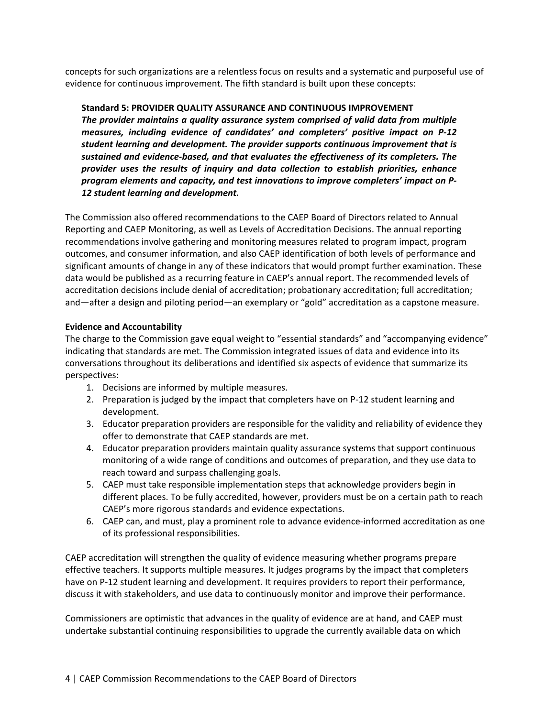concepts for such organizations are a relentless focus on results and a systematic and purposeful use of evidence for continuous improvement. The fifth standard is built upon these concepts:

## **Standard 5: PROVIDER QUALITY ASSURANCE AND CONTINUOUS IMPROVEMENT**

*The provider maintains a quality assurance system comprised of valid data from multiple measures, including evidence of candidates' and completers' positive impact on P‐12 student learning and development. The provider supports continuous improvement that is sustained and evidence‐based, and that evaluates the effectiveness of its completers. The provider uses the results of inquiry and data collection to establish priorities, enhance program elements and capacity, and test innovations to improve completers' impact on P‐ 12 student learning and development.*

The Commission also offered recommendations to the CAEP Board of Directors related to Annual Reporting and CAEP Monitoring, as well as Levels of Accreditation Decisions. The annual reporting recommendations involve gathering and monitoring measures related to program impact, program outcomes, and consumer information, and also CAEP identification of both levels of performance and significant amounts of change in any of these indicators that would prompt further examination. These data would be published as a recurring feature in CAEP's annual report. The recommended levels of accreditation decisions include denial of accreditation; probationary accreditation; full accreditation; and—after a design and piloting period—an exemplary or "gold" accreditation as a capstone measure.

## **Evidence and Accountability**

The charge to the Commission gave equal weight to "essential standards" and "accompanying evidence" indicating that standards are met. The Commission integrated issues of data and evidence into its conversations throughout its deliberations and identified six aspects of evidence that summarize its perspectives:

- 1. Decisions are informed by multiple measures.
- 2. Preparation is judged by the impact that completers have on P-12 student learning and development.
- 3. Educator preparation providers are responsible for the validity and reliability of evidence they offer to demonstrate that CAEP standards are met.
- 4. Educator preparation providers maintain quality assurance systems that support continuous monitoring of a wide range of conditions and outcomes of preparation, and they use data to reach toward and surpass challenging goals.
- 5. CAEP must take responsible implementation steps that acknowledge providers begin in different places. To be fully accredited, however, providers must be on a certain path to reach CAEP's more rigorous standards and evidence expectations.
- 6. CAEP can, and must, play a prominent role to advance evidence‐informed accreditation as one of its professional responsibilities.

CAEP accreditation will strengthen the quality of evidence measuring whether programs prepare effective teachers. It supports multiple measures. It judges programs by the impact that completers have on P-12 student learning and development. It requires providers to report their performance, discuss it with stakeholders, and use data to continuously monitor and improve their performance.

Commissioners are optimistic that advances in the quality of evidence are at hand, and CAEP must undertake substantial continuing responsibilities to upgrade the currently available data on which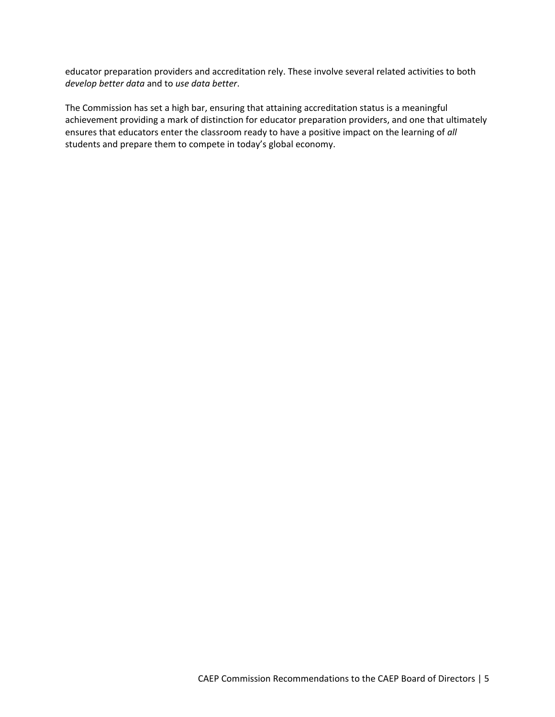educator preparation providers and accreditation rely. These involve several related activities to both *develop better data* and to *use data better*.

The Commission has set a high bar, ensuring that attaining accreditation status is a meaningful achievement providing a mark of distinction for educator preparation providers, and one that ultimately ensures that educators enter the classroom ready to have a positive impact on the learning of *all* students and prepare them to compete in today's global economy.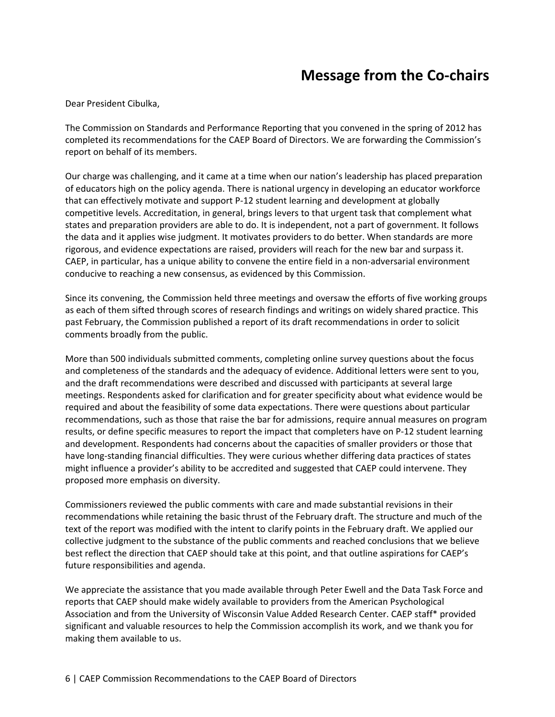## **Message from the Co‐chairs**

Dear President Cibulka,

The Commission on Standards and Performance Reporting that you convened in the spring of 2012 has completed its recommendations for the CAEP Board of Directors. We are forwarding the Commission's report on behalf of its members.

Our charge was challenging, and it came at a time when our nation's leadership has placed preparation of educators high on the policy agenda. There is national urgency in developing an educator workforce that can effectively motivate and support P‐12 student learning and development at globally competitive levels. Accreditation, in general, brings levers to that urgent task that complement what states and preparation providers are able to do. It is independent, not a part of government. It follows the data and it applies wise judgment. It motivates providers to do better. When standards are more rigorous, and evidence expectations are raised, providers will reach for the new bar and surpass it. CAEP, in particular, has a unique ability to convene the entire field in a non-adversarial environment conducive to reaching a new consensus, as evidenced by this Commission.

Since its convening, the Commission held three meetings and oversaw the efforts of five working groups as each of them sifted through scores of research findings and writings on widely shared practice. This past February, the Commission published a report of its draft recommendations in order to solicit comments broadly from the public.

More than 500 individuals submitted comments, completing online survey questions about the focus and completeness of the standards and the adequacy of evidence. Additional letters were sent to you, and the draft recommendations were described and discussed with participants at several large meetings. Respondents asked for clarification and for greater specificity about what evidence would be required and about the feasibility of some data expectations. There were questions about particular recommendations, such as those that raise the bar for admissions, require annual measures on program results, or define specific measures to report the impact that completers have on P‐12 student learning and development. Respondents had concerns about the capacities of smaller providers or those that have long‐standing financial difficulties. They were curious whether differing data practices of states might influence a provider's ability to be accredited and suggested that CAEP could intervene. They proposed more emphasis on diversity.

Commissioners reviewed the public comments with care and made substantial revisions in their recommendations while retaining the basic thrust of the February draft. The structure and much of the text of the report was modified with the intent to clarify points in the February draft. We applied our collective judgment to the substance of the public comments and reached conclusions that we believe best reflect the direction that CAEP should take at this point, and that outline aspirations for CAEP's future responsibilities and agenda.

We appreciate the assistance that you made available through Peter Ewell and the Data Task Force and reports that CAEP should make widely available to providers from the American Psychological Association and from the University of Wisconsin Value Added Research Center. CAEP staff\* provided significant and valuable resources to help the Commission accomplish its work, and we thank you for making them available to us.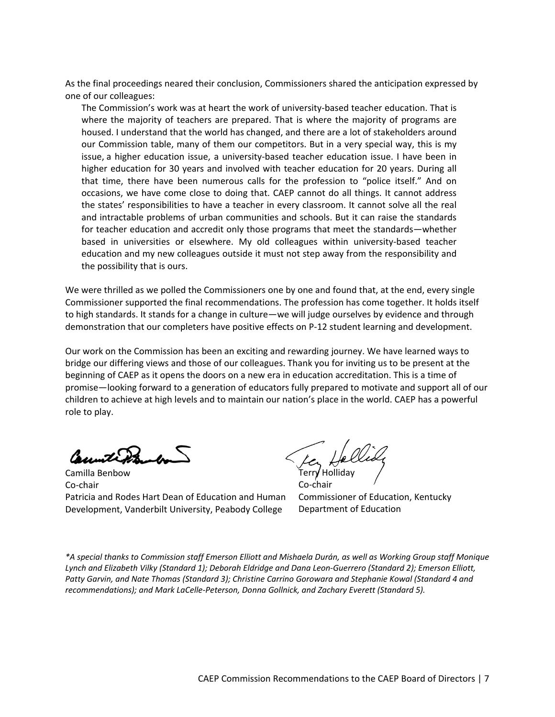As the final proceedings neared their conclusion, Commissioners shared the anticipation expressed by one of our colleagues:

The Commission's work was at heart the work of university‐based teacher education. That is where the majority of teachers are prepared. That is where the majority of programs are housed. I understand that the world has changed, and there are a lot of stakeholders around our Commission table, many of them our competitors. But in a very special way, this is my issue, a higher education issue, a university-based teacher education issue. I have been in higher education for 30 years and involved with teacher education for 20 years. During all that time, there have been numerous calls for the profession to "police itself." And on occasions, we have come close to doing that. CAEP cannot do all things. It cannot address the states' responsibilities to have a teacher in every classroom. It cannot solve all the real and intractable problems of urban communities and schools. But it can raise the standards for teacher education and accredit only those programs that meet the standards—whether based in universities or elsewhere. My old colleagues within university‐based teacher education and my new colleagues outside it must not step away from the responsibility and the possibility that is ours.

We were thrilled as we polled the Commissioners one by one and found that, at the end, every single Commissioner supported the final recommendations. The profession has come together. It holds itself to high standards. It stands for a change in culture—we will judge ourselves by evidence and through demonstration that our completers have positive effects on P‐12 student learning and development.

Our work on the Commission has been an exciting and rewarding journey. We have learned ways to bridge our differing views and those of our colleagues. Thank you for inviting us to be present at the beginning of CAEP as it opens the doors on a new era in education accreditation. This is a time of promise—looking forward to a generation of educators fully prepared to motivate and support all of our children to achieve at high levels and to maintain our nation's place in the world. CAEP has a powerful role to play.

Count Pr

Camilla Benbow Co‐chair Patricia and Rodes Hart Dean of Education and Human Development, Vanderbilt University, Peabody College

Holliday Co‐chair

Commissioner of Education, Kentucky Department of Education

\*A special thanks to Commission staff Emerson Elliott and Mishaela Durán, as well as Working Group staff Monique Lynch and Elizabeth Vilky (Standard 1); Deborah Eldridge and Dana Leon-Guerrero (Standard 2); Emerson Elliott, *Patty Garvin, and Nate Thomas (Standard 3); Christine Carrino Gorowara and Stephanie Kowal (Standard 4 and recommendations); and Mark LaCelle‐Peterson, Donna Gollnick, and Zachary Everett (Standard 5).*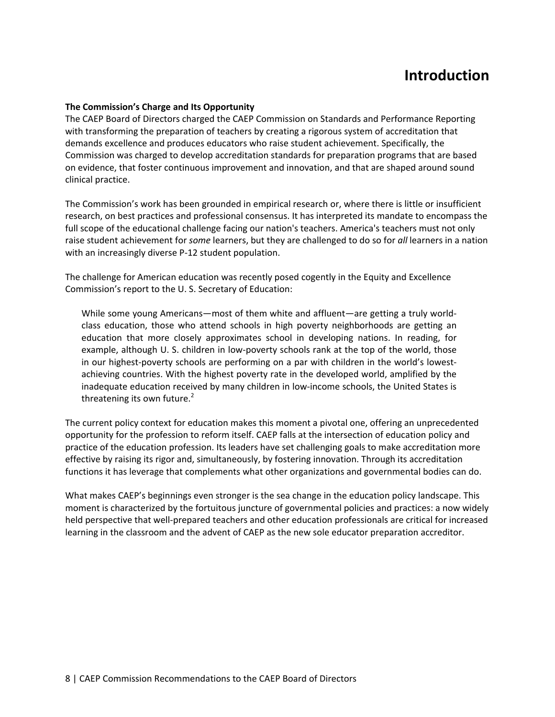## **Introduction**

#### **The Commission's Charge and Its Opportunity**

The CAEP Board of Directors charged the CAEP Commission on Standards and Performance Reporting with transforming the preparation of teachers by creating a rigorous system of accreditation that demands excellence and produces educators who raise student achievement. Specifically, the Commission was charged to develop accreditation standards for preparation programs that are based on evidence, that foster continuous improvement and innovation, and that are shaped around sound clinical practice.

The Commission's work has been grounded in empirical research or, where there is little or insufficient research, on best practices and professional consensus. It has interpreted its mandate to encompass the full scope of the educational challenge facing our nation's teachers. America's teachers must not only raise student achievement for *some* learners, but they are challenged to do so for *all* learners in a nation with an increasingly diverse P-12 student population.

The challenge for American education was recently posed cogently in the Equity and Excellence Commission's report to the U. S. Secretary of Education:

While some young Americans—most of them white and affluent—are getting a truly world‐ class education, those who attend schools in high poverty neighborhoods are getting an education that more closely approximates school in developing nations. In reading, for example, although U. S. children in low‐poverty schools rank at the top of the world, those in our highest-poverty schools are performing on a par with children in the world's lowestachieving countries. With the highest poverty rate in the developed world, amplified by the inadequate education received by many children in low-income schools, the United States is threatening its own future. $2$ 

The current policy context for education makes this moment a pivotal one, offering an unprecedented opportunity for the profession to reform itself. CAEP falls at the intersection of education policy and practice of the education profession. Its leaders have set challenging goals to make accreditation more effective by raising its rigor and, simultaneously, by fostering innovation. Through its accreditation functions it has leverage that complements what other organizations and governmental bodies can do.

What makes CAEP's beginnings even stronger is the sea change in the education policy landscape. This moment is characterized by the fortuitous juncture of governmental policies and practices: a now widely held perspective that well-prepared teachers and other education professionals are critical for increased learning in the classroom and the advent of CAEP as the new sole educator preparation accreditor.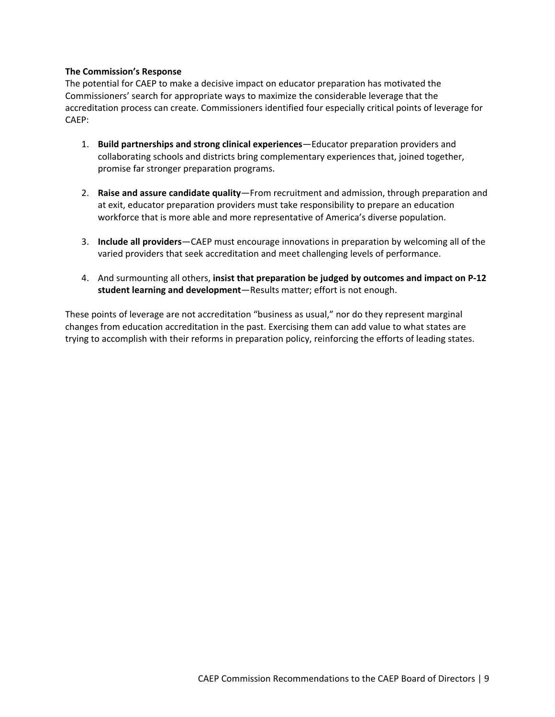#### **The Commission's Response**

The potential for CAEP to make a decisive impact on educator preparation has motivated the Commissioners' search for appropriate ways to maximize the considerable leverage that the accreditation process can create. Commissioners identified four especially critical points of leverage for CAEP:

- 1. **Build partnerships and strong clinical experiences**—Educator preparation providers and collaborating schools and districts bring complementary experiences that, joined together, promise far stronger preparation programs.
- 2. **Raise and assure candidate quality**—From recruitment and admission, through preparation and at exit, educator preparation providers must take responsibility to prepare an education workforce that is more able and more representative of America's diverse population.
- 3. **Include all providers**—CAEP must encourage innovations in preparation by welcoming all of the varied providers that seek accreditation and meet challenging levels of performance.
- 4. And surmounting all others, **insist that preparation be judged by outcomes and impact on P‐12 student learning and development**—Results matter; effort is not enough.

These points of leverage are not accreditation "business as usual," nor do they represent marginal changes from education accreditation in the past. Exercising them can add value to what states are trying to accomplish with their reforms in preparation policy, reinforcing the efforts of leading states.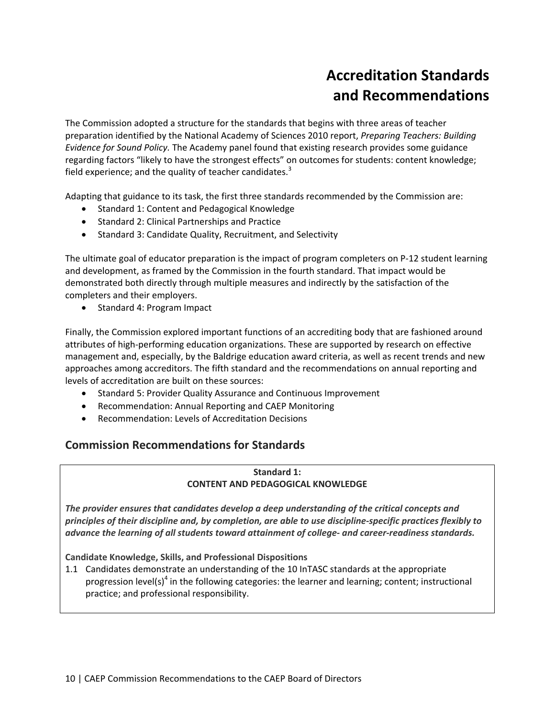# **Accreditation Standards and Recommendations**

The Commission adopted a structure for the standards that begins with three areas of teacher preparation identified by the National Academy of Sciences 2010 report, *Preparing Teachers: Building Evidence for Sound Policy.* The Academy panel found that existing research provides some guidance regarding factors "likely to have the strongest effects" on outcomes for students: content knowledge; field experience; and the quality of teacher candidates.<sup>3</sup>

Adapting that guidance to its task, the first three standards recommended by the Commission are:

- Standard 1: Content and Pedagogical Knowledge
- Standard 2: Clinical Partnerships and Practice
- Standard 3: Candidate Quality, Recruitment, and Selectivity

The ultimate goal of educator preparation is the impact of program completers on P‐12 student learning and development, as framed by the Commission in the fourth standard. That impact would be demonstrated both directly through multiple measures and indirectly by the satisfaction of the completers and their employers.

• Standard 4: Program Impact

Finally, the Commission explored important functions of an accrediting body that are fashioned around attributes of high‐performing education organizations. These are supported by research on effective management and, especially, by the Baldrige education award criteria, as well as recent trends and new approaches among accreditors. The fifth standard and the recommendations on annual reporting and levels of accreditation are built on these sources:

- **•** Standard 5: Provider Quality Assurance and Continuous Improvement
- Recommendation: Annual Reporting and CAEP Monitoring
- Recommendation: Levels of Accreditation Decisions

## **Commission Recommendations for Standards**

## **Standard 1: CONTENT AND PEDAGOGICAL KNOWLEDGE**

*The provider ensures that candidates develop a deep understanding of the critical concepts and* principles of their discipline and, by completion, are able to use discipline-specific practices flexibly to *advance the learning of all students toward attainment of college‐ and career‐readiness standards.*

**Candidate Knowledge, Skills, and Professional Dispositions**

1.1 Candidates demonstrate an understanding of the 10 InTASC standards at the appropriate progression level(s)<sup>4</sup> in the following categories: the learner and learning; content; instructional practice; and professional responsibility.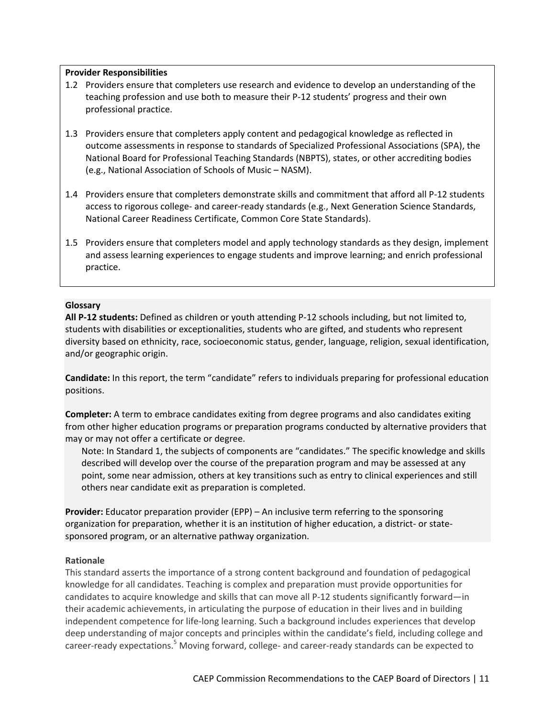#### **Provider Responsibilities**

- 1.2 Providers ensure that completers use research and evidence to develop an understanding of the teaching profession and use both to measure their P‐12 students' progress and their own professional practice.
- 1.3 Providers ensure that completers apply content and pedagogical knowledge as reflected in outcome assessments in response to standards of Specialized Professional Associations (SPA), the National Board for Professional Teaching Standards (NBPTS), states, or other accrediting bodies (e.g., National Association of Schools of Music – NASM).
- 1.4 Providers ensure that completers demonstrate skills and commitment that afford all P-12 students access to rigorous college‐ and career‐ready standards (e.g., Next Generation Science Standards, National Career Readiness Certificate, Common Core State Standards).
- 1.5 Providers ensure that completers model and apply technology standards as they design, implement and assess learning experiences to engage students and improve learning; and enrich professional practice.

#### **Glossary**

**All P‐12 students:** Defined as children or youth attending P‐12 schools including, but not limited to, students with disabilities or exceptionalities, students who are gifted, and students who represent diversity based on ethnicity, race, socioeconomic status, gender, language, religion, sexual identification, and/or geographic origin.

**Candidate:** In this report, the term "candidate" refers to individuals preparing for professional education positions.

**Completer:** A term to embrace candidates exiting from degree programs and also candidates exiting from other higher education programs or preparation programs conducted by alternative providers that may or may not offer a certificate or degree.

Note: In Standard 1, the subjects of components are "candidates." The specific knowledge and skills described will develop over the course of the preparation program and may be assessed at any point, some near admission, others at key transitions such as entry to clinical experiences and still others near candidate exit as preparation is completed.

**Provider:** Educator preparation provider (EPP) – An inclusive term referring to the sponsoring organization for preparation, whether it is an institution of higher education, a district‐ or state‐ sponsored program, or an alternative pathway organization.

#### **Rationale**

This standard asserts the importance of a strong content background and foundation of pedagogical knowledge for all candidates. Teaching is complex and preparation must provide opportunities for candidates to acquire knowledge and skills that can move all P‐12 students significantly forward—in their academic achievements, in articulating the purpose of education in their lives and in building independent competence for life‐long learning. Such a background includes experiences that develop deep understanding of major concepts and principles within the candidate's field, including college and career-ready expectations.<sup>5</sup> Moving forward, college- and career-ready standards can be expected to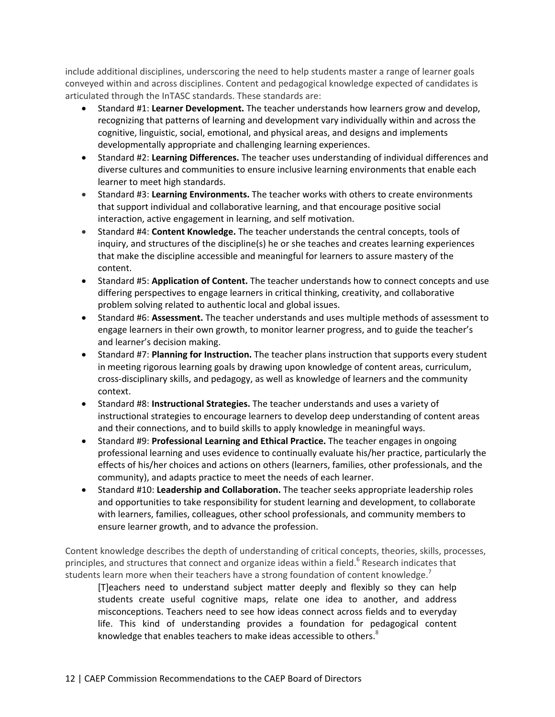include additional disciplines, underscoring the need to help students master a range of learner goals conveyed within and across disciplines. Content and pedagogical knowledge expected of candidates is articulated through the InTASC standards. These standards are:

- Standard #1: **Learner Development.** The teacher understands how learners grow and develop, recognizing that patterns of learning and development vary individually within and across the cognitive, linguistic, social, emotional, and physical areas, and designs and implements developmentally appropriate and challenging learning experiences.
- Standard #2: **Learning Differences.** The teacher uses understanding of individual differences and diverse cultures and communities to ensure inclusive learning environments that enable each learner to meet high standards.
- Standard #3: **Learning Environments.** The teacher works with others to create environments that support individual and collaborative learning, and that encourage positive social interaction, active engagement in learning, and self motivation.
- Standard #4: **Content Knowledge.** The teacher understands the central concepts, tools of inquiry, and structures of the discipline(s) he or she teaches and creates learning experiences that make the discipline accessible and meaningful for learners to assure mastery of the content.
- Standard #5: **Application of Content.** The teacher understands how to connect concepts and use differing perspectives to engage learners in critical thinking, creativity, and collaborative problem solving related to authentic local and global issues.
- Standard #6: **Assessment.** The teacher understands and uses multiple methods of assessment to engage learners in their own growth, to monitor learner progress, and to guide the teacher's and learner's decision making.
- Standard #7: **Planning for Instruction.** The teacher plans instruction that supports every student in meeting rigorous learning goals by drawing upon knowledge of content areas, curriculum, cross‐disciplinary skills, and pedagogy, as well as knowledge of learners and the community context.
- Standard #8: **Instructional Strategies.** The teacher understands and uses a variety of instructional strategies to encourage learners to develop deep understanding of content areas and their connections, and to build skills to apply knowledge in meaningful ways.
- Standard #9: **Professional Learning and Ethical Practice.** The teacher engages in ongoing professional learning and uses evidence to continually evaluate his/her practice, particularly the effects of his/her choices and actions on others (learners, families, other professionals, and the community), and adapts practice to meet the needs of each learner.
- Standard #10: **Leadership and Collaboration.** The teacher seeks appropriate leadership roles and opportunities to take responsibility for student learning and development, to collaborate with learners, families, colleagues, other school professionals, and community members to ensure learner growth, and to advance the profession.

Content knowledge describes the depth of understanding of critical concepts, theories, skills, processes, principles, and structures that connect and organize ideas within a field.<sup>6</sup> Research indicates that students learn more when their teachers have a strong foundation of content knowledge.<sup>7</sup>

[T]eachers need to understand subject matter deeply and flexibly so they can help students create useful cognitive maps, relate one idea to another, and address misconceptions. Teachers need to see how ideas connect across fields and to everyday life. This kind of understanding provides a foundation for pedagogical content knowledge that enables teachers to make ideas accessible to others. $8$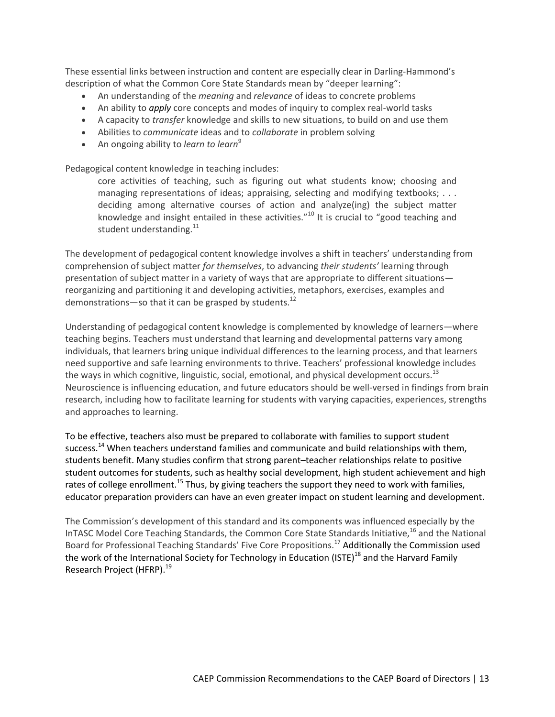These essential links between instruction and content are especially clear in Darling‐Hammond's description of what the Common Core State Standards mean by "deeper learning":

- An understanding of the *meaning* and *relevance* of ideas to concrete problems
- An ability to *apply* core concepts and modes of inquiry to complex real-world tasks
- A capacity to *transfer* knowledge and skills to new situations, to build on and use them
- Abilities to *communicate* ideas and to *collaborate* in problem solving
- An ongoing ability to *learn* to *learn*<sup>9</sup>

Pedagogical content knowledge in teaching includes:

core activities of teaching, such as figuring out what students know; choosing and managing representations of ideas; appraising, selecting and modifying textbooks; . . . deciding among alternative courses of action and analyze(ing) the subject matter knowledge and insight entailed in these activities."<sup>10</sup> It is crucial to "good teaching and student understanding.<sup>11</sup>

The development of pedagogical content knowledge involves a shift in teachers' understanding from comprehension of subject matter *for themselves*, to advancing *their students'* learning through presentation of subject matter in a variety of ways that are appropriate to different situations reorganizing and partitioning it and developing activities, metaphors, exercises, examples and demonstrations—so that it can be grasped by students.<sup>12</sup>

Understanding of pedagogical content knowledge is complemented by knowledge of learners—where teaching begins. Teachers must understand that learning and developmental patterns vary among individuals, that learners bring unique individual differences to the learning process, and that learners need supportive and safe learning environments to thrive. Teachers' professional knowledge includes the ways in which cognitive, linguistic, social, emotional, and physical development occurs.<sup>13</sup> Neuroscience is influencing education, and future educators should be well‐versed in findings from brain research, including how to facilitate learning for students with varying capacities, experiences, strengths and approaches to learning.

To be effective, teachers also must be prepared to collaborate with families to support student success.<sup>14</sup> When teachers understand families and communicate and build relationships with them, students benefit. Many studies confirm that strong parent–teacher relationships relate to positive student outcomes for students, such as healthy social development, high student achievement and high rates of college enrollment.<sup>15</sup> Thus, by giving teachers the support they need to work with families, educator preparation providers can have an even greater impact on student learning and development.

The Commission's development of this standard and its components was influenced especially by the InTASC Model Core Teaching Standards, the Common Core State Standards Initiative,<sup>16</sup> and the National Board for Professional Teaching Standards' Five Core Propositions.<sup>17</sup> Additionally the Commission used the work of the International Society for Technology in Education (ISTE)<sup>18</sup> and the Harvard Family Research Project (HFRP).<sup>19</sup>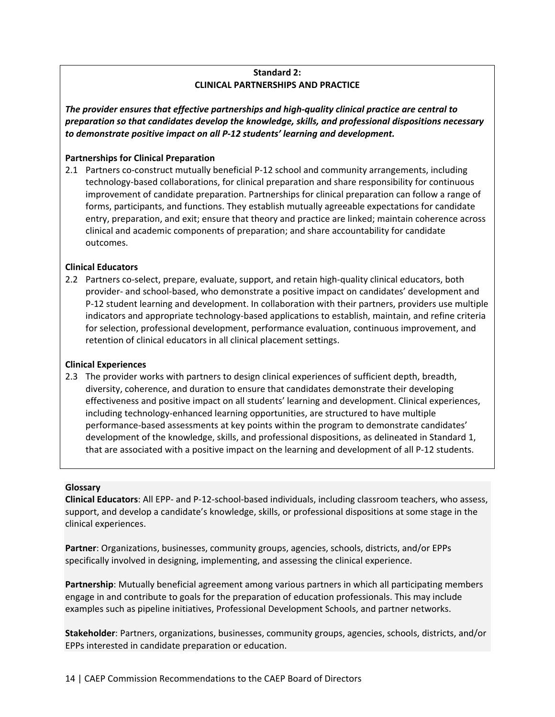## **Standard 2: CLINICAL PARTNERSHIPS AND PRACTICE**

*The provider ensures that effective partnerships and high‐quality clinical practice are central to preparation so that candidates develop the knowledge, skills, and professional dispositions necessary to demonstrate positive impact on all P‐12 students' learning and development.*

## **Partnerships for Clinical Preparation**

2.1 Partners co-construct mutually beneficial P-12 school and community arrangements, including technology‐based collaborations, for clinical preparation and share responsibility for continuous improvement of candidate preparation. Partnerships for clinical preparation can follow a range of forms, participants, and functions. They establish mutually agreeable expectations for candidate entry, preparation, and exit; ensure that theory and practice are linked; maintain coherence across clinical and academic components of preparation; and share accountability for candidate outcomes.

## **Clinical Educators**

2.2 Partners co-select, prepare, evaluate, support, and retain high-quality clinical educators, both provider‐ and school‐based, who demonstrate a positive impact on candidates' development and P‐12 student learning and development. In collaboration with their partners, providers use multiple indicators and appropriate technology‐based applications to establish, maintain, and refine criteria for selection, professional development, performance evaluation, continuous improvement, and retention of clinical educators in all clinical placement settings.

## **Clinical Experiences**

2.3 The provider works with partners to design clinical experiences of sufficient depth, breadth, diversity, coherence, and duration to ensure that candidates demonstrate their developing effectiveness and positive impact on all students' learning and development. Clinical experiences, including technology‐enhanced learning opportunities, are structured to have multiple performance‐based assessments at key points within the program to demonstrate candidates' development of the knowledge, skills, and professional dispositions, as delineated in Standard 1, that are associated with a positive impact on the learning and development of all P‐12 students.

#### **Glossary**

**Clinical Educators**: All EPP‐ and P‐12‐school‐based individuals, including classroom teachers, who assess, support, and develop a candidate's knowledge, skills, or professional dispositions at some stage in the clinical experiences.

**Partner**: Organizations, businesses, community groups, agencies, schools, districts, and/or EPPs specifically involved in designing, implementing, and assessing the clinical experience.

**Partnership**: Mutually beneficial agreement among various partners in which all participating members engage in and contribute to goals for the preparation of education professionals. This may include examples such as pipeline initiatives, Professional Development Schools, and partner networks.

**Stakeholder**: Partners, organizations, businesses, community groups, agencies, schools, districts, and/or EPPs interested in candidate preparation or education.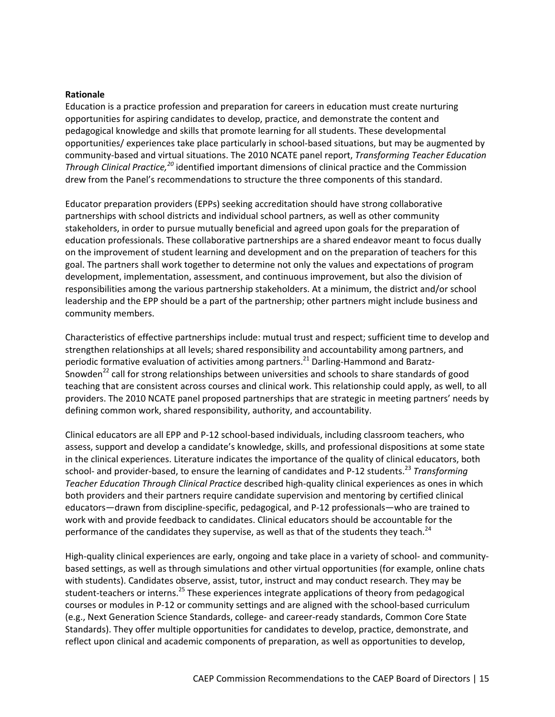#### **Rationale**

Education is a practice profession and preparation for careers in education must create nurturing opportunities for aspiring candidates to develop, practice, and demonstrate the content and pedagogical knowledge and skills that promote learning for all students. These developmental opportunities/ experiences take place particularly in school‐based situations, but may be augmented by community‐based and virtual situations. The 2010 NCATE panel report, *Transforming Teacher Education Through Clinical Practice,<sup>20</sup>* identified important dimensions of clinical practice and the Commission drew from the Panel's recommendations to structure the three components of this standard.

Educator preparation providers (EPPs) seeking accreditation should have strong collaborative partnerships with school districts and individual school partners, as well as other community stakeholders, in order to pursue mutually beneficial and agreed upon goals for the preparation of education professionals. These collaborative partnerships are a shared endeavor meant to focus dually on the improvement of student learning and development and on the preparation of teachers for this goal. The partners shall work together to determine not only the values and expectations of program development, implementation, assessment, and continuous improvement, but also the division of responsibilities among the various partnership stakeholders. At a minimum, the district and/or school leadership and the EPP should be a part of the partnership; other partners might include business and community members.

Characteristics of effective partnerships include: mutual trust and respect; sufficient time to develop and strengthen relationships at all levels; shared responsibility and accountability among partners, and periodic formative evaluation of activities among partners.<sup>21</sup> Darling-Hammond and Baratz-Snowden<sup>22</sup> call for strong relationships between universities and schools to share standards of good teaching that are consistent across courses and clinical work. This relationship could apply, as well, to all providers. The 2010 NCATE panel proposed partnerships that are strategic in meeting partners' needs by defining common work, shared responsibility, authority, and accountability.

Clinical educators are all EPP and P‐12 school‐based individuals, including classroom teachers, who assess, support and develop a candidate's knowledge, skills, and professional dispositions at some state in the clinical experiences. Literature indicates the importance of the quality of clinical educators, both school- and provider-based, to ensure the learning of candidates and P-12 students.<sup>23</sup> Transformina *Teacher Education Through Clinical Practice* described high‐quality clinical experiences as ones in which both providers and their partners require candidate supervision and mentoring by certified clinical educators—drawn from discipline‐specific, pedagogical, and P‐12 professionals—who are trained to work with and provide feedback to candidates. Clinical educators should be accountable for the performance of the candidates they supervise, as well as that of the students they teach.<sup>24</sup>

High-quality clinical experiences are early, ongoing and take place in a variety of school- and communitybased settings, as well as through simulations and other virtual opportunities (for example, online chats with students). Candidates observe, assist, tutor, instruct and may conduct research. They may be student-teachers or interns.<sup>25</sup> These experiences integrate applications of theory from pedagogical courses or modules in P-12 or community settings and are aligned with the school-based curriculum (e.g., Next Generation Science Standards, college‐ and career‐ready standards, Common Core State Standards). They offer multiple opportunities for candidates to develop, practice, demonstrate, and reflect upon clinical and academic components of preparation, as well as opportunities to develop,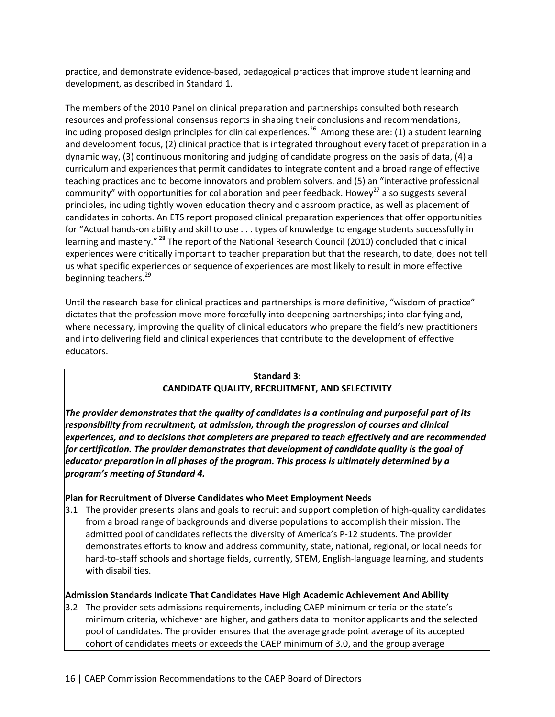practice, and demonstrate evidence‐based, pedagogical practices that improve student learning and development, as described in Standard 1.

The members of the 2010 Panel on clinical preparation and partnerships consulted both research resources and professional consensus reports in shaping their conclusions and recommendations, including proposed design principles for clinical experiences.<sup>26</sup> Among these are: (1) a student learning and development focus, (2) clinical practice that is integrated throughout every facet of preparation in a dynamic way, (3) continuous monitoring and judging of candidate progress on the basis of data, (4) a curriculum and experiences that permit candidates to integrate content and a broad range of effective teaching practices and to become innovators and problem solvers, and (5) an "interactive professional community" with opportunities for collaboration and peer feedback. Howey<sup>27</sup> also suggests several principles, including tightly woven education theory and classroom practice, as well as placement of candidates in cohorts. An ETS report proposed clinical preparation experiences that offer opportunities for "Actual hands-on ability and skill to use . . . types of knowledge to engage students successfully in learning and mastery."<sup>28</sup> The report of the National Research Council (2010) concluded that clinical experiences were critically important to teacher preparation but that the research, to date, does not tell us what specific experiences or sequence of experiences are most likely to result in more effective beginning teachers.<sup>29</sup>

Until the research base for clinical practices and partnerships is more definitive, "wisdom of practice" dictates that the profession move more forcefully into deepening partnerships; into clarifying and, where necessary, improving the quality of clinical educators who prepare the field's new practitioners and into delivering field and clinical experiences that contribute to the development of effective educators.

## **Standard 3: CANDIDATE QUALITY, RECRUITMENT, AND SELECTIVITY**

*The provider demonstrates that the quality of candidates is a continuing and purposeful part of its responsibility from recruitment, at admission, through the progression of courses and clinical experiences, and to decisions that completers are prepared to teach effectively and are recommended for certification. The provider demonstrates that development of candidate quality is the goal of educator preparation in all phases of the program. This process is ultimately determined by a program's meeting of Standard 4.* 

## **Plan for Recruitment of Diverse Candidates who Meet Employment Needs**

3.1 The provider presents plans and goals to recruit and support completion of high‐quality candidates from a broad range of backgrounds and diverse populations to accomplish their mission. The admitted pool of candidates reflects the diversity of America's P‐12 students. The provider demonstrates efforts to know and address community, state, national, regional, or local needs for hard-to-staff schools and shortage fields, currently, STEM, English-language learning, and students with disabilities.

## **Admission Standards Indicate That Candidates Have High Academic Achievement And Ability**

3.2 The provider sets admissions requirements, including CAEP minimum criteria or the state's minimum criteria, whichever are higher, and gathers data to monitor applicants and the selected pool of candidates. The provider ensures that the average grade point average of its accepted cohort of candidates meets or exceeds the CAEP minimum of 3.0, and the group average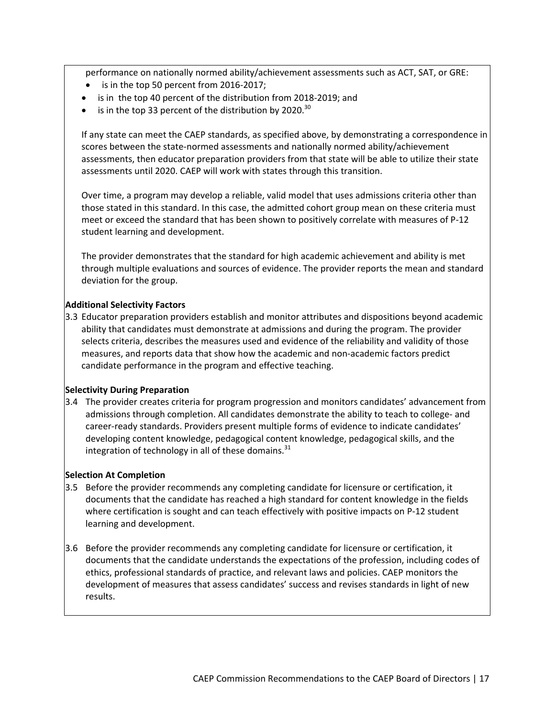performance on nationally normed ability/achievement assessments such as ACT, SAT, or GRE:

- is in the top 50 percent from 2016‐2017;
- is in the top 40 percent of the distribution from 2018‐2019; and
- is in the top 33 percent of the distribution by 2020.<sup>30</sup>

If any state can meet the CAEP standards, as specified above, by demonstrating a correspondence in scores between the state‐normed assessments and nationally normed ability/achievement assessments, then educator preparation providers from that state will be able to utilize their state assessments until 2020. CAEP will work with states through this transition.

Over time, a program may develop a reliable, valid model that uses admissions criteria other than those stated in this standard. In this case, the admitted cohort group mean on these criteria must meet or exceed the standard that has been shown to positively correlate with measures of P-12 student learning and development.

The provider demonstrates that the standard for high academic achievement and ability is met through multiple evaluations and sources of evidence. The provider reports the mean and standard deviation for the group.

## **Additional Selectivity Factors**

3.3 Educator preparation providers establish and monitor attributes and dispositions beyond academic ability that candidates must demonstrate at admissions and during the program. The provider selects criteria, describes the measures used and evidence of the reliability and validity of those measures, and reports data that show how the academic and non‐academic factors predict candidate performance in the program and effective teaching.

## **Selectivity During Preparation**

3.4 The provider creates criteria for program progression and monitors candidates' advancement from admissions through completion. All candidates demonstrate the ability to teach to college- and career‐ready standards. Providers present multiple forms of evidence to indicate candidates' developing content knowledge, pedagogical content knowledge, pedagogical skills, and the integration of technology in all of these domains. $31$ 

## **Selection At Completion**

- 3.5 Before the provider recommends any completing candidate for licensure or certification, it documents that the candidate has reached a high standard for content knowledge in the fields where certification is sought and can teach effectively with positive impacts on P-12 student learning and development.
- 3.6 Before the provider recommends any completing candidate for licensure or certification, it documents that the candidate understands the expectations of the profession, including codes of ethics, professional standards of practice, and relevant laws and policies. CAEP monitors the development of measures that assess candidates' success and revises standards in light of new results.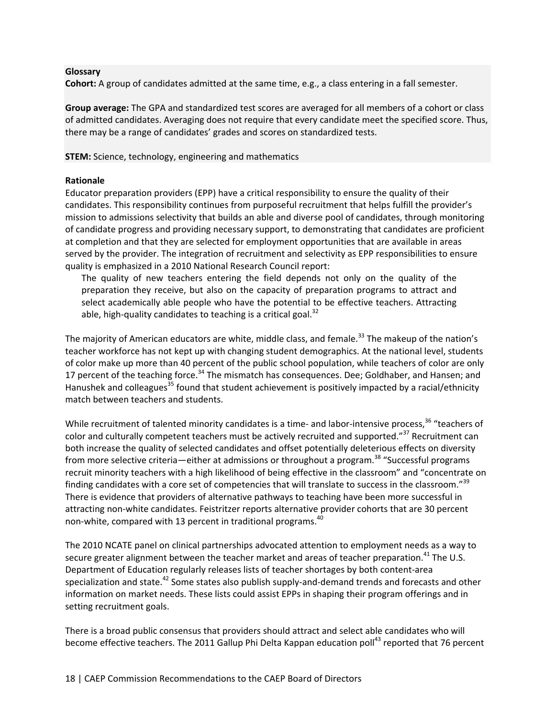#### **Glossary**

**Cohort:** A group of candidates admitted at the same time, e.g., a class entering in a fall semester.

**Group average:** The GPA and standardized test scores are averaged for all members of a cohort or class of admitted candidates. Averaging does not require that every candidate meet the specified score. Thus, there may be a range of candidates' grades and scores on standardized tests.

**STEM:** Science, technology, engineering and mathematics

#### **Rationale**

Educator preparation providers (EPP) have a critical responsibility to ensure the quality of their candidates. This responsibility continues from purposeful recruitment that helps fulfill the provider's mission to admissions selectivity that builds an able and diverse pool of candidates, through monitoring of candidate progress and providing necessary support, to demonstrating that candidates are proficient at completion and that they are selected for employment opportunities that are available in areas served by the provider. The integration of recruitment and selectivity as EPP responsibilities to ensure quality is emphasized in a 2010 National Research Council report:

The quality of new teachers entering the field depends not only on the quality of the preparation they receive, but also on the capacity of preparation programs to attract and select academically able people who have the potential to be effective teachers. Attracting able, high-quality candidates to teaching is a critical goal.<sup>32</sup>

The majority of American educators are white, middle class, and female.<sup>33</sup> The makeup of the nation's teacher workforce has not kept up with changing student demographics. At the national level, students of color make up more than 40 percent of the public school population, while teachers of color are only 17 percent of the teaching force.<sup>34</sup> The mismatch has consequences. Dee; Goldhaber, and Hansen; and Hanushek and colleagues<sup>35</sup> found that student achievement is positively impacted by a racial/ethnicity match between teachers and students.

While recruitment of talented minority candidates is a time- and labor-intensive process,<sup>36</sup> "teachers of color and culturally competent teachers must be actively recruited and supported."<sup>37</sup> Recruitment can both increase the quality of selected candidates and offset potentially deleterious effects on diversity from more selective criteria—either at admissions or throughout a program.<sup>38</sup> "Successful programs recruit minority teachers with a high likelihood of being effective in the classroom" and "concentrate on finding candidates with a core set of competencies that will translate to success in the classroom."<sup>39</sup> There is evidence that providers of alternative pathways to teaching have been more successful in attracting non‐white candidates. Feistritzer reports alternative provider cohorts that are 30 percent non-white, compared with 13 percent in traditional programs.<sup>40</sup>

The 2010 NCATE panel on clinical partnerships advocated attention to employment needs as a way to secure greater alignment between the teacher market and areas of teacher preparation.<sup>41</sup> The U.S. Department of Education regularly releases lists of teacher shortages by both content‐area specialization and state.<sup>42</sup> Some states also publish supply-and-demand trends and forecasts and other information on market needs. These lists could assist EPPs in shaping their program offerings and in setting recruitment goals.

There is a broad public consensus that providers should attract and select able candidates who will become effective teachers. The 2011 Gallup Phi Delta Kappan education poll<sup>43</sup> reported that 76 percent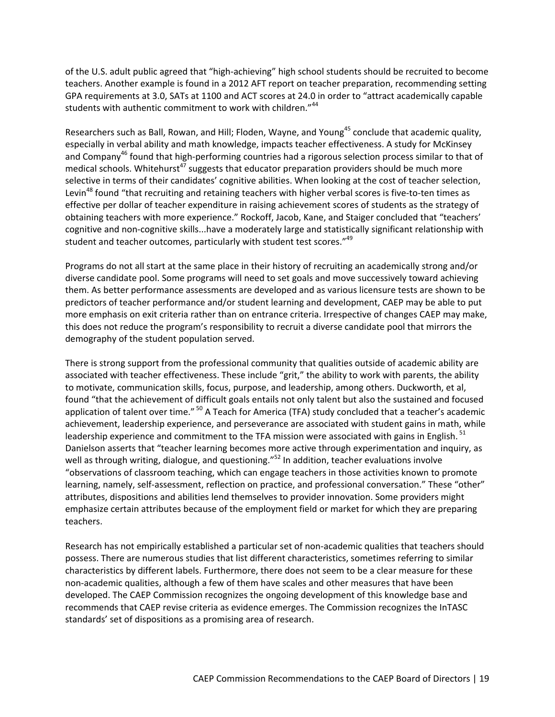of the U.S. adult public agreed that "high‐achieving" high school students should be recruited to become teachers. Another example is found in a 2012 AFT report on teacher preparation, recommending setting GPA requirements at 3.0, SATs at 1100 and ACT scores at 24.0 in order to "attract academically capable students with authentic commitment to work with children."<sup>44</sup>

Researchers such as Ball, Rowan, and Hill; Floden, Wayne, and Young<sup>45</sup> conclude that academic quality, especially in verbal ability and math knowledge, impacts teacher effectiveness. A study for McKinsey and Company<sup>46</sup> found that high-performing countries had a rigorous selection process similar to that of medical schools. Whitehurst<sup>47</sup> suggests that educator preparation providers should be much more selective in terms of their candidates' cognitive abilities. When looking at the cost of teacher selection, Levin<sup>48</sup> found "that recruiting and retaining teachers with higher verbal scores is five-to-ten times as effective per dollar of teacher expenditure in raising achievement scores of students as the strategy of obtaining teachers with more experience." Rockoff, Jacob, Kane, and Staiger concluded that "teachers' cognitive and non‐cognitive skills...have a moderately large and statistically significant relationship with student and teacher outcomes, particularly with student test scores."<sup>49</sup>

Programs do not all start at the same place in their history of recruiting an academically strong and/or diverse candidate pool. Some programs will need to set goals and move successively toward achieving them. As better performance assessments are developed and as various licensure tests are shown to be predictors of teacher performance and/or student learning and development, CAEP may be able to put more emphasis on exit criteria rather than on entrance criteria. Irrespective of changes CAEP may make, this does not reduce the program's responsibility to recruit a diverse candidate pool that mirrors the demography of the student population served.

There is strong support from the professional community that qualities outside of academic ability are associated with teacher effectiveness. These include "grit," the ability to work with parents, the ability to motivate, communication skills, focus, purpose, and leadership, among others. Duckworth, et al, found "that the achievement of difficult goals entails not only talent but also the sustained and focused application of talent over time." <sup>50</sup> A Teach for America (TFA) study concluded that a teacher's academic achievement, leadership experience, and perseverance are associated with student gains in math, while leadership experience and commitment to the TFA mission were associated with gains in English.<sup>51</sup> Danielson asserts that "teacher learning becomes more active through experimentation and inquiry, as well as through writing, dialogue, and questioning." $52$  In addition, teacher evaluations involve "observations of classroom teaching, which can engage teachers in those activities known to promote learning, namely, self-assessment, reflection on practice, and professional conversation." These "other" attributes, dispositions and abilities lend themselves to provider innovation. Some providers might emphasize certain attributes because of the employment field or market for which they are preparing teachers.

Research has not empirically established a particular set of non‐academic qualities that teachers should possess. There are numerous studies that list different characteristics, sometimes referring to similar characteristics by different labels. Furthermore, there does not seem to be a clear measure for these non‐academic qualities, although a few of them have scales and other measures that have been developed. The CAEP Commission recognizes the ongoing development of this knowledge base and recommends that CAEP revise criteria as evidence emerges. The Commission recognizes the InTASC standards' set of dispositions as a promising area of research.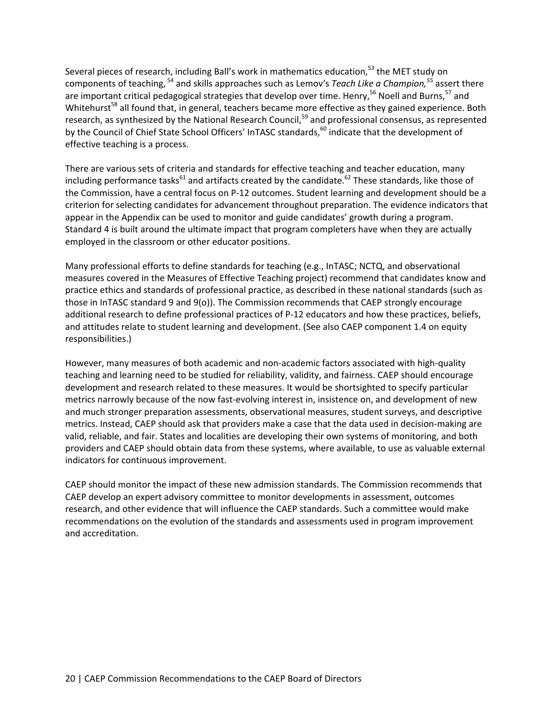Several pieces of research, including Ball's work in mathematics education,<sup>53</sup> the MET study on components of teaching, <sup>54</sup> and skills approaches such as Lemov's *Teach Like a Champion,<sup>55</sup>* assert there are important critical pedagogical strategies that develop over time. Henry,<sup>56</sup> Noell and Burns,  $57$  and Whitehurst<sup>58</sup> all found that, in general, teachers became more effective as they gained experience. Both research, as synthesized by the National Research Council,<sup>59</sup> and professional consensus, as represented by the Council of Chief State School Officers' InTASC standards,<sup>60</sup> indicate that the development of effective teaching is a process.

There are various sets of criteria and standards for effective teaching and teacher education, many including performance tasks<sup>61</sup> and artifacts created by the candidate.<sup>62</sup> These standards, like those of the Commission, have a central focus on P-12 outcomes. Student learning and development should be a criterion for selecting candidates for advancement throughout preparation. The evidence indicators that appear in the Appendix can be used to monitor and guide candidates' growth during a program. Standard 4 is built around the ultimate impact that program completers have when they are actually employed in the classroom or other educator positions.

Many professional efforts to define standards for teaching (e.g., InTASC; NCTQ, and observational measures covered in the Measures of Effective Teaching project) recommend that candidates know and practice ethics and standards of professional practice, as described in these national standards (such as those in InTASC standard 9 and 9(o)). The Commission recommends that CAEP strongly encourage additional research to define professional practices of P‐12 educators and how these practices, beliefs, and attitudes relate to student learning and development. (See also CAEP component 1.4 on equity responsibilities.)

However, many measures of both academic and non‐academic factors associated with high‐quality teaching and learning need to be studied for reliability, validity, and fairness. CAEP should encourage development and research related to these measures. It would be shortsighted to specify particular metrics narrowly because of the now fast-evolving interest in, insistence on, and development of new and much stronger preparation assessments, observational measures, student surveys, and descriptive metrics. Instead, CAEP should ask that providers make a case that the data used in decision‐making are valid, reliable, and fair. States and localities are developing their own systems of monitoring, and both providers and CAEP should obtain data from these systems, where available, to use as valuable external indicators for continuous improvement.

CAEP should monitor the impact of these new admission standards. The Commission recommends that CAEP develop an expert advisory committee to monitor developments in assessment, outcomes research, and other evidence that will influence the CAEP standards. Such a committee would make recommendations on the evolution of the standards and assessments used in program improvement and accreditation.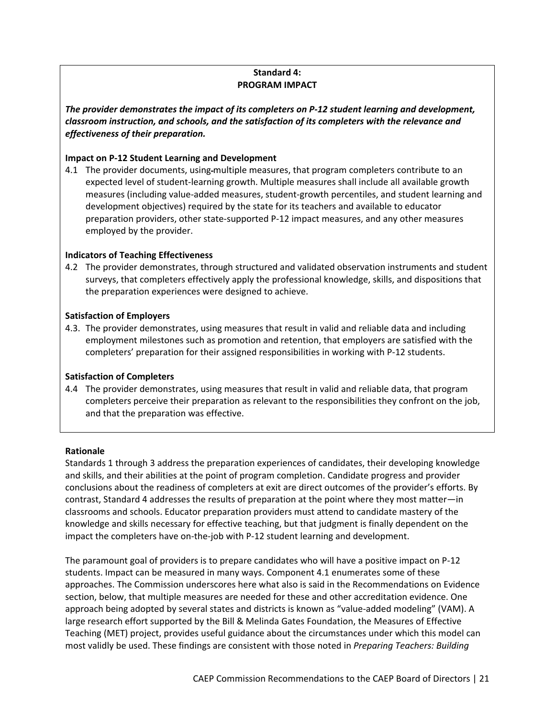## **Standard 4: PROGRAM IMPACT**

*The provider demonstrates the impact of its completers on P‐12 student learning and development, classroom instruction, and schools, and the satisfaction of its completers with the relevance and effectiveness of their preparation.*

#### **Impact on P‐12 Student Learning and Development**

4.1 The provider documents, using-multiple measures, that program completers contribute to an expected level of student‐learning growth. Multiple measures shall include all available growth measures (including value‐added measures, student‐growth percentiles, and student learning and development objectives) required by the state for its teachers and available to educator preparation providers, other state‐supported P‐12 impact measures, and any other measures employed by the provider.

#### **Indicators of Teaching Effectiveness**

4.2 The provider demonstrates, through structured and validated observation instruments and student surveys, that completers effectively apply the professional knowledge, skills, and dispositions that the preparation experiences were designed to achieve.

#### **Satisfaction of Employers**

4.3. The provider demonstrates, using measures that result in valid and reliable data and including employment milestones such as promotion and retention, that employers are satisfied with the completers' preparation for their assigned responsibilities in working with P‐12 students.

#### **Satisfaction of Completers**

4.4 The provider demonstrates, using measures that result in valid and reliable data, that program completers perceive their preparation as relevant to the responsibilities they confront on the job, and that the preparation was effective.

#### **Rationale**

Standards 1 through 3 address the preparation experiences of candidates, their developing knowledge and skills, and their abilities at the point of program completion. Candidate progress and provider conclusions about the readiness of completers at exit are direct outcomes of the provider's efforts. By contrast, Standard 4 addresses the results of preparation at the point where they most matter—in classrooms and schools. Educator preparation providers must attend to candidate mastery of the knowledge and skills necessary for effective teaching, but that judgment is finally dependent on the impact the completers have on-the-job with P-12 student learning and development.

The paramount goal of providers is to prepare candidates who will have a positive impact on P‐12 students. Impact can be measured in many ways. Component 4.1 enumerates some of these approaches. The Commission underscores here what also is said in the Recommendations on Evidence section, below, that multiple measures are needed for these and other accreditation evidence. One approach being adopted by several states and districts is known as "value‐added modeling" (VAM). A large research effort supported by the Bill & Melinda Gates Foundation, the Measures of Effective Teaching (MET) project, provides useful guidance about the circumstances under which this model can most validly be used. These findings are consistent with those noted in *Preparing Teachers: Building*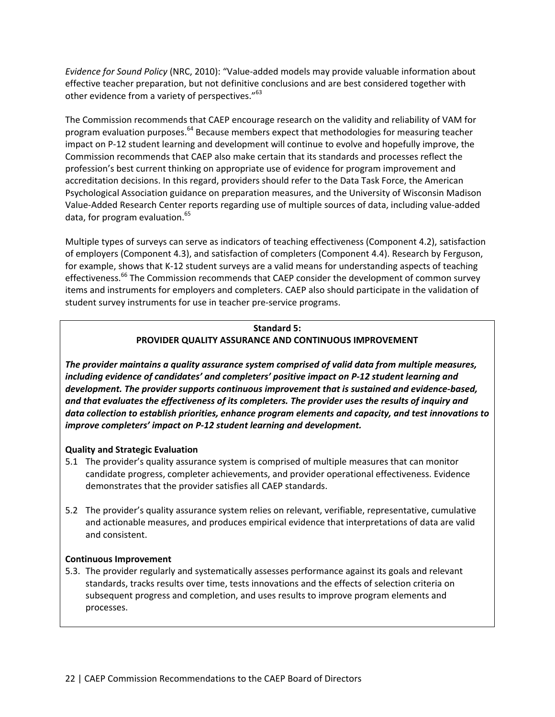*Evidence for Sound Policy* (NRC, 2010): "Value‐added models may provide valuable information about effective teacher preparation, but not definitive conclusions and are best considered together with other evidence from a variety of perspectives."<sup>63</sup>

The Commission recommends that CAEP encourage research on the validity and reliability of VAM for program evaluation purposes.<sup>64</sup> Because members expect that methodologies for measuring teacher impact on P-12 student learning and development will continue to evolve and hopefully improve, the Commission recommends that CAEP also make certain that its standards and processes reflect the profession's best current thinking on appropriate use of evidence for program improvement and accreditation decisions. In this regard, providers should refer to the Data Task Force, the American Psychological Association guidance on preparation measures, and the University of Wisconsin Madison Value‐Added Research Center reports regarding use of multiple sources of data, including value‐added data, for program evaluation.<sup>65</sup>

Multiple types of surveys can serve as indicators of teaching effectiveness (Component 4.2), satisfaction of employers (Component 4.3), and satisfaction of completers (Component 4.4). Research by Ferguson, for example, shows that K-12 student surveys are a valid means for understanding aspects of teaching effectiveness.<sup>66</sup> The Commission recommends that CAEP consider the development of common survey items and instruments for employers and completers. CAEP also should participate in the validation of student survey instruments for use in teacher pre‐service programs.

## **Standard 5: PROVIDER QUALITY ASSURANCE AND CONTINUOUS IMPROVEMENT**

*The provider maintains a quality assurance system comprised of valid data from multiple measures, including evidence of candidates' and completers' positive impact on P‐12 student learning and development. The provider supports continuous improvement that is sustained and evidence‐based, and that evaluates the effectiveness of its completers. The provider uses the results of inquiry and data collection to establish priorities, enhance program elements and capacity, and test innovations to improve completers' impact on P‐12 student learning and development.*

## **Quality and Strategic Evaluation**

- 5.1 The provider's quality assurance system is comprised of multiple measures that can monitor candidate progress, completer achievements, and provider operational effectiveness. Evidence demonstrates that the provider satisfies all CAEP standards.
- 5.2 The provider's quality assurance system relies on relevant, verifiable, representative, cumulative and actionable measures, and produces empirical evidence that interpretations of data are valid and consistent.

## **Continuous Improvement**

5.3. The provider regularly and systematically assesses performance against its goals and relevant standards, tracks results over time, tests innovations and the effects of selection criteria on subsequent progress and completion, and uses results to improve program elements and processes.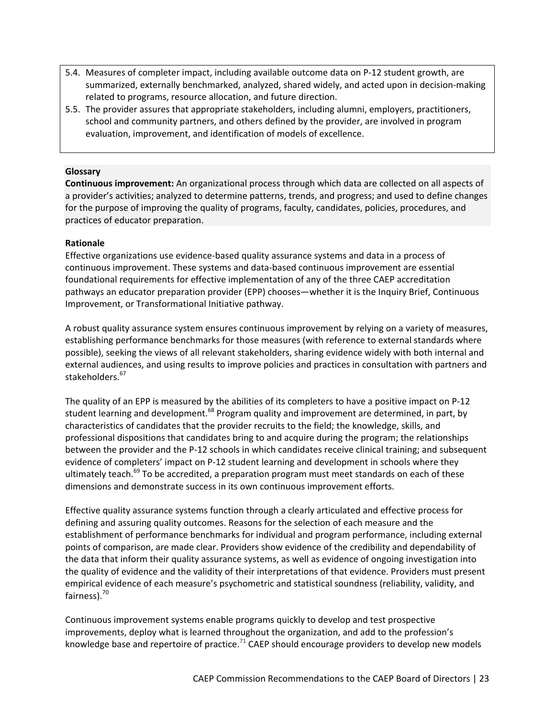- 5.4. Measures of completer impact, including available outcome data on P‐12 student growth, are summarized, externally benchmarked, analyzed, shared widely, and acted upon in decision‐making related to programs, resource allocation, and future direction.
- 5.5. The provider assures that appropriate stakeholders, including alumni, employers, practitioners, school and community partners, and others defined by the provider, are involved in program evaluation, improvement, and identification of models of excellence.

#### **Glossary**

**Continuous improvement:** An organizational process through which data are collected on all aspects of a provider's activities; analyzed to determine patterns, trends, and progress; and used to define changes for the purpose of improving the quality of programs, faculty, candidates, policies, procedures, and practices of educator preparation.

#### **Rationale**

Effective organizations use evidence‐based quality assurance systems and data in a process of continuous improvement. These systems and data‐based continuous improvement are essential foundational requirements for effective implementation of any of the three CAEP accreditation pathways an educator preparation provider (EPP) chooses—whether it is the Inquiry Brief, Continuous Improvement, or Transformational Initiative pathway.

A robust quality assurance system ensures continuous improvement by relying on a variety of measures, establishing performance benchmarks for those measures (with reference to external standards where possible), seeking the views of all relevant stakeholders, sharing evidence widely with both internal and external audiences, and using results to improve policies and practices in consultation with partners and stakeholders.<sup>67</sup>

The quality of an EPP is measured by the abilities of its completers to have a positive impact on P‐12 student learning and development.<sup>68</sup> Program quality and improvement are determined, in part, by characteristics of candidates that the provider recruits to the field; the knowledge, skills, and professional dispositions that candidates bring to and acquire during the program; the relationships between the provider and the P‐12 schools in which candidates receive clinical training; and subsequent evidence of completers' impact on P‐12 student learning and development in schools where they ultimately teach.<sup>69</sup> To be accredited, a preparation program must meet standards on each of these dimensions and demonstrate success in its own continuous improvement efforts.

Effective quality assurance systems function through a clearly articulated and effective process for defining and assuring quality outcomes. Reasons for the selection of each measure and the establishment of performance benchmarks for individual and program performance, including external points of comparison, are made clear. Providers show evidence of the credibility and dependability of the data that inform their quality assurance systems, as well as evidence of ongoing investigation into the quality of evidence and the validity of their interpretations of that evidence. Providers must present empirical evidence of each measure's psychometric and statistical soundness (reliability, validity, and fairness).<sup>70</sup>

Continuous improvement systems enable programs quickly to develop and test prospective improvements, deploy what is learned throughout the organization, and add to the profession's knowledge base and repertoire of practice.<sup>71</sup> CAEP should encourage providers to develop new models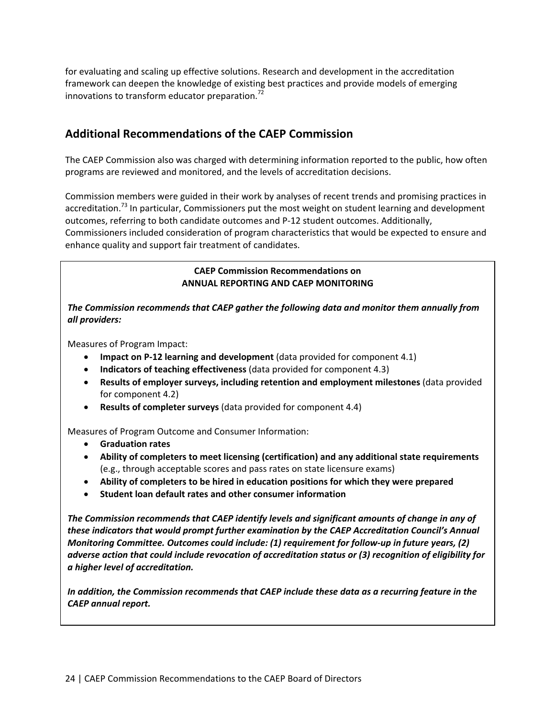for evaluating and scaling up effective solutions. Research and development in the accreditation framework can deepen the knowledge of existing best practices and provide models of emerging innovations to transform educator preparation.<sup>72</sup>

## **Additional Recommendations of the CAEP Commission**

The CAEP Commission also was charged with determining information reported to the public, how often programs are reviewed and monitored, and the levels of accreditation decisions.

Commission members were guided in their work by analyses of recent trends and promising practices in accreditation.<sup>73</sup> In particular, Commissioners put the most weight on student learning and development outcomes, referring to both candidate outcomes and P‐12 student outcomes. Additionally, Commissioners included consideration of program characteristics that would be expected to ensure and enhance quality and support fair treatment of candidates.

## **CAEP Commission Recommendations on ANNUAL REPORTING AND CAEP MONITORING**

## *The Commission recommends that CAEP gather the following data and monitor them annually from all providers:*

Measures of Program Impact:

- **Impact on P‐12 learning and development** (data provided for component 4.1)
- **Indicators of teaching effectiveness** (data provided for component 4.3)
- **Results of employer surveys, including retention and employment milestones** (data provided for component 4.2)
- **Results of completer surveys** (data provided for component 4.4)

Measures of Program Outcome and Consumer Information:

- **Graduation rates**
- **Ability of completers to meet licensing (certification) and any additional state requirements** (e.g., through acceptable scores and pass rates on state licensure exams)
- **Ability of completers to be hired in education positions for which they were prepared**
- **Student loan default rates and other consumer information**

*The Commission recommends that CAEP identify levels and significant amounts of change in any of these indicators that would prompt further examination by the CAEP Accreditation Council's Annual Monitoring Committee. Outcomes could include: (1) requirement for follow‐up in future years, (2) adverse action that could include revocation of accreditation status or (3) recognition of eligibility for a higher level of accreditation.* 

*In addition, the Commission recommends that CAEP include these data as a recurring feature in the CAEP annual report.*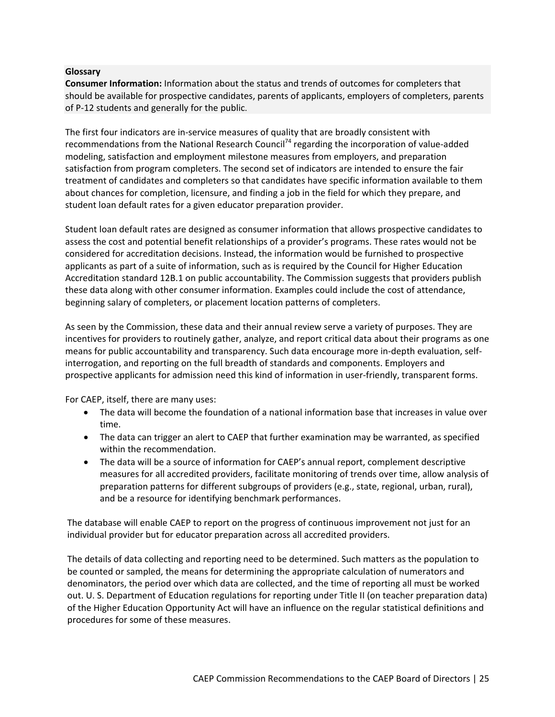#### **Glossary**

**Consumer Information:** Information about the status and trends of outcomes for completers that should be available for prospective candidates, parents of applicants, employers of completers, parents of P‐12 students and generally for the public.

The first four indicators are in‐service measures of quality that are broadly consistent with recommendations from the National Research Council<sup>74</sup> regarding the incorporation of value-added modeling, satisfaction and employment milestone measures from employers, and preparation satisfaction from program completers. The second set of indicators are intended to ensure the fair treatment of candidates and completers so that candidates have specific information available to them about chances for completion, licensure, and finding a job in the field for which they prepare, and student loan default rates for a given educator preparation provider.

Student loan default rates are designed as consumer information that allows prospective candidates to assess the cost and potential benefit relationships of a provider's programs. These rates would not be considered for accreditation decisions. Instead, the information would be furnished to prospective applicants as part of a suite of information, such as is required by the Council for Higher Education Accreditation standard 12B.1 on public accountability. The Commission suggests that providers publish these data along with other consumer information. Examples could include the cost of attendance, beginning salary of completers, or placement location patterns of completers.

As seen by the Commission, these data and their annual review serve a variety of purposes. They are incentives for providers to routinely gather, analyze, and report critical data about their programs as one means for public accountability and transparency. Such data encourage more in‐depth evaluation, self‐ interrogation, and reporting on the full breadth of standards and components. Employers and prospective applicants for admission need this kind of information in user‐friendly, transparent forms.

For CAEP, itself, there are many uses:

- The data will become the foundation of a national information base that increases in value over time.
- The data can trigger an alert to CAEP that further examination may be warranted, as specified within the recommendation.
- The data will be a source of information for CAEP's annual report, complement descriptive measures for all accredited providers, facilitate monitoring of trends over time, allow analysis of preparation patterns for different subgroups of providers (e.g., state, regional, urban, rural), and be a resource for identifying benchmark performances.

The database will enable CAEP to report on the progress of continuous improvement not just for an individual provider but for educator preparation across all accredited providers.

The details of data collecting and reporting need to be determined. Such matters as the population to be counted or sampled, the means for determining the appropriate calculation of numerators and denominators, the period over which data are collected, and the time of reporting all must be worked out. U. S. Department of Education regulations for reporting under Title II (on teacher preparation data) of the Higher Education Opportunity Act will have an influence on the regular statistical definitions and procedures for some of these measures.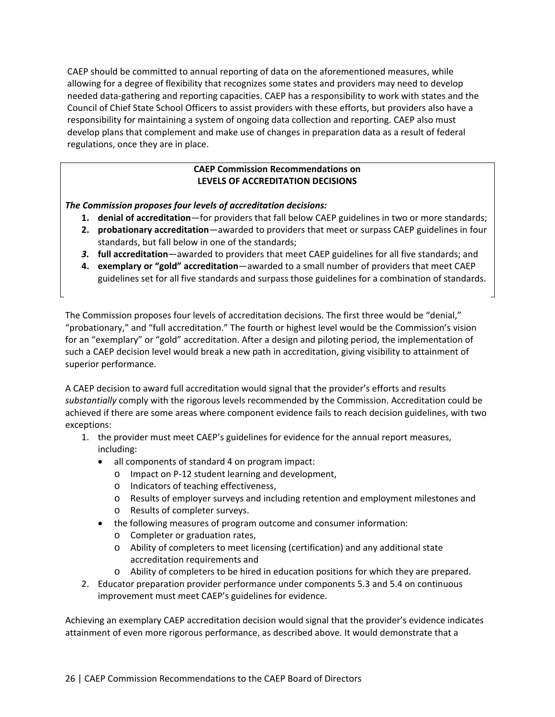CAEP should be committed to annual reporting of data on the aforementioned measures, while allowing for a degree of flexibility that recognizes some states and providers may need to develop needed data‐gathering and reporting capacities. CAEP has a responsibility to work with states and the Council of Chief State School Officers to assist providers with these efforts, but providers also have a responsibility for maintaining a system of ongoing data collection and reporting. CAEP also must develop plans that complement and make use of changes in preparation data as a result of federal regulations, once they are in place.

## **CAEP Commission Recommendations on LEVELS OF ACCREDITATION DECISIONS**

*The Commission proposes four levels of accreditation decisions:*

- **1. denial of accreditation**—for providers that fall below CAEP guidelines in two or more standards;
- **2. probationary accreditation**—awarded to providers that meet or surpass CAEP guidelines in four standards, but fall below in one of the standards;
- *3.* **full accreditation**—awarded to providers that meet CAEP guidelines for all five standards; and
- **4. exemplary or "gold" accreditation**—awarded to a small number of providers that meet CAEP guidelines set for all five standards and surpass those guidelines for a combination of standards.

The Commission proposes four levels of accreditation decisions. The first three would be "denial," "probationary," and "full accreditation." The fourth or highest level would be the Commission's vision for an "exemplary" or "gold" accreditation. After a design and piloting period, the implementation of such a CAEP decision level would break a new path in accreditation, giving visibility to attainment of superior performance.

A CAEP decision to award full accreditation would signal that the provider's efforts and results *substantially* comply with the rigorous levels recommended by the Commission. Accreditation could be achieved if there are some areas where component evidence fails to reach decision guidelines, with two exceptions:

- 1. the provider must meet CAEP's guidelines for evidence for the annual report measures, including:
	- all components of standard 4 on program impact:
		- o Impact on P‐12 student learning and development,
		- o Indicators of teaching effectiveness,
		- o Results of employer surveys and including retention and employment milestones and
		- o Results of completer surveys.
	- the following measures of program outcome and consumer information:
		- o Completer or graduation rates,
		- o Ability of completers to meet licensing (certification) and any additional state accreditation requirements and
		- o Ability of completers to be hired in education positions for which they are prepared.
- 2. Educator preparation provider performance under components 5.3 and 5.4 on continuous improvement must meet CAEP's guidelines for evidence.

Achieving an exemplary CAEP accreditation decision would signal that the provider's evidence indicates attainment of even more rigorous performance, as described above. It would demonstrate that a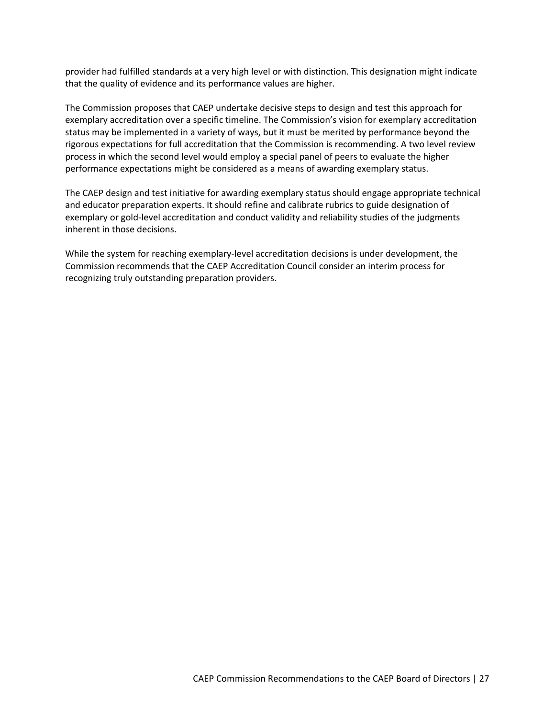provider had fulfilled standards at a very high level or with distinction. This designation might indicate that the quality of evidence and its performance values are higher.

The Commission proposes that CAEP undertake decisive steps to design and test this approach for exemplary accreditation over a specific timeline. The Commission's vision for exemplary accreditation status may be implemented in a variety of ways, but it must be merited by performance beyond the rigorous expectations for full accreditation that the Commission is recommending. A two level review process in which the second level would employ a special panel of peers to evaluate the higher performance expectations might be considered as a means of awarding exemplary status.

The CAEP design and test initiative for awarding exemplary status should engage appropriate technical and educator preparation experts. It should refine and calibrate rubrics to guide designation of exemplary or gold‐level accreditation and conduct validity and reliability studies of the judgments inherent in those decisions.

While the system for reaching exemplary‐level accreditation decisions is under development, the Commission recommends that the CAEP Accreditation Council consider an interim process for recognizing truly outstanding preparation providers.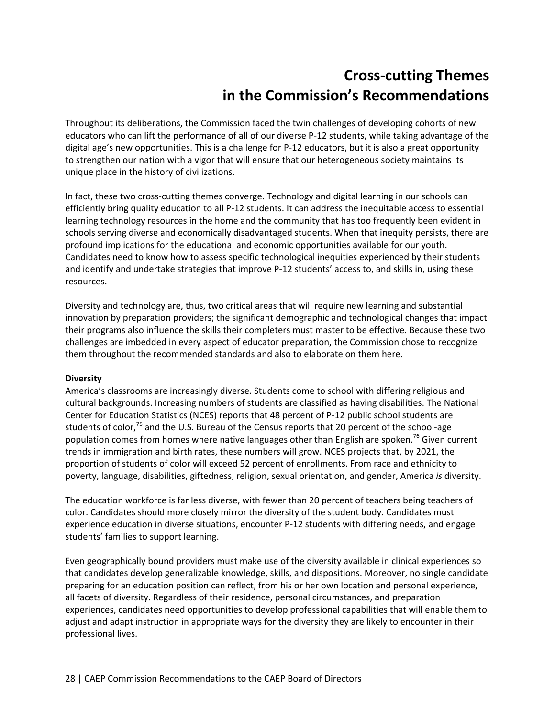## **Cross‐cutting Themes in the Commission's Recommendations**

Throughout its deliberations, the Commission faced the twin challenges of developing cohorts of new educators who can lift the performance of all of our diverse P‐12 students, while taking advantage of the digital age's new opportunities. This is a challenge for P‐12 educators, but it is also a great opportunity to strengthen our nation with a vigor that will ensure that our heterogeneous society maintains its unique place in the history of civilizations.

In fact, these two cross-cutting themes converge. Technology and digital learning in our schools can efficiently bring quality education to all P‐12 students. It can address the inequitable access to essential learning technology resources in the home and the community that has too frequently been evident in schools serving diverse and economically disadvantaged students. When that inequity persists, there are profound implications for the educational and economic opportunities available for our youth. Candidates need to know how to assess specific technological inequities experienced by their students and identify and undertake strategies that improve P-12 students' access to, and skills in, using these resources.

Diversity and technology are, thus, two critical areas that will require new learning and substantial innovation by preparation providers; the significant demographic and technological changes that impact their programs also influence the skills their completers must master to be effective. Because these two challenges are imbedded in every aspect of educator preparation, the Commission chose to recognize them throughout the recommended standards and also to elaborate on them here.

## **Diversity**

America's classrooms are increasingly diverse. Students come to school with differing religious and cultural backgrounds. Increasing numbers of students are classified as having disabilities. The National Center for Education Statistics (NCES) reports that 48 percent of P‐12 public school students are students of color,<sup>75</sup> and the U.S. Bureau of the Census reports that 20 percent of the school-age population comes from homes where native languages other than English are spoken.<sup>76</sup> Given current trends in immigration and birth rates, these numbers will grow. NCES projects that, by 2021, the proportion of students of color will exceed 52 percent of enrollments. From race and ethnicity to poverty, language, disabilities, giftedness, religion, sexual orientation, and gender, America *is* diversity.

The education workforce is far less diverse, with fewer than 20 percent of teachers being teachers of color. Candidates should more closely mirror the diversity of the student body. Candidates must experience education in diverse situations, encounter P‐12 students with differing needs, and engage students' families to support learning.

Even geographically bound providers must make use of the diversity available in clinical experiences so that candidates develop generalizable knowledge, skills, and dispositions. Moreover, no single candidate preparing for an education position can reflect, from his or her own location and personal experience, all facets of diversity. Regardless of their residence, personal circumstances, and preparation experiences, candidates need opportunities to develop professional capabilities that will enable them to adjust and adapt instruction in appropriate ways for the diversity they are likely to encounter in their professional lives.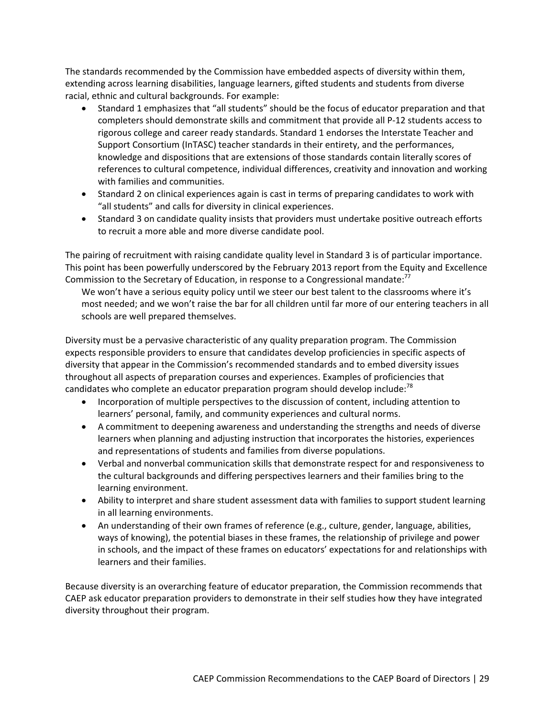The standards recommended by the Commission have embedded aspects of diversity within them, extending across learning disabilities, language learners, gifted students and students from diverse racial, ethnic and cultural backgrounds. For example:

- Standard 1 emphasizes that "all students" should be the focus of educator preparation and that completers should demonstrate skills and commitment that provide all P‐12 students access to rigorous college and career ready standards. Standard 1 endorses the Interstate Teacher and Support Consortium (InTASC) teacher standards in their entirety, and the performances, knowledge and dispositions that are extensions of those standards contain literally scores of references to cultural competence, individual differences, creativity and innovation and working with families and communities.
- Standard 2 on clinical experiences again is cast in terms of preparing candidates to work with "all students" and calls for diversity in clinical experiences.
- Standard 3 on candidate quality insists that providers must undertake positive outreach efforts to recruit a more able and more diverse candidate pool.

The pairing of recruitment with raising candidate quality level in Standard 3 is of particular importance. This point has been powerfully underscored by the February 2013 report from the Equity and Excellence Commission to the Secretary of Education, in response to a Congressional mandate:<sup>77</sup>

We won't have a serious equity policy until we steer our best talent to the classrooms where it's most needed; and we won't raise the bar for all children until far more of our entering teachers in all schools are well prepared themselves.

Diversity must be a pervasive characteristic of any quality preparation program. The Commission expects responsible providers to ensure that candidates develop proficiencies in specific aspects of diversity that appear in the Commission's recommended standards and to embed diversity issues throughout all aspects of preparation courses and experiences. Examples of proficiencies that candidates who complete an educator preparation program should develop include:<sup>78</sup>

- Incorporation of multiple perspectives to the discussion of content, including attention to learners' personal, family, and community experiences and cultural norms.
- A commitment to deepening awareness and understanding the strengths and needs of diverse learners when planning and adjusting instruction that incorporates the histories, experiences and representations of students and families from diverse populations.
- Verbal and nonverbal communication skills that demonstrate respect for and responsiveness to the cultural backgrounds and differing perspectives learners and their families bring to the learning environment.
- Ability to interpret and share student assessment data with families to support student learning in all learning environments.
- An understanding of their own frames of reference (e.g., culture, gender, language, abilities, ways of knowing), the potential biases in these frames, the relationship of privilege and power in schools, and the impact of these frames on educators' expectations for and relationships with learners and their families.

Because diversity is an overarching feature of educator preparation, the Commission recommends that CAEP ask educator preparation providers to demonstrate in their self studies how they have integrated diversity throughout their program.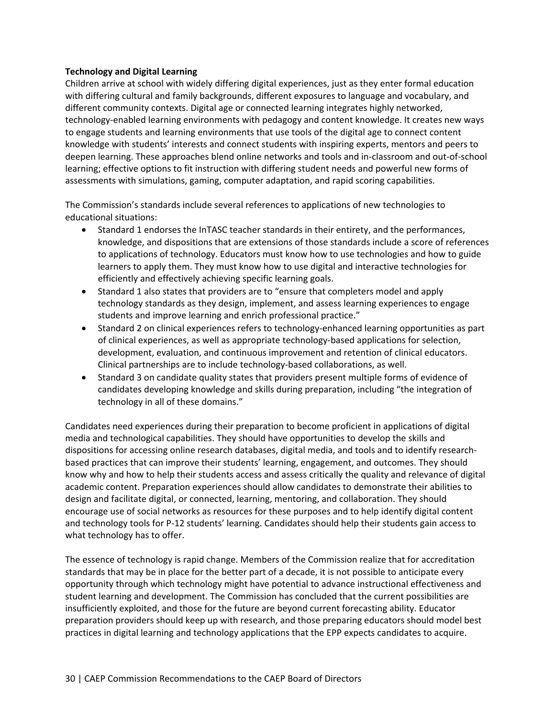## **Technology and Digital Learning**

Children arrive at school with widely differing digital experiences, just as they enter formal education with differing cultural and family backgrounds, different exposures to language and vocabulary, and different community contexts. Digital age or connected learning integrates highly networked, technology‐enabled learning environments with pedagogy and content knowledge. It creates new ways to engage students and learning environments that use tools of the digital age to connect content knowledge with students' interests and connect students with inspiring experts, mentors and peers to deepen learning. These approaches blend online networks and tools and in‐classroom and out‐of‐school learning; effective options to fit instruction with differing student needs and powerful new forms of assessments with simulations, gaming, computer adaptation, and rapid scoring capabilities.

The Commission's standards include several references to applications of new technologies to educational situations:

- Standard 1 endorses the InTASC teacher standards in their entirety, and the performances, knowledge, and dispositions that are extensions of those standards include a score of references to applications of technology. Educators must know how to use technologies and how to guide learners to apply them. They must know how to use digital and interactive technologies for efficiently and effectively achieving specific learning goals.
- Standard 1 also states that providers are to "ensure that completers model and apply technology standards as they design, implement, and assess learning experiences to engage students and improve learning and enrich professional practice."
- Standard 2 on clinical experiences refers to technology‐enhanced learning opportunities as part of clinical experiences, as well as appropriate technology‐based applications for selection, development, evaluation, and continuous improvement and retention of clinical educators. Clinical partnerships are to include technology‐based collaborations, as well.
- Standard 3 on candidate quality states that providers present multiple forms of evidence of candidates developing knowledge and skills during preparation, including "the integration of technology in all of these domains."

Candidates need experiences during their preparation to become proficient in applications of digital media and technological capabilities. They should have opportunities to develop the skills and dispositions for accessing online research databases, digital media, and tools and to identify research‐ based practices that can improve their students' learning, engagement, and outcomes. They should know why and how to help their students access and assess critically the quality and relevance of digital academic content. Preparation experiences should allow candidates to demonstrate their abilities to design and facilitate digital, or connected, learning, mentoring, and collaboration. They should encourage use of social networks as resources for these purposes and to help identify digital content and technology tools for P‐12 students' learning. Candidates should help their students gain access to what technology has to offer.

The essence of technology is rapid change. Members of the Commission realize that for accreditation standards that may be in place for the better part of a decade, it is not possible to anticipate every opportunity through which technology might have potential to advance instructional effectiveness and student learning and development. The Commission has concluded that the current possibilities are insufficiently exploited, and those for the future are beyond current forecasting ability. Educator preparation providers should keep up with research, and those preparing educators should model best practices in digital learning and technology applications that the EPP expects candidates to acquire.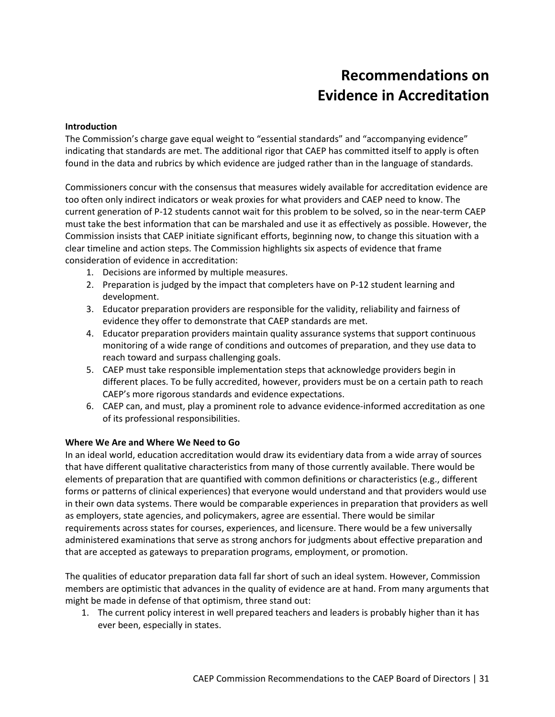# **Recommendations on Evidence in Accreditation**

#### **Introduction**

The Commission's charge gave equal weight to "essential standards" and "accompanying evidence" indicating that standards are met. The additional rigor that CAEP has committed itself to apply is often found in the data and rubrics by which evidence are judged rather than in the language of standards.

Commissioners concur with the consensus that measures widely available for accreditation evidence are too often only indirect indicators or weak proxies for what providers and CAEP need to know. The current generation of P‐12 students cannot wait for this problem to be solved, so in the near‐term CAEP must take the best information that can be marshaled and use it as effectively as possible. However, the Commission insists that CAEP initiate significant efforts, beginning now, to change this situation with a clear timeline and action steps. The Commission highlights six aspects of evidence that frame consideration of evidence in accreditation:

- 1. Decisions are informed by multiple measures.
- 2. Preparation is judged by the impact that completers have on P-12 student learning and development.
- 3. Educator preparation providers are responsible for the validity, reliability and fairness of evidence they offer to demonstrate that CAEP standards are met.
- 4. Educator preparation providers maintain quality assurance systems that support continuous monitoring of a wide range of conditions and outcomes of preparation, and they use data to reach toward and surpass challenging goals.
- 5. CAEP must take responsible implementation steps that acknowledge providers begin in different places. To be fully accredited, however, providers must be on a certain path to reach CAEP's more rigorous standards and evidence expectations.
- 6. CAEP can, and must, play a prominent role to advance evidence‐informed accreditation as one of its professional responsibilities.

## **Where We Are and Where We Need to Go**

In an ideal world, education accreditation would draw its evidentiary data from a wide array of sources that have different qualitative characteristics from many of those currently available. There would be elements of preparation that are quantified with common definitions or characteristics (e.g., different forms or patterns of clinical experiences) that everyone would understand and that providers would use in their own data systems. There would be comparable experiences in preparation that providers as well as employers, state agencies, and policymakers, agree are essential. There would be similar requirements across states for courses, experiences, and licensure. There would be a few universally administered examinations that serve as strong anchors for judgments about effective preparation and that are accepted as gateways to preparation programs, employment, or promotion.

The qualities of educator preparation data fall far short of such an ideal system. However, Commission members are optimistic that advances in the quality of evidence are at hand. From many arguments that might be made in defense of that optimism, three stand out:

1. The current policy interest in well prepared teachers and leaders is probably higher than it has ever been, especially in states.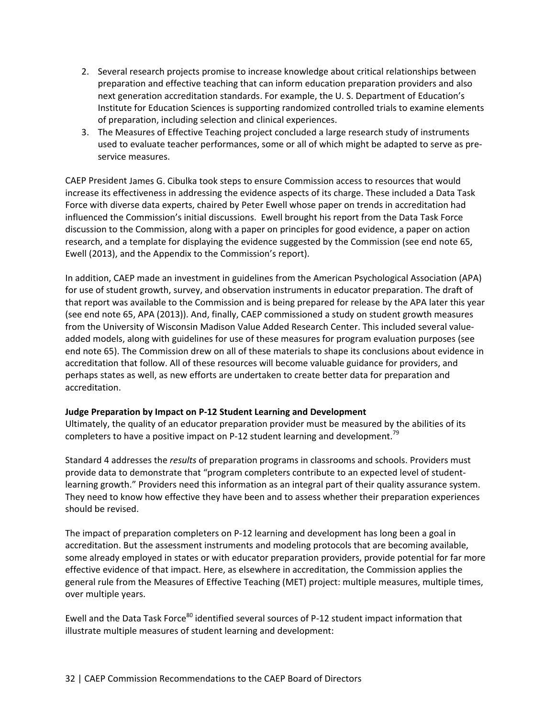- 2. Several research projects promise to increase knowledge about critical relationships between preparation and effective teaching that can inform education preparation providers and also next generation accreditation standards. For example, the U. S. Department of Education's Institute for Education Sciences is supporting randomized controlled trials to examine elements of preparation, including selection and clinical experiences.
- 3. The Measures of Effective Teaching project concluded a large research study of instruments used to evaluate teacher performances, some or all of which might be adapted to serve as pre‐ service measures.

CAEP President James G. Cibulka took steps to ensure Commission access to resources that would increase its effectiveness in addressing the evidence aspects of its charge. These included a Data Task Force with diverse data experts, chaired by Peter Ewell whose paper on trends in accreditation had influenced the Commission's initial discussions. Ewell brought his report from the Data Task Force discussion to the Commission, along with a paper on principles for good evidence, a paper on action research, and a template for displaying the evidence suggested by the Commission (see end note 65, Ewell (2013), and the Appendix to the Commission's report).

In addition, CAEP made an investment in guidelines from the American Psychological Association (APA) for use of student growth, survey, and observation instruments in educator preparation. The draft of that report was available to the Commission and is being prepared for release by the APA later this year (see end note 65, APA (2013)). And, finally, CAEP commissioned a study on student growth measures from the University of Wisconsin Madison Value Added Research Center. This included several value‐ added models, along with guidelines for use of these measures for program evaluation purposes (see end note 65). The Commission drew on all of these materials to shape its conclusions about evidence in accreditation that follow. All of these resources will become valuable guidance for providers, and perhaps states as well, as new efforts are undertaken to create better data for preparation and accreditation.

## **Judge Preparation by Impact on P‐12 Student Learning and Development**

Ultimately, the quality of an educator preparation provider must be measured by the abilities of its completers to have a positive impact on P-12 student learning and development.<sup>79</sup>

Standard 4 addresses the *results* of preparation programs in classrooms and schools. Providers must provide data to demonstrate that "program completers contribute to an expected level of student‐ learning growth." Providers need this information as an integral part of their quality assurance system. They need to know how effective they have been and to assess whether their preparation experiences should be revised.

The impact of preparation completers on P-12 learning and development has long been a goal in accreditation. But the assessment instruments and modeling protocols that are becoming available, some already employed in states or with educator preparation providers, provide potential for far more effective evidence of that impact. Here, as elsewhere in accreditation, the Commission applies the general rule from the Measures of Effective Teaching (MET) project: multiple measures, multiple times, over multiple years.

Ewell and the Data Task Force<sup>80</sup> identified several sources of P-12 student impact information that illustrate multiple measures of student learning and development: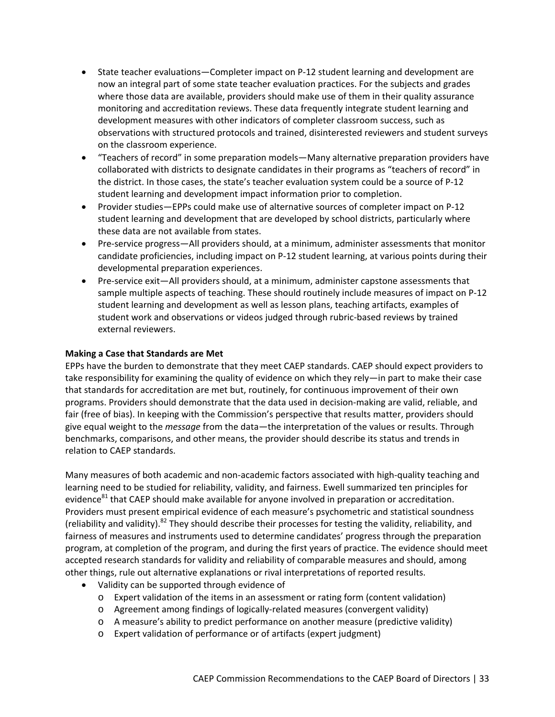- State teacher evaluations—Completer impact on P-12 student learning and development are now an integral part of some state teacher evaluation practices. For the subjects and grades where those data are available, providers should make use of them in their quality assurance monitoring and accreditation reviews. These data frequently integrate student learning and development measures with other indicators of completer classroom success, such as observations with structured protocols and trained, disinterested reviewers and student surveys on the classroom experience.
- "Teachers of record" in some preparation models—Many alternative preparation providers have collaborated with districts to designate candidates in their programs as "teachers of record" in the district. In those cases, the state's teacher evaluation system could be a source of P‐12 student learning and development impact information prior to completion.
- Provider studies—EPPs could make use of alternative sources of completer impact on P-12 student learning and development that are developed by school districts, particularly where these data are not available from states.
- Pre-service progress—All providers should, at a minimum, administer assessments that monitor candidate proficiencies, including impact on P‐12 student learning, at various points during their developmental preparation experiences.
- Pre-service exit—All providers should, at a minimum, administer capstone assessments that sample multiple aspects of teaching. These should routinely include measures of impact on P-12 student learning and development as well as lesson plans, teaching artifacts, examples of student work and observations or videos judged through rubric‐based reviews by trained external reviewers.

## **Making a Case that Standards are Met**

EPPs have the burden to demonstrate that they meet CAEP standards. CAEP should expect providers to take responsibility for examining the quality of evidence on which they rely—in part to make their case that standards for accreditation are met but, routinely, for continuous improvement of their own programs. Providers should demonstrate that the data used in decision‐making are valid, reliable, and fair (free of bias). In keeping with the Commission's perspective that results matter, providers should give equal weight to the *message* from the data—the interpretation of the values or results. Through benchmarks, comparisons, and other means, the provider should describe its status and trends in relation to CAEP standards.

Many measures of both academic and non‐academic factors associated with high‐quality teaching and learning need to be studied for reliability, validity, and fairness. Ewell summarized ten principles for evidence<sup>81</sup> that CAEP should make available for anyone involved in preparation or accreditation. Providers must present empirical evidence of each measure's psychometric and statistical soundness (reliability and validity).<sup>82</sup> They should describe their processes for testing the validity, reliability, and fairness of measures and instruments used to determine candidates' progress through the preparation program, at completion of the program, and during the first years of practice. The evidence should meet accepted research standards for validity and reliability of comparable measures and should, among other things, rule out alternative explanations or rival interpretations of reported results.

- Validity can be supported through evidence of
	- o Expert validation of the items in an assessment or rating form (content validation)
	- o Agreement among findings of logically‐related measures (convergent validity)
	- o A measure's ability to predict performance on another measure (predictive validity)
	- o Expert validation of performance or of artifacts (expert judgment)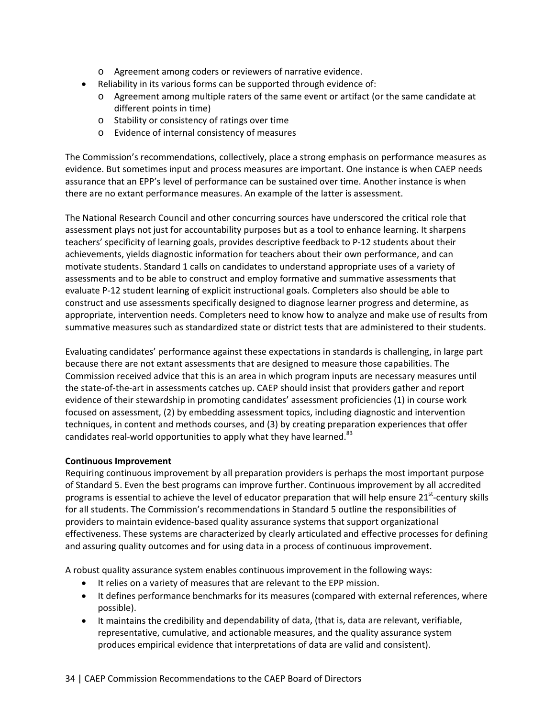- o Agreement among coders or reviewers of narrative evidence.
- Reliability in its various forms can be supported through evidence of:
	- o Agreement among multiple raters of the same event or artifact (or the same candidate at different points in time)
	- o Stability or consistency of ratings over time
	- o Evidence of internal consistency of measures

The Commission's recommendations, collectively, place a strong emphasis on performance measures as evidence. But sometimes input and process measures are important. One instance is when CAEP needs assurance that an EPP's level of performance can be sustained over time. Another instance is when there are no extant performance measures. An example of the latter is assessment.

The National Research Council and other concurring sources have underscored the critical role that assessment plays not just for accountability purposes but as a tool to enhance learning. It sharpens teachers' specificity of learning goals, provides descriptive feedback to P‐12 students about their achievements, yields diagnostic information for teachers about their own performance, and can motivate students. Standard 1 calls on candidates to understand appropriate uses of a variety of assessments and to be able to construct and employ formative and summative assessments that evaluate P‐12 student learning of explicit instructional goals. Completers also should be able to construct and use assessments specifically designed to diagnose learner progress and determine, as appropriate, intervention needs. Completers need to know how to analyze and make use of results from summative measures such as standardized state or district tests that are administered to their students.

Evaluating candidates' performance against these expectations in standards is challenging, in large part because there are not extant assessments that are designed to measure those capabilities. The Commission received advice that this is an area in which program inputs are necessary measures until the state-of-the-art in assessments catches up. CAEP should insist that providers gather and report evidence of their stewardship in promoting candidates' assessment proficiencies (1) in course work focused on assessment, (2) by embedding assessment topics, including diagnostic and intervention techniques, in content and methods courses, and (3) by creating preparation experiences that offer candidates real-world opportunities to apply what they have learned.<sup>83</sup>

## **Continuous Improvement**

Requiring continuous improvement by all preparation providers is perhaps the most important purpose of Standard 5. Even the best programs can improve further. Continuous improvement by all accredited programs is essential to achieve the level of educator preparation that will help ensure 21<sup>st</sup>-century skills for all students. The Commission's recommendations in Standard 5 outline the responsibilities of providers to maintain evidence‐based quality assurance systems that support organizational effectiveness. These systems are characterized by clearly articulated and effective processes for defining and assuring quality outcomes and for using data in a process of continuous improvement.

A robust quality assurance system enables continuous improvement in the following ways:

- It relies on a variety of measures that are relevant to the EPP mission.
- It defines performance benchmarks for its measures (compared with external references, where possible).
- It maintains the credibility and dependability of data, (that is, data are relevant, verifiable, representative, cumulative, and actionable measures, and the quality assurance system produces empirical evidence that interpretations of data are valid and consistent).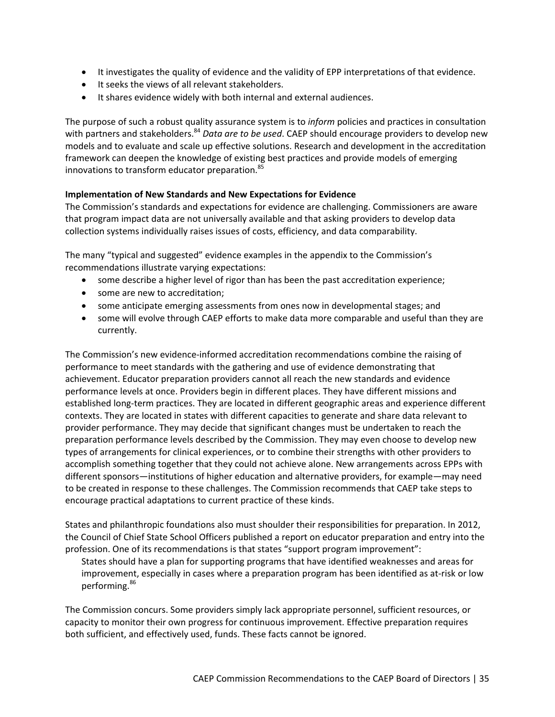- It investigates the quality of evidence and the validity of EPP interpretations of that evidence.
- $\bullet$  It seeks the views of all relevant stakeholders.
- It shares evidence widely with both internal and external audiences.

The purpose of such a robust quality assurance system is to *inform* policies and practices in consultation with partners and stakeholders.<sup>84</sup> Data are to be used. CAEP should encourage providers to develop new models and to evaluate and scale up effective solutions. Research and development in the accreditation framework can deepen the knowledge of existing best practices and provide models of emerging innovations to transform educator preparation.<sup>85</sup>

## **Implementation of New Standards and New Expectations for Evidence**

The Commission's standards and expectations for evidence are challenging. Commissioners are aware that program impact data are not universally available and that asking providers to develop data collection systems individually raises issues of costs, efficiency, and data comparability.

The many "typical and suggested" evidence examples in the appendix to the Commission's recommendations illustrate varying expectations:

- some describe a higher level of rigor than has been the past accreditation experience;
- some are new to accreditation;
- some anticipate emerging assessments from ones now in developmental stages; and
- some will evolve through CAEP efforts to make data more comparable and useful than they are currently.

The Commission's new evidence‐informed accreditation recommendations combine the raising of performance to meet standards with the gathering and use of evidence demonstrating that achievement. Educator preparation providers cannot all reach the new standards and evidence performance levels at once. Providers begin in different places. They have different missions and established long-term practices. They are located in different geographic areas and experience different contexts. They are located in states with different capacities to generate and share data relevant to provider performance. They may decide that significant changes must be undertaken to reach the preparation performance levels described by the Commission. They may even choose to develop new types of arrangements for clinical experiences, or to combine their strengths with other providers to accomplish something together that they could not achieve alone. New arrangements across EPPs with different sponsors—institutions of higher education and alternative providers, for example—may need to be created in response to these challenges. The Commission recommends that CAEP take steps to encourage practical adaptations to current practice of these kinds.

States and philanthropic foundations also must shoulder their responsibilities for preparation. In 2012, the Council of Chief State School Officers published a report on educator preparation and entry into the profession. One of its recommendations is that states "support program improvement":

States should have a plan for supporting programs that have identified weaknesses and areas for improvement, especially in cases where a preparation program has been identified as at‐risk or low performing.<sup>86</sup>

The Commission concurs. Some providers simply lack appropriate personnel, sufficient resources, or capacity to monitor their own progress for continuous improvement. Effective preparation requires both sufficient, and effectively used, funds. These facts cannot be ignored.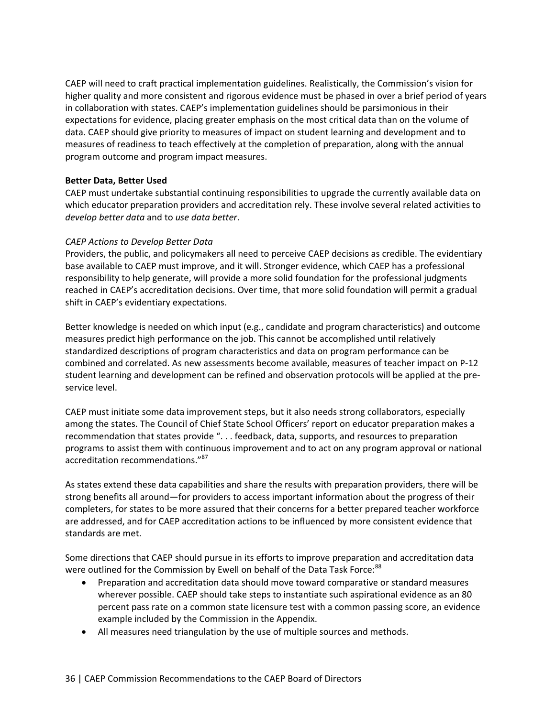CAEP will need to craft practical implementation guidelines. Realistically, the Commission's vision for higher quality and more consistent and rigorous evidence must be phased in over a brief period of years in collaboration with states. CAEP's implementation guidelines should be parsimonious in their expectations for evidence, placing greater emphasis on the most critical data than on the volume of data. CAEP should give priority to measures of impact on student learning and development and to measures of readiness to teach effectively at the completion of preparation, along with the annual program outcome and program impact measures.

## **Better Data, Better Used**

CAEP must undertake substantial continuing responsibilities to upgrade the currently available data on which educator preparation providers and accreditation rely. These involve several related activities to *develop better data* and to *use data better*.

#### *CAEP Actions to Develop Better Data*

Providers, the public, and policymakers all need to perceive CAEP decisions as credible. The evidentiary base available to CAEP must improve, and it will. Stronger evidence, which CAEP has a professional responsibility to help generate, will provide a more solid foundation for the professional judgments reached in CAEP's accreditation decisions. Over time, that more solid foundation will permit a gradual shift in CAEP's evidentiary expectations.

Better knowledge is needed on which input (e.g., candidate and program characteristics) and outcome measures predict high performance on the job. This cannot be accomplished until relatively standardized descriptions of program characteristics and data on program performance can be combined and correlated. As new assessments become available, measures of teacher impact on P‐12 student learning and development can be refined and observation protocols will be applied at the pre‐ service level.

CAEP must initiate some data improvement steps, but it also needs strong collaborators, especially among the states. The Council of Chief State School Officers' report on educator preparation makes a recommendation that states provide ". . . feedback, data, supports, and resources to preparation programs to assist them with continuous improvement and to act on any program approval or national accreditation recommendations."<sup>87</sup>

As states extend these data capabilities and share the results with preparation providers, there will be strong benefits all around—for providers to access important information about the progress of their completers, for states to be more assured that their concerns for a better prepared teacher workforce are addressed, and for CAEP accreditation actions to be influenced by more consistent evidence that standards are met.

Some directions that CAEP should pursue in its efforts to improve preparation and accreditation data were outlined for the Commission by Ewell on behalf of the Data Task Force:<sup>88</sup>

- Preparation and accreditation data should move toward comparative or standard measures wherever possible. CAEP should take steps to instantiate such aspirational evidence as an 80 percent pass rate on a common state licensure test with a common passing score, an evidence example included by the Commission in the Appendix.
- All measures need triangulation by the use of multiple sources and methods.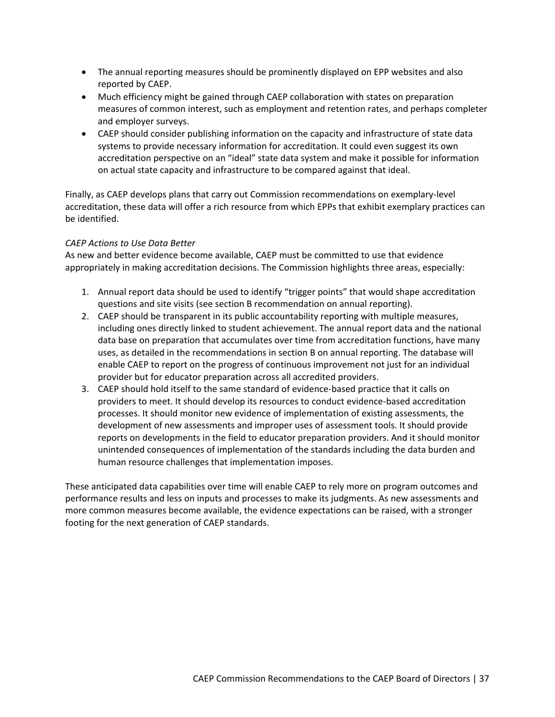- The annual reporting measures should be prominently displayed on EPP websites and also reported by CAEP.
- Much efficiency might be gained through CAEP collaboration with states on preparation measures of common interest, such as employment and retention rates, and perhaps completer and employer surveys.
- CAEP should consider publishing information on the capacity and infrastructure of state data systems to provide necessary information for accreditation. It could even suggest its own accreditation perspective on an "ideal" state data system and make it possible for information on actual state capacity and infrastructure to be compared against that ideal.

Finally, as CAEP develops plans that carry out Commission recommendations on exemplary‐level accreditation, these data will offer a rich resource from which EPPs that exhibit exemplary practices can be identified.

## *CAEP Actions to Use Data Better*

As new and better evidence become available, CAEP must be committed to use that evidence appropriately in making accreditation decisions. The Commission highlights three areas, especially:

- 1. Annual report data should be used to identify "trigger points" that would shape accreditation questions and site visits (see section B recommendation on annual reporting).
- 2. CAEP should be transparent in its public accountability reporting with multiple measures, including ones directly linked to student achievement. The annual report data and the national data base on preparation that accumulates over time from accreditation functions, have many uses, as detailed in the recommendations in section B on annual reporting. The database will enable CAEP to report on the progress of continuous improvement not just for an individual provider but for educator preparation across all accredited providers.
- 3. CAEP should hold itself to the same standard of evidence‐based practice that it calls on providers to meet. It should develop its resources to conduct evidence‐based accreditation processes. It should monitor new evidence of implementation of existing assessments, the development of new assessments and improper uses of assessment tools. It should provide reports on developments in the field to educator preparation providers. And it should monitor unintended consequences of implementation of the standards including the data burden and human resource challenges that implementation imposes.

These anticipated data capabilities over time will enable CAEP to rely more on program outcomes and performance results and less on inputs and processes to make its judgments. As new assessments and more common measures become available, the evidence expectations can be raised, with a stronger footing for the next generation of CAEP standards.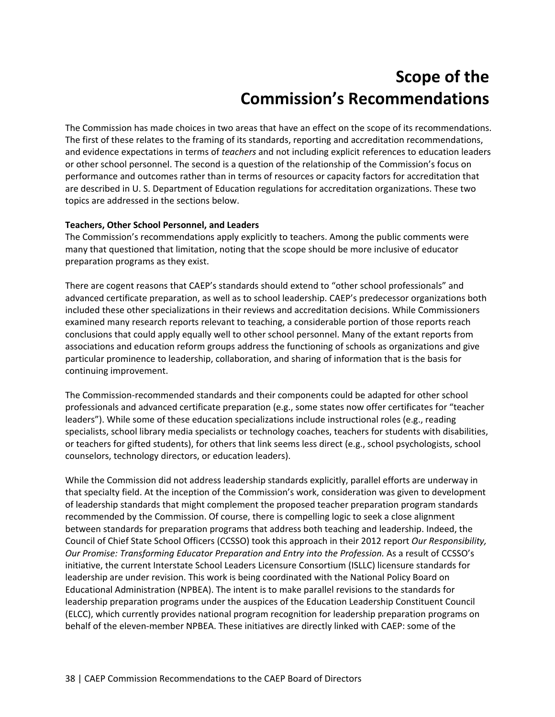# **Scope of the Commission's Recommendations**

The Commission has made choices in two areas that have an effect on the scope of its recommendations. The first of these relates to the framing of its standards, reporting and accreditation recommendations, and evidence expectations in terms of *teachers* and not including explicit references to education leaders or other school personnel. The second is a question of the relationship of the Commission's focus on performance and outcomes rather than in terms of resources or capacity factors for accreditation that are described in U. S. Department of Education regulations for accreditation organizations. These two topics are addressed in the sections below.

## **Teachers, Other School Personnel, and Leaders**

The Commission's recommendations apply explicitly to teachers. Among the public comments were many that questioned that limitation, noting that the scope should be more inclusive of educator preparation programs as they exist.

There are cogent reasons that CAEP's standards should extend to "other school professionals" and advanced certificate preparation, as well as to school leadership. CAEP's predecessor organizations both included these other specializations in their reviews and accreditation decisions. While Commissioners examined many research reports relevant to teaching, a considerable portion of those reports reach conclusions that could apply equally well to other school personnel. Many of the extant reports from associations and education reform groups address the functioning of schools as organizations and give particular prominence to leadership, collaboration, and sharing of information that is the basis for continuing improvement.

The Commission‐recommended standards and their components could be adapted for other school professionals and advanced certificate preparation (e.g., some states now offer certificates for "teacher leaders"). While some of these education specializations include instructional roles (e.g., reading specialists, school library media specialists or technology coaches, teachers for students with disabilities, or teachers for gifted students), for others that link seems less direct (e.g., school psychologists, school counselors, technology directors, or education leaders).

While the Commission did not address leadership standards explicitly, parallel efforts are underway in that specialty field. At the inception of the Commission's work, consideration was given to development of leadership standards that might complement the proposed teacher preparation program standards recommended by the Commission. Of course, there is compelling logic to seek a close alignment between standards for preparation programs that address both teaching and leadership. Indeed, the Council of Chief State School Officers (CCSSO) took this approach in their 2012 report *Our Responsibility, Our Promise: Transforming Educator Preparation and Entry into the Profession.* As a result of CCSSO's initiative, the current Interstate School Leaders Licensure Consortium (ISLLC) licensure standards for leadership are under revision. This work is being coordinated with the National Policy Board on Educational Administration (NPBEA). The intent is to make parallel revisions to the standards for leadership preparation programs under the auspices of the Education Leadership Constituent Council (ELCC), which currently provides national program recognition for leadership preparation programs on behalf of the eleven-member NPBEA. These initiatives are directly linked with CAEP: some of the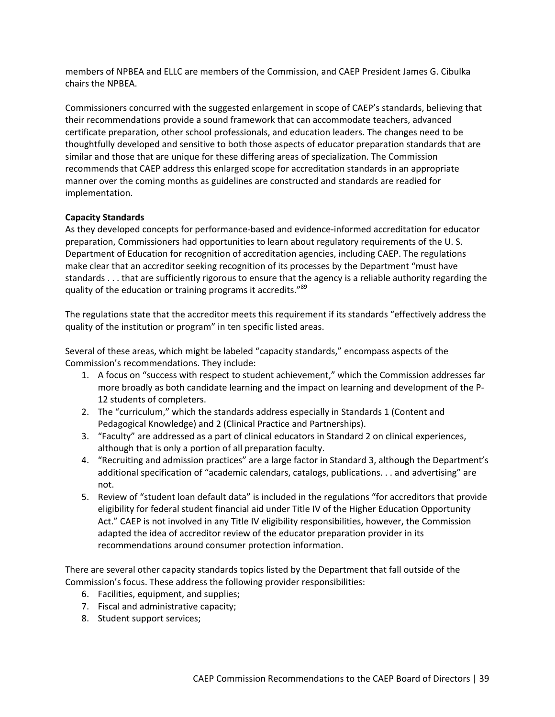members of NPBEA and ELLC are members of the Commission, and CAEP President James G. Cibulka chairs the NPBEA.

Commissioners concurred with the suggested enlargement in scope of CAEP's standards, believing that their recommendations provide a sound framework that can accommodate teachers, advanced certificate preparation, other school professionals, and education leaders. The changes need to be thoughtfully developed and sensitive to both those aspects of educator preparation standards that are similar and those that are unique for these differing areas of specialization. The Commission recommends that CAEP address this enlarged scope for accreditation standards in an appropriate manner over the coming months as guidelines are constructed and standards are readied for implementation.

## **Capacity Standards**

As they developed concepts for performance‐based and evidence‐informed accreditation for educator preparation, Commissioners had opportunities to learn about regulatory requirements of the U. S. Department of Education for recognition of accreditation agencies, including CAEP. The regulations make clear that an accreditor seeking recognition of its processes by the Department "must have standards . . . that are sufficiently rigorous to ensure that the agency is a reliable authority regarding the quality of the education or training programs it accredits."<sup>89</sup>

The regulations state that the accreditor meets this requirement if its standards "effectively address the quality of the institution or program" in ten specific listed areas.

Several of these areas, which might be labeled "capacity standards," encompass aspects of the Commission's recommendations. They include:

- 1. A focus on "success with respect to student achievement," which the Commission addresses far more broadly as both candidate learning and the impact on learning and development of the P-12 students of completers.
- 2. The "curriculum," which the standards address especially in Standards 1 (Content and Pedagogical Knowledge) and 2 (Clinical Practice and Partnerships).
- 3. "Faculty" are addressed as a part of clinical educators in Standard 2 on clinical experiences, although that is only a portion of all preparation faculty.
- 4. "Recruiting and admission practices" are a large factor in Standard 3, although the Department's additional specification of "academic calendars, catalogs, publications. . . and advertising" are not.
- 5. Review of "student loan default data" is included in the regulations "for accreditors that provide eligibility for federal student financial aid under Title IV of the Higher Education Opportunity Act." CAEP is not involved in any Title IV eligibility responsibilities, however, the Commission adapted the idea of accreditor review of the educator preparation provider in its recommendations around consumer protection information.

There are several other capacity standards topics listed by the Department that fall outside of the Commission's focus. These address the following provider responsibilities:

- 6. Facilities, equipment, and supplies;
- 7. Fiscal and administrative capacity;
- 8. Student support services;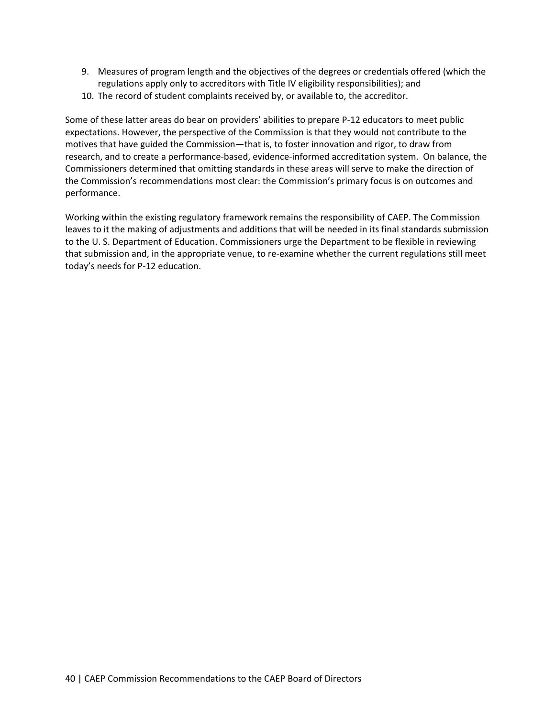- 9. Measures of program length and the objectives of the degrees or credentials offered (which the regulations apply only to accreditors with Title IV eligibility responsibilities); and
- 10. The record of student complaints received by, or available to, the accreditor.

Some of these latter areas do bear on providers' abilities to prepare P‐12 educators to meet public expectations. However, the perspective of the Commission is that they would not contribute to the motives that have guided the Commission—that is, to foster innovation and rigor, to draw from research, and to create a performance‐based, evidence‐informed accreditation system. On balance, the Commissioners determined that omitting standards in these areas will serve to make the direction of the Commission's recommendations most clear: the Commission's primary focus is on outcomes and performance.

Working within the existing regulatory framework remains the responsibility of CAEP. The Commission leaves to it the making of adjustments and additions that will be needed in its final standards submission to the U. S. Department of Education. Commissioners urge the Department to be flexible in reviewing that submission and, in the appropriate venue, to re‐examine whether the current regulations still meet today's needs for P‐12 education.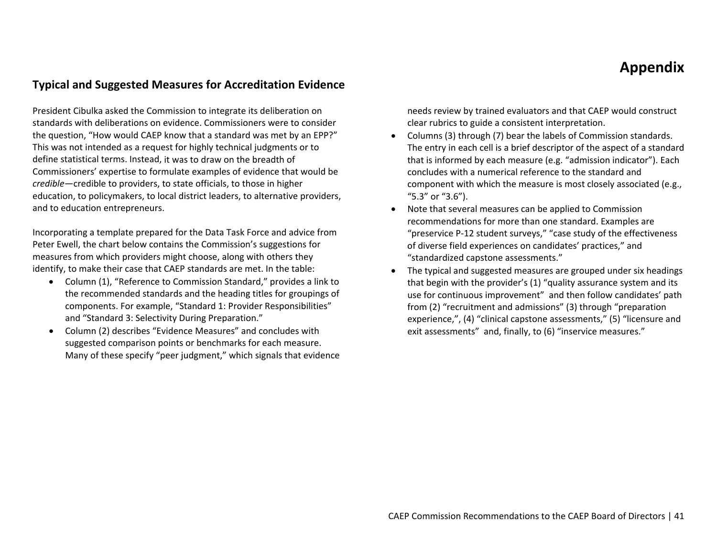## **Appendix**

## **Typical and Suggested Measures for Accreditation Evidence**

President Cibulka asked the Commission to integrate its deliberation on standards with deliberations on evidence. Commissioners were to consider the question, "How would CAEP know that <sup>a</sup> standard was met by an EPP?" This was not intended as <sup>a</sup> request for highly technical judgments or to define statistical terms. Instead, it was to draw on the breadth of Commissioners' expertise to formulate examples of evidence that would be *credible*—credible to providers, to state officials, to those in higher education, to policymakers, to local district leaders, to alternative providers, and to education entrepreneurs.

Incorporating <sup>a</sup> template prepared for the Data Task Force and advice from Peter Ewell, the chart below contains the Commission's suggestions for measures from which providers might choose, along with others they identify, to make their case that CAEP standards are met. In the table:

- Column (1), "Reference to Commission Standard," provides <sup>a</sup> link to the recommended standards and the heading titles for groupings of components. For example, "Standard 1: Provider Responsibilities" and "Standard 3: Selectivity During Preparation."
- $\bullet$  Column (2) describes "Evidence Measures" and concludes with suggested comparison points or benchmarks for each measure. Many of these specify "peer judgment," which signals that evidence

needs review by trained evaluators and that CAEP would construct clear rubrics to guide <sup>a</sup> consistent interpretation.

- 0 Columns (3) through (7) bear the labels of Commission standards. The entry in each cell is <sup>a</sup> brief descriptor of the aspect of <sup>a</sup> standard that is informed by each measure (e.g. "admission indicator"). Each concludes with <sup>a</sup> numerical reference to the standard and component with which the measure is most closely associated (e.g., "5.3" or "3.6").
- 0 Note that several measures can be applied to Commission recommendations for more than one standard. Examples are "preservice P‐12 student surveys," "case study of the effectiveness of diverse field experiences on candidates' practices," and "standardized capstone assessments."
- 0 The typical and suggested measures are grouped under six headings that begin with the provider's (1) "quality assurance system and its use for continuous improvement" and then follow candidates' path from (2) "recruitment and admissions" (3) through "preparation experience,", (4) "clinical capstone assessments," (5) "licensure and exit assessments" and, finally, to (6) "inservice measures."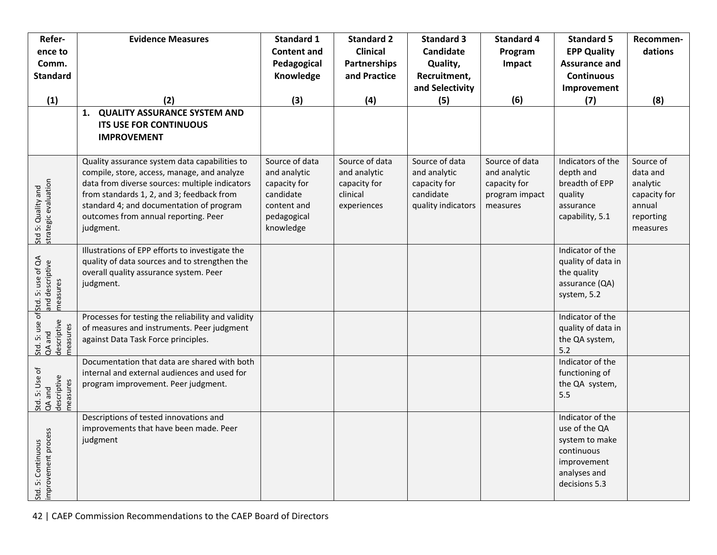| Refer-                                                                             | <b>Evidence Measures</b>                                                              | <b>Standard 1</b>        | <b>Standard 2</b>   | <b>Standard 3</b>  | <b>Standard 4</b>          | <b>Standard 5</b>                    | Recommen-              |
|------------------------------------------------------------------------------------|---------------------------------------------------------------------------------------|--------------------------|---------------------|--------------------|----------------------------|--------------------------------------|------------------------|
| ence to                                                                            |                                                                                       | <b>Content and</b>       | <b>Clinical</b>     | Candidate          | Program                    | <b>EPP Quality</b>                   | dations                |
| Comm.                                                                              |                                                                                       | Pedagogical              | <b>Partnerships</b> | Quality,           | Impact                     | <b>Assurance and</b>                 |                        |
| <b>Standard</b>                                                                    |                                                                                       | Knowledge                | and Practice        | Recruitment,       |                            | <b>Continuous</b>                    |                        |
|                                                                                    |                                                                                       |                          |                     | and Selectivity    |                            | Improvement                          |                        |
| (1)                                                                                | (2)<br><b>QUALITY ASSURANCE SYSTEM AND</b><br>1.                                      | (3)                      | (4)                 | (5)                | (6)                        | (7)                                  | (8)                    |
|                                                                                    | <b>ITS USE FOR CONTINUOUS</b>                                                         |                          |                     |                    |                            |                                      |                        |
|                                                                                    | <b>IMPROVEMENT</b>                                                                    |                          |                     |                    |                            |                                      |                        |
|                                                                                    |                                                                                       |                          |                     |                    |                            |                                      |                        |
|                                                                                    | Quality assurance system data capabilities to                                         | Source of data           | Source of data      | Source of data     | Source of data             | Indicators of the                    | Source of              |
|                                                                                    | compile, store, access, manage, and analyze                                           | and analytic             | and analytic        | and analytic       | and analytic               | depth and                            | data and               |
|                                                                                    | data from diverse sources: multiple indicators                                        | capacity for             | capacity for        | capacity for       | capacity for               | breadth of EPP                       | analytic               |
|                                                                                    | from standards 1, 2, and 3; feedback from<br>standard 4; and documentation of program | candidate<br>content and | clinical            | candidate          | program impact<br>measures | quality<br>assurance                 | capacity for<br>annual |
|                                                                                    | outcomes from annual reporting. Peer                                                  | pedagogical              | experiences         | quality indicators |                            | capability, 5.1                      | reporting              |
| strategic evaluation                                                               | judgment.                                                                             | knowledge                |                     |                    |                            |                                      | measures               |
| Std 5: Quality and                                                                 |                                                                                       |                          |                     |                    |                            |                                      |                        |
|                                                                                    | Illustrations of EPP efforts to investigate the                                       |                          |                     |                    |                            | Indicator of the                     |                        |
|                                                                                    | quality of data sources and to strengthen the                                         |                          |                     |                    |                            | quality of data in<br>the quality    |                        |
|                                                                                    | overall quality assurance system. Peer<br>judgment.                                   |                          |                     |                    |                            | assurance (QA)                       |                        |
|                                                                                    |                                                                                       |                          |                     |                    |                            | system, 5.2                          |                        |
| Std. 5: use of Std. 5: use of QA<br>QA and and descriptive<br>descriptive measures |                                                                                       |                          |                     |                    |                            |                                      |                        |
|                                                                                    | Processes for testing the reliability and validity                                    |                          |                     |                    |                            | Indicator of the                     |                        |
|                                                                                    | of measures and instruments. Peer judgment<br>against Data Task Force principles.     |                          |                     |                    |                            | quality of data in<br>the QA system, |                        |
| descriptive<br>measures                                                            |                                                                                       |                          |                     |                    |                            | 5.2                                  |                        |
|                                                                                    | Documentation that data are shared with both                                          |                          |                     |                    |                            | Indicator of the                     |                        |
|                                                                                    | internal and external audiences and used for                                          |                          |                     |                    |                            | functioning of                       |                        |
|                                                                                    | program improvement. Peer judgment.                                                   |                          |                     |                    |                            | the QA system,                       |                        |
| Std. 5: Use of<br>QA and<br>descriptive<br>measures                                |                                                                                       |                          |                     |                    |                            | 5.5                                  |                        |
|                                                                                    | Descriptions of tested innovations and                                                |                          |                     |                    |                            | Indicator of the                     |                        |
|                                                                                    | improvements that have been made. Peer                                                |                          |                     |                    |                            | use of the QA                        |                        |
|                                                                                    | judgment                                                                              |                          |                     |                    |                            | system to make                       |                        |
|                                                                                    |                                                                                       |                          |                     |                    |                            | continuous                           |                        |
|                                                                                    |                                                                                       |                          |                     |                    |                            | improvement<br>analyses and          |                        |
| improvement process<br>Std. 5: Continuous                                          |                                                                                       |                          |                     |                    |                            | decisions 5.3                        |                        |
|                                                                                    |                                                                                       |                          |                     |                    |                            |                                      |                        |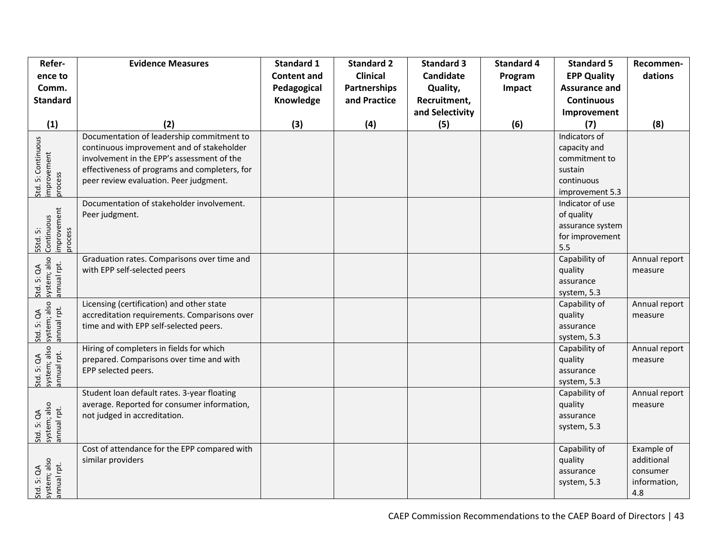| Refer-<br>ence to<br>Comm.<br><b>Standard</b>     | <b>Evidence Measures</b>                                                                                                                                                                                                        | <b>Standard 1</b><br><b>Content and</b><br>Pedagogical<br>Knowledge | <b>Standard 2</b><br><b>Clinical</b><br><b>Partnerships</b><br>and Practice | <b>Standard 3</b><br><b>Candidate</b><br>Quality,<br>Recruitment,<br>and Selectivity | <b>Standard 4</b><br>Program<br>Impact | <b>Standard 5</b><br><b>EPP Quality</b><br><b>Assurance and</b><br><b>Continuous</b><br>Improvement | Recommen-<br>dations                                        |
|---------------------------------------------------|---------------------------------------------------------------------------------------------------------------------------------------------------------------------------------------------------------------------------------|---------------------------------------------------------------------|-----------------------------------------------------------------------------|--------------------------------------------------------------------------------------|----------------------------------------|-----------------------------------------------------------------------------------------------------|-------------------------------------------------------------|
| (1)                                               | (2)                                                                                                                                                                                                                             | (3)                                                                 | (4)                                                                         | (5)                                                                                  | (6)                                    | (7)                                                                                                 | (8)                                                         |
| Std. 5: Continuous<br>improvement<br>process      | Documentation of leadership commitment to<br>continuous improvement and of stakeholder<br>involvement in the EPP's assessment of the<br>effectiveness of programs and completers, for<br>peer review evaluation. Peer judgment. |                                                                     |                                                                             |                                                                                      |                                        | Indicators of<br>capacity and<br>commitment to<br>sustain<br>continuous<br>improvement 5.3          |                                                             |
| 5Std. 5:<br>Continuous<br>improvement<br>process  | Documentation of stakeholder involvement.<br>Peer judgment.                                                                                                                                                                     |                                                                     |                                                                             |                                                                                      |                                        | Indicator of use<br>of quality<br>assurance system<br>for improvement<br>5.5                        |                                                             |
| Std. 5: QA<br>system; also<br>annual rpt.         | Graduation rates. Comparisons over time and<br>with EPP self-selected peers                                                                                                                                                     |                                                                     |                                                                             |                                                                                      |                                        | Capability of<br>quality<br>assurance<br>system, 5.3                                                | Annual report<br>measure                                    |
| system; also<br>annual rpt.<br>5: QA<br>Std.      | Licensing (certification) and other state<br>accreditation requirements. Comparisons over<br>time and with EPP self-selected peers.                                                                                             |                                                                     |                                                                             |                                                                                      |                                        | Capability of<br>quality<br>assurance<br>system, 5.3                                                | Annual report<br>measure                                    |
| system; also<br>annual rpt.<br>5: QA<br>Std.      | Hiring of completers in fields for which<br>prepared. Comparisons over time and with<br>EPP selected peers.                                                                                                                     |                                                                     |                                                                             |                                                                                      |                                        | Capability of<br>quality<br>assurance<br>system, 5.3                                                | Annual report<br>measure                                    |
| system; also<br>annual rpt.<br>5: QA<br>Std.      | Student loan default rates. 3-year floating<br>average. Reported for consumer information,<br>not judged in accreditation.                                                                                                      |                                                                     |                                                                             |                                                                                      |                                        | Capability of<br>quality<br>assurance<br>system, 5.3                                                | Annual report<br>measure                                    |
| Std. 5: QA<br>system; also<br>annual rpt.<br>Std. | Cost of attendance for the EPP compared with<br>similar providers                                                                                                                                                               |                                                                     |                                                                             |                                                                                      |                                        | Capability of<br>quality<br>assurance<br>system, 5.3                                                | Example of<br>additional<br>consumer<br>information,<br>4.8 |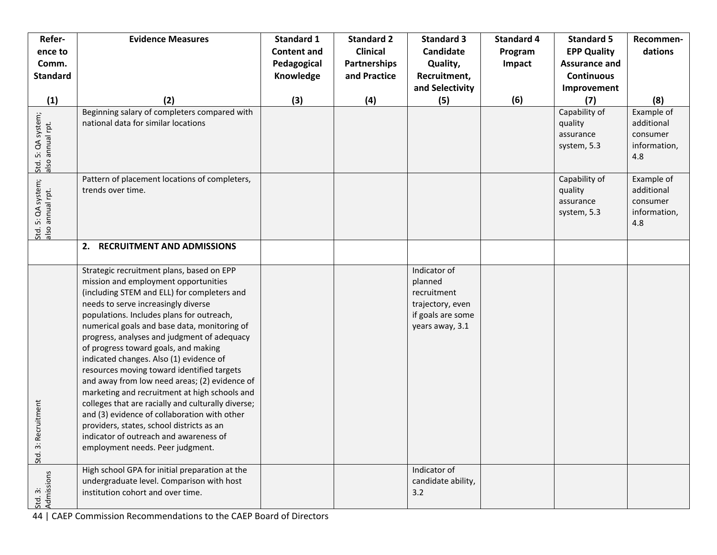| Refer-<br>ence to                      | <b>Evidence Measures</b>                                                                                                                                                                                                                                                                                                                                                                                                                                                                                                                                                                                                                                                                                                                                                                | <b>Standard 1</b><br><b>Content and</b> | <b>Standard 2</b><br><b>Clinical</b> | <b>Standard 3</b><br><b>Candidate</b>                                                              | <b>Standard 4</b><br>Program | <b>Standard 5</b><br><b>EPP Quality</b>              | Recommen-<br>dations                                        |
|----------------------------------------|-----------------------------------------------------------------------------------------------------------------------------------------------------------------------------------------------------------------------------------------------------------------------------------------------------------------------------------------------------------------------------------------------------------------------------------------------------------------------------------------------------------------------------------------------------------------------------------------------------------------------------------------------------------------------------------------------------------------------------------------------------------------------------------------|-----------------------------------------|--------------------------------------|----------------------------------------------------------------------------------------------------|------------------------------|------------------------------------------------------|-------------------------------------------------------------|
| Comm.                                  |                                                                                                                                                                                                                                                                                                                                                                                                                                                                                                                                                                                                                                                                                                                                                                                         | Pedagogical                             | Partnerships                         | Quality,                                                                                           | Impact                       | <b>Assurance and</b>                                 |                                                             |
| <b>Standard</b>                        |                                                                                                                                                                                                                                                                                                                                                                                                                                                                                                                                                                                                                                                                                                                                                                                         | Knowledge                               | and Practice                         | Recruitment,                                                                                       |                              | <b>Continuous</b>                                    |                                                             |
| (1)                                    | (2)                                                                                                                                                                                                                                                                                                                                                                                                                                                                                                                                                                                                                                                                                                                                                                                     | (3)                                     | (4)                                  | and Selectivity<br>(5)                                                                             | (6)                          | Improvement<br>(7)                                   | (8)                                                         |
| Std. 5: QA system;<br>also annual rpt. | Beginning salary of completers compared with<br>national data for similar locations                                                                                                                                                                                                                                                                                                                                                                                                                                                                                                                                                                                                                                                                                                     |                                         |                                      |                                                                                                    |                              | Capability of<br>quality<br>assurance<br>system, 5.3 | Example of<br>additional<br>consumer<br>information,<br>4.8 |
| Std. 5: QA system;<br>also annual rpt. | Pattern of placement locations of completers,<br>trends over time.                                                                                                                                                                                                                                                                                                                                                                                                                                                                                                                                                                                                                                                                                                                      |                                         |                                      |                                                                                                    |                              | Capability of<br>quality<br>assurance<br>system, 5.3 | Example of<br>additional<br>consumer<br>information,<br>4.8 |
|                                        | 2. RECRUITMENT AND ADMISSIONS                                                                                                                                                                                                                                                                                                                                                                                                                                                                                                                                                                                                                                                                                                                                                           |                                         |                                      |                                                                                                    |                              |                                                      |                                                             |
| ecruitment<br>Std. 3: R                | Strategic recruitment plans, based on EPP<br>mission and employment opportunities<br>(including STEM and ELL) for completers and<br>needs to serve increasingly diverse<br>populations. Includes plans for outreach,<br>numerical goals and base data, monitoring of<br>progress, analyses and judgment of adequacy<br>of progress toward goals, and making<br>indicated changes. Also (1) evidence of<br>resources moving toward identified targets<br>and away from low need areas; (2) evidence of<br>marketing and recruitment at high schools and<br>colleges that are racially and culturally diverse;<br>and (3) evidence of collaboration with other<br>providers, states, school districts as an<br>indicator of outreach and awareness of<br>employment needs. Peer judgment. |                                         |                                      | Indicator of<br>planned<br>recruitment<br>trajectory, even<br>if goals are some<br>years away, 3.1 |                              |                                                      |                                                             |
| Admissions<br>Std. 3:                  | High school GPA for initial preparation at the<br>undergraduate level. Comparison with host<br>institution cohort and over time.                                                                                                                                                                                                                                                                                                                                                                                                                                                                                                                                                                                                                                                        |                                         |                                      | Indicator of<br>candidate ability,<br>3.2                                                          |                              |                                                      |                                                             |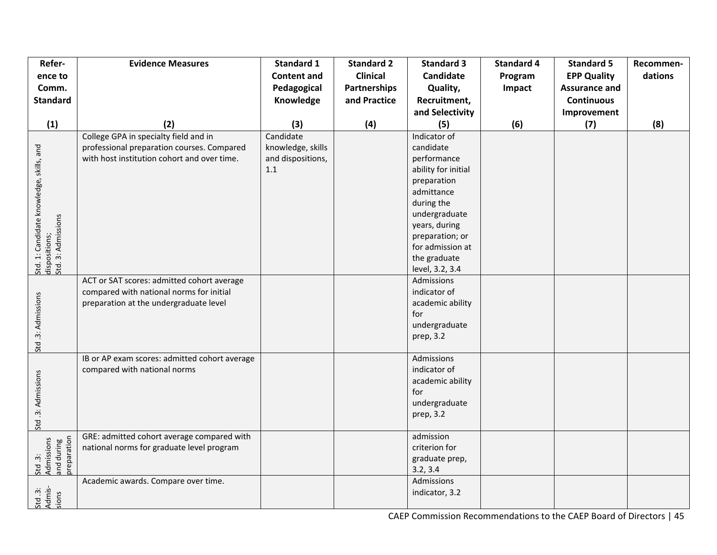| Refer-                                                                          | <b>Evidence Measures</b>                      | <b>Standard 1</b>  | <b>Standard 2</b>   | <b>Standard 3</b>    | <b>Standard 4</b> | <b>Standard 5</b>    | Recommen- |
|---------------------------------------------------------------------------------|-----------------------------------------------|--------------------|---------------------|----------------------|-------------------|----------------------|-----------|
| ence to                                                                         |                                               | <b>Content and</b> | <b>Clinical</b>     | Candidate            | Program           | <b>EPP Quality</b>   | dations   |
| Comm.                                                                           |                                               | Pedagogical        | <b>Partnerships</b> | Quality,             | Impact            | <b>Assurance and</b> |           |
| <b>Standard</b>                                                                 |                                               | Knowledge          | and Practice        | Recruitment,         |                   | <b>Continuous</b>    |           |
|                                                                                 |                                               |                    |                     | and Selectivity      |                   | Improvement          |           |
| (1)                                                                             | (2)                                           | (3)                | (4)                 | (5)                  | (6)               | (7)                  | (8)       |
|                                                                                 | College GPA in specialty field and in         | Candidate          |                     | Indicator of         |                   |                      |           |
|                                                                                 | professional preparation courses. Compared    | knowledge, skills  |                     | candidate            |                   |                      |           |
|                                                                                 | with host institution cohort and over time.   | and dispositions,  |                     | performance          |                   |                      |           |
|                                                                                 |                                               | 1.1                |                     | ability for initial  |                   |                      |           |
|                                                                                 |                                               |                    |                     | preparation          |                   |                      |           |
|                                                                                 |                                               |                    |                     | admittance           |                   |                      |           |
|                                                                                 |                                               |                    |                     | during the           |                   |                      |           |
|                                                                                 |                                               |                    |                     | undergraduate        |                   |                      |           |
|                                                                                 |                                               |                    |                     | years, during        |                   |                      |           |
|                                                                                 |                                               |                    |                     | preparation; or      |                   |                      |           |
|                                                                                 |                                               |                    |                     | for admission at     |                   |                      |           |
| Std. 1: Candidate knowledge, skills, and<br>dispositions;<br>Std. 3: Admissions |                                               |                    |                     | the graduate         |                   |                      |           |
|                                                                                 |                                               |                    |                     | level, 3.2, 3.4      |                   |                      |           |
|                                                                                 | ACT or SAT scores: admitted cohort average    |                    |                     | Admissions           |                   |                      |           |
|                                                                                 | compared with national norms for initial      |                    |                     | indicator of         |                   |                      |           |
|                                                                                 | preparation at the undergraduate level        |                    |                     | academic ability     |                   |                      |           |
|                                                                                 |                                               |                    |                     | for<br>undergraduate |                   |                      |           |
|                                                                                 |                                               |                    |                     | prep, 3.2            |                   |                      |           |
| Std.3: Admissions                                                               |                                               |                    |                     |                      |                   |                      |           |
|                                                                                 | IB or AP exam scores: admitted cohort average |                    |                     | Admissions           |                   |                      |           |
|                                                                                 | compared with national norms                  |                    |                     | indicator of         |                   |                      |           |
|                                                                                 |                                               |                    |                     | academic ability     |                   |                      |           |
|                                                                                 |                                               |                    |                     | for                  |                   |                      |           |
|                                                                                 |                                               |                    |                     | undergraduate        |                   |                      |           |
|                                                                                 |                                               |                    |                     | prep, 3.2            |                   |                      |           |
| Std.3: Admissions                                                               |                                               |                    |                     |                      |                   |                      |           |
|                                                                                 | GRE: admitted cohort average compared with    |                    |                     | admission            |                   |                      |           |
|                                                                                 | national norms for graduate level program     |                    |                     | criterion for        |                   |                      |           |
|                                                                                 |                                               |                    |                     | graduate prep,       |                   |                      |           |
| Std .3:<br>Admissions<br>and during<br>preparation                              |                                               |                    |                     | 3.2, 3.4             |                   |                      |           |
|                                                                                 | Academic awards. Compare over time.           |                    |                     | Admissions           |                   |                      |           |
| Std .3:<br>Admis-<br>sions                                                      |                                               |                    |                     | indicator, 3.2       |                   |                      |           |
|                                                                                 |                                               |                    |                     |                      |                   |                      |           |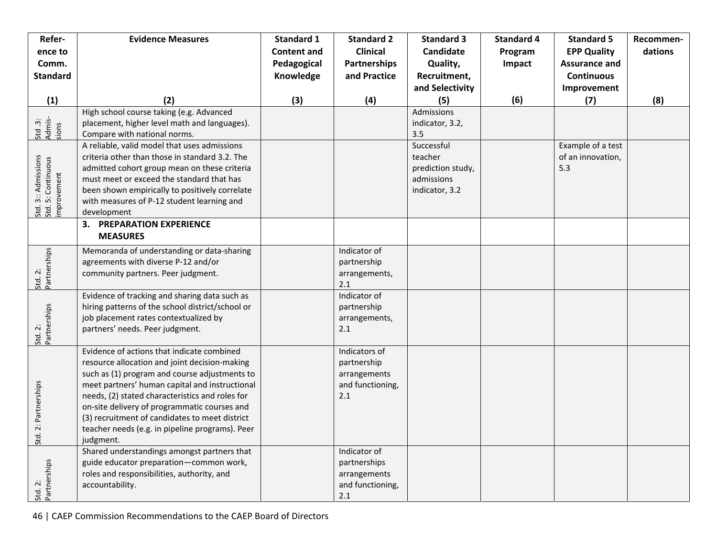| Refer-                                                   | <b>Evidence Measures</b>                                                                  | <b>Standard 1</b>  | <b>Standard 2</b>       | <b>Standard 3</b>               | <b>Standard 4</b> | <b>Standard 5</b>    | Recommen- |
|----------------------------------------------------------|-------------------------------------------------------------------------------------------|--------------------|-------------------------|---------------------------------|-------------------|----------------------|-----------|
| ence to                                                  |                                                                                           | <b>Content and</b> | <b>Clinical</b>         | Candidate                       | Program           | <b>EPP Quality</b>   | dations   |
| Comm.                                                    |                                                                                           | Pedagogical        | <b>Partnerships</b>     | Quality,                        | Impact            | <b>Assurance and</b> |           |
| <b>Standard</b>                                          |                                                                                           | Knowledge          | and Practice            | Recruitment,                    |                   | <b>Continuous</b>    |           |
|                                                          |                                                                                           |                    |                         | and Selectivity                 |                   | Improvement          |           |
| (1)                                                      | (2)                                                                                       | (3)                | (4)                     | (5)                             | (6)               | (7)                  | (8)       |
|                                                          | High school course taking (e.g. Advanced                                                  |                    |                         | Admissions                      |                   |                      |           |
| Std .3:<br>Admis-<br>sions                               | placement, higher level math and languages).                                              |                    |                         | indicator, 3.2,                 |                   |                      |           |
|                                                          | Compare with national norms.                                                              |                    |                         | 3.5                             |                   |                      |           |
|                                                          | A reliable, valid model that uses admissions                                              |                    |                         | Successful                      |                   | Example of a test    |           |
|                                                          | criteria other than those in standard 3.2. The                                            |                    |                         | teacher                         |                   | of an innovation,    |           |
|                                                          | admitted cohort group mean on these criteria<br>must meet or exceed the standard that has |                    |                         | prediction study,<br>admissions |                   | 5.3                  |           |
|                                                          | been shown empirically to positively correlate                                            |                    |                         | indicator, 3.2                  |                   |                      |           |
|                                                          | with measures of P-12 student learning and                                                |                    |                         |                                 |                   |                      |           |
| Std. 3:: Admissions<br>Std. 5: Continuous<br>improvement | development                                                                               |                    |                         |                                 |                   |                      |           |
|                                                          | <b>3. PREPARATION EXPERIENCE</b>                                                          |                    |                         |                                 |                   |                      |           |
|                                                          | <b>MEASURES</b>                                                                           |                    |                         |                                 |                   |                      |           |
|                                                          | Memoranda of understanding or data-sharing                                                |                    | Indicator of            |                                 |                   |                      |           |
|                                                          | agreements with diverse P-12 and/or                                                       |                    | partnership             |                                 |                   |                      |           |
|                                                          | community partners. Peer judgment.                                                        |                    | arrangements,           |                                 |                   |                      |           |
| Std. 2:<br>Partnerships                                  |                                                                                           |                    | 2.1                     |                                 |                   |                      |           |
|                                                          | Evidence of tracking and sharing data such as                                             |                    | Indicator of            |                                 |                   |                      |           |
|                                                          | hiring patterns of the school district/school or                                          |                    | partnership             |                                 |                   |                      |           |
|                                                          | job placement rates contextualized by                                                     |                    | arrangements,           |                                 |                   |                      |           |
| Partnerships<br>Std. 2:                                  | partners' needs. Peer judgment.                                                           |                    | 2.1                     |                                 |                   |                      |           |
|                                                          | Evidence of actions that indicate combined                                                |                    | Indicators of           |                                 |                   |                      |           |
|                                                          | resource allocation and joint decision-making                                             |                    | partnership             |                                 |                   |                      |           |
|                                                          | such as (1) program and course adjustments to                                             |                    | arrangements            |                                 |                   |                      |           |
|                                                          | meet partners' human capital and instructional                                            |                    | and functioning,        |                                 |                   |                      |           |
| Std. 2: Partnerships                                     | needs, (2) stated characteristics and roles for                                           |                    | 2.1                     |                                 |                   |                      |           |
|                                                          | on-site delivery of programmatic courses and                                              |                    |                         |                                 |                   |                      |           |
|                                                          | (3) recruitment of candidates to meet district                                            |                    |                         |                                 |                   |                      |           |
|                                                          | teacher needs (e.g. in pipeline programs). Peer                                           |                    |                         |                                 |                   |                      |           |
|                                                          | judgment.                                                                                 |                    |                         |                                 |                   |                      |           |
|                                                          | Shared understandings amongst partners that                                               |                    | Indicator of            |                                 |                   |                      |           |
|                                                          | guide educator preparation-common work,                                                   |                    | partnerships            |                                 |                   |                      |           |
|                                                          | roles and responsibilities, authority, and                                                |                    | arrangements            |                                 |                   |                      |           |
| Std. 2:<br>Partnerships                                  | accountability.                                                                           |                    | and functioning,<br>2.1 |                                 |                   |                      |           |
|                                                          |                                                                                           |                    |                         |                                 |                   |                      |           |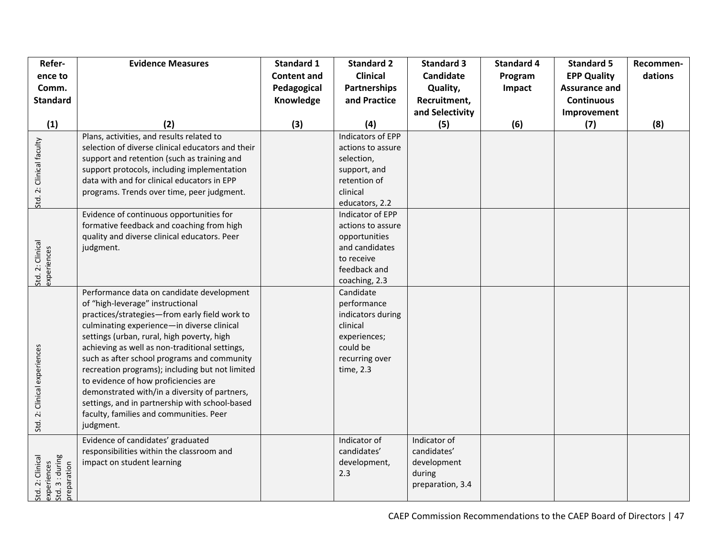| Refer-                                                            | <b>Evidence Measures</b>                                                                                                                                                                                                                                                                                                                                                                                                                                                                                                                                                          | <b>Standard 1</b>  | <b>Standard 2</b>                                                                                                       | <b>Standard 3</b>                                                        | <b>Standard 4</b> | <b>Standard 5</b>    | Recommen- |
|-------------------------------------------------------------------|-----------------------------------------------------------------------------------------------------------------------------------------------------------------------------------------------------------------------------------------------------------------------------------------------------------------------------------------------------------------------------------------------------------------------------------------------------------------------------------------------------------------------------------------------------------------------------------|--------------------|-------------------------------------------------------------------------------------------------------------------------|--------------------------------------------------------------------------|-------------------|----------------------|-----------|
| ence to                                                           |                                                                                                                                                                                                                                                                                                                                                                                                                                                                                                                                                                                   | <b>Content and</b> | <b>Clinical</b>                                                                                                         | <b>Candidate</b>                                                         | Program           | <b>EPP Quality</b>   | dations   |
| Comm.                                                             |                                                                                                                                                                                                                                                                                                                                                                                                                                                                                                                                                                                   | Pedagogical        | <b>Partnerships</b>                                                                                                     | Quality,                                                                 | Impact            | <b>Assurance and</b> |           |
| <b>Standard</b>                                                   |                                                                                                                                                                                                                                                                                                                                                                                                                                                                                                                                                                                   | Knowledge          | and Practice                                                                                                            | Recruitment,                                                             |                   | <b>Continuous</b>    |           |
|                                                                   |                                                                                                                                                                                                                                                                                                                                                                                                                                                                                                                                                                                   |                    |                                                                                                                         | and Selectivity                                                          |                   | Improvement          |           |
| (1)                                                               | (2)                                                                                                                                                                                                                                                                                                                                                                                                                                                                                                                                                                               | (3)                | (4)                                                                                                                     | (5)                                                                      | (6)               | (7)                  | (8)       |
| Std. 2: Clinical faculty                                          | Plans, activities, and results related to<br>selection of diverse clinical educators and their<br>support and retention (such as training and<br>support protocols, including implementation                                                                                                                                                                                                                                                                                                                                                                                      |                    | <b>Indicators of EPP</b><br>actions to assure<br>selection,<br>support, and                                             |                                                                          |                   |                      |           |
|                                                                   | data with and for clinical educators in EPP<br>programs. Trends over time, peer judgment.                                                                                                                                                                                                                                                                                                                                                                                                                                                                                         |                    | retention of<br>clinical<br>educators, 2.2                                                                              |                                                                          |                   |                      |           |
| Std. 2: Clinical<br>experiences                                   | Evidence of continuous opportunities for<br>formative feedback and coaching from high<br>quality and diverse clinical educators. Peer<br>judgment.                                                                                                                                                                                                                                                                                                                                                                                                                                |                    | Indicator of EPP<br>actions to assure<br>opportunities<br>and candidates<br>to receive<br>feedback and<br>coaching, 2.3 |                                                                          |                   |                      |           |
| Std. 2: Clinical experiences                                      | Performance data on candidate development<br>of "high-leverage" instructional<br>practices/strategies-from early field work to<br>culminating experience-in diverse clinical<br>settings (urban, rural, high poverty, high<br>achieving as well as non-traditional settings,<br>such as after school programs and community<br>recreation programs); including but not limited<br>to evidence of how proficiencies are<br>demonstrated with/in a diversity of partners,<br>settings, and in partnership with school-based<br>faculty, families and communities. Peer<br>judgment. |                    | Candidate<br>performance<br>indicators during<br>clinical<br>experiences;<br>could be<br>recurring over<br>time, 2.3    |                                                                          |                   |                      |           |
| experiences<br>Std. 3 : during<br>Std. 2: Clinical<br>preparation | Evidence of candidates' graduated<br>responsibilities within the classroom and<br>impact on student learning                                                                                                                                                                                                                                                                                                                                                                                                                                                                      |                    | Indicator of<br>candidates'<br>development,<br>2.3                                                                      | Indicator of<br>candidates'<br>development<br>during<br>preparation, 3.4 |                   |                      |           |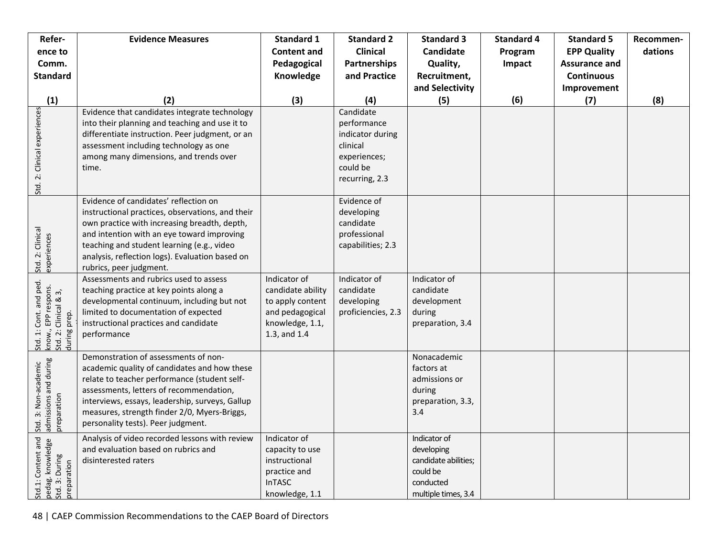| Refer-                                                                                 | <b>Evidence Measures</b>                                                                                                                                                                                                                                                                                                 | <b>Standard 1</b>                                                                                           | <b>Standard 2</b>                                                                                      | <b>Standard 3</b>                                                                                  | <b>Standard 4</b> | <b>Standard 5</b>    | Recommen- |
|----------------------------------------------------------------------------------------|--------------------------------------------------------------------------------------------------------------------------------------------------------------------------------------------------------------------------------------------------------------------------------------------------------------------------|-------------------------------------------------------------------------------------------------------------|--------------------------------------------------------------------------------------------------------|----------------------------------------------------------------------------------------------------|-------------------|----------------------|-----------|
| ence to                                                                                |                                                                                                                                                                                                                                                                                                                          | <b>Content and</b>                                                                                          | <b>Clinical</b>                                                                                        | <b>Candidate</b>                                                                                   | Program           | <b>EPP Quality</b>   | dations   |
| Comm.                                                                                  |                                                                                                                                                                                                                                                                                                                          | Pedagogical                                                                                                 | <b>Partnerships</b>                                                                                    | Quality,                                                                                           | Impact            | <b>Assurance and</b> |           |
| <b>Standard</b>                                                                        |                                                                                                                                                                                                                                                                                                                          | Knowledge                                                                                                   | and Practice                                                                                           | Recruitment,                                                                                       |                   | <b>Continuous</b>    |           |
|                                                                                        |                                                                                                                                                                                                                                                                                                                          |                                                                                                             |                                                                                                        | and Selectivity                                                                                    |                   | Improvement          |           |
| (1)                                                                                    | (2)                                                                                                                                                                                                                                                                                                                      | (3)                                                                                                         | (4)                                                                                                    | (5)                                                                                                | (6)               | (7)                  | (8)       |
| Std. 2: Clinical experiences                                                           | Evidence that candidates integrate technology<br>into their planning and teaching and use it to<br>differentiate instruction. Peer judgment, or an<br>assessment including technology as one<br>among many dimensions, and trends over<br>time.                                                                          |                                                                                                             | Candidate<br>performance<br>indicator during<br>clinical<br>experiences;<br>could be<br>recurring, 2.3 |                                                                                                    |                   |                      |           |
| Std. 2: Clinical<br>experiences                                                        | Evidence of candidates' reflection on<br>instructional practices, observations, and their<br>own practice with increasing breadth, depth,<br>and intention with an eye toward improving<br>teaching and student learning (e.g., video<br>analysis, reflection logs). Evaluation based on<br>rubrics, peer judgment.      |                                                                                                             | Evidence of<br>developing<br>candidate<br>professional<br>capabilities; 2.3                            |                                                                                                    |                   |                      |           |
| Std. 1: Cont. and ped.<br>know., EPP respons.<br>Std. 2: Clinical & 3,<br>during prep. | Assessments and rubrics used to assess<br>teaching practice at key points along a<br>developmental continuum, including but not<br>limited to documentation of expected<br>instructional practices and candidate<br>performance                                                                                          | Indicator of<br>candidate ability<br>to apply content<br>and pedagogical<br>knowledge, 1.1,<br>1.3, and 1.4 | Indicator of<br>candidate<br>developing<br>proficiencies, 2.3                                          | Indicator of<br>candidate<br>development<br>during<br>preparation, 3.4                             |                   |                      |           |
| admissions and during<br>3: Non-academic<br>preparation<br>Std.                        | Demonstration of assessments of non-<br>academic quality of candidates and how these<br>relate to teacher performance (student self-<br>assessments, letters of recommendation,<br>interviews, essays, leadership, surveys, Gallup<br>measures, strength finder 2/0, Myers-Briggs,<br>personality tests). Peer judgment. |                                                                                                             |                                                                                                        | Nonacademic<br>factors at<br>admissions or<br>during<br>preparation, 3.3,<br>3.4                   |                   |                      |           |
| Std.1: Content and :<br>pedag. knowledge<br>Std. 3: During<br>preparation              | Analysis of video recorded lessons with review<br>and evaluation based on rubrics and<br>disinterested raters                                                                                                                                                                                                            | Indicator of<br>capacity to use<br>instructional<br>practice and<br><b>InTASC</b><br>knowledge, 1.1         |                                                                                                        | Indicator of<br>developing<br>candidate abilities;<br>could be<br>conducted<br>multiple times, 3.4 |                   |                      |           |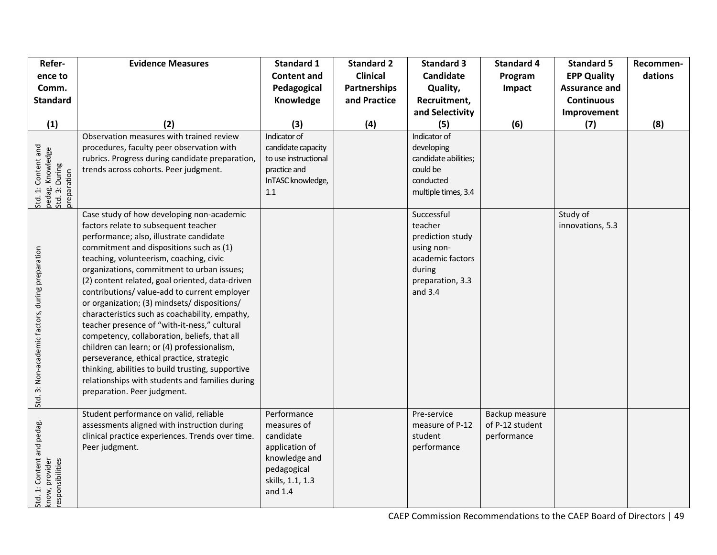| Refer-<br>ence to<br>Comm.<br><b>Standard</b>                            | <b>Evidence Measures</b>                                                                                                                                                                                                                                                                                                                                                                                                                                                                                                                                                                                                                                                                                                                                                                                 | <b>Standard 1</b><br><b>Content and</b><br>Pedagogical<br>Knowledge                                                      | <b>Standard 2</b><br><b>Clinical</b><br>Partnerships<br>and Practice | <b>Standard 3</b><br>Candidate<br>Quality,<br>Recruitment,<br>and Selectivity                                          | <b>Standard 4</b><br>Program<br>Impact           | <b>Standard 5</b><br><b>EPP Quality</b><br><b>Assurance and</b><br><b>Continuous</b><br>Improvement | Recommen-<br>dations |
|--------------------------------------------------------------------------|----------------------------------------------------------------------------------------------------------------------------------------------------------------------------------------------------------------------------------------------------------------------------------------------------------------------------------------------------------------------------------------------------------------------------------------------------------------------------------------------------------------------------------------------------------------------------------------------------------------------------------------------------------------------------------------------------------------------------------------------------------------------------------------------------------|--------------------------------------------------------------------------------------------------------------------------|----------------------------------------------------------------------|------------------------------------------------------------------------------------------------------------------------|--------------------------------------------------|-----------------------------------------------------------------------------------------------------|----------------------|
| (1)                                                                      | (2)                                                                                                                                                                                                                                                                                                                                                                                                                                                                                                                                                                                                                                                                                                                                                                                                      | (3)                                                                                                                      | (4)                                                                  | (5)                                                                                                                    | (6)                                              | (7)                                                                                                 | (8)                  |
| Std. 1: Content and<br>pedag. Knowledge<br>Std. 3: During<br>preparation | Observation measures with trained review<br>procedures, faculty peer observation with<br>rubrics. Progress during candidate preparation,<br>trends across cohorts. Peer judgment.                                                                                                                                                                                                                                                                                                                                                                                                                                                                                                                                                                                                                        | Indicator of<br>candidate capacity<br>to use instructional<br>practice and<br>InTASC knowledge,<br>1.1                   |                                                                      | Indicator of<br>developing<br>candidate abilities;<br>could be<br>conducted<br>multiple times, 3.4                     |                                                  |                                                                                                     |                      |
| Std. 3: Non-academic factors, during preparation                         | Case study of how developing non-academic<br>factors relate to subsequent teacher<br>performance; also, illustrate candidate<br>commitment and dispositions such as (1)<br>teaching, volunteerism, coaching, civic<br>organizations, commitment to urban issues;<br>(2) content related, goal oriented, data-driven<br>contributions/ value-add to current employer<br>or organization; (3) mindsets/ dispositions/<br>characteristics such as coachability, empathy,<br>teacher presence of "with-it-ness," cultural<br>competency, collaboration, beliefs, that all<br>children can learn; or (4) professionalism,<br>perseverance, ethical practice, strategic<br>thinking, abilities to build trusting, supportive<br>relationships with students and families during<br>preparation. Peer judgment. |                                                                                                                          |                                                                      | Successful<br>teacher<br>prediction study<br>using non-<br>academic factors<br>during<br>preparation, 3.3<br>and $3.4$ |                                                  | Study of<br>innovations, 5.3                                                                        |                      |
| Std. 1: Content and pedag.<br>know, provider<br>responsibilities         | Student performance on valid, reliable<br>assessments aligned with instruction during<br>clinical practice experiences. Trends over time.<br>Peer judgment.                                                                                                                                                                                                                                                                                                                                                                                                                                                                                                                                                                                                                                              | Performance<br>measures of<br>candidate<br>application of<br>knowledge and<br>pedagogical<br>skills, 1.1, 1.3<br>and 1.4 |                                                                      | Pre-service<br>measure of P-12<br>student<br>performance                                                               | Backup measure<br>of P-12 student<br>performance |                                                                                                     |                      |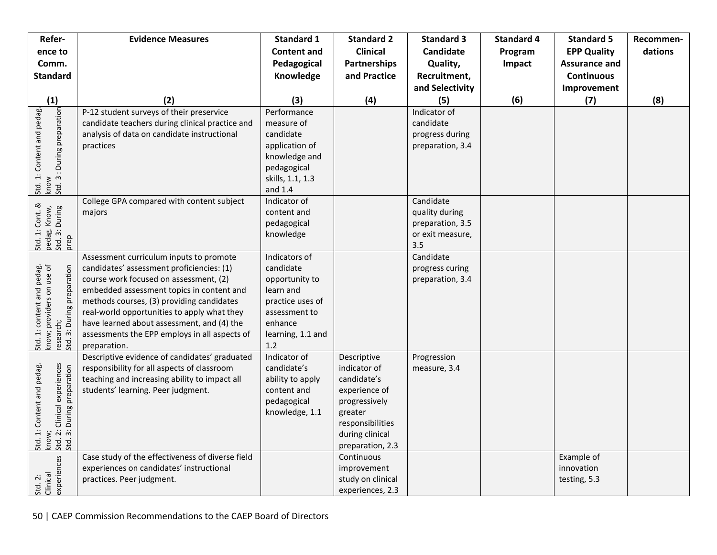| Refer-                                                                                                          | <b>Evidence Measures</b>                                                                                                                                                                                                                                                                                                                                                               | <b>Standard 1</b>                                                                                                                     | <b>Standard 2</b>                                                                                                                                  | <b>Standard 3</b>                                                          | <b>Standard 4</b> | <b>Standard 5</b>                        | Recommen- |
|-----------------------------------------------------------------------------------------------------------------|----------------------------------------------------------------------------------------------------------------------------------------------------------------------------------------------------------------------------------------------------------------------------------------------------------------------------------------------------------------------------------------|---------------------------------------------------------------------------------------------------------------------------------------|----------------------------------------------------------------------------------------------------------------------------------------------------|----------------------------------------------------------------------------|-------------------|------------------------------------------|-----------|
| ence to                                                                                                         |                                                                                                                                                                                                                                                                                                                                                                                        | <b>Content and</b>                                                                                                                    | <b>Clinical</b>                                                                                                                                    | Candidate                                                                  | Program           | <b>EPP Quality</b>                       | dations   |
| Comm.                                                                                                           |                                                                                                                                                                                                                                                                                                                                                                                        | Pedagogical                                                                                                                           | <b>Partnerships</b>                                                                                                                                | Quality,                                                                   | Impact            | <b>Assurance and</b>                     |           |
| <b>Standard</b>                                                                                                 |                                                                                                                                                                                                                                                                                                                                                                                        | Knowledge                                                                                                                             | and Practice                                                                                                                                       | Recruitment,                                                               |                   | <b>Continuous</b>                        |           |
|                                                                                                                 |                                                                                                                                                                                                                                                                                                                                                                                        |                                                                                                                                       |                                                                                                                                                    | and Selectivity                                                            |                   | Improvement                              |           |
| (1)                                                                                                             | (2)                                                                                                                                                                                                                                                                                                                                                                                    | (3)                                                                                                                                   | (4)                                                                                                                                                | (5)                                                                        | (6)               | (7)                                      | (8)       |
| : During preparation<br>Std. 1: Content and pedag.<br>know<br>Std. 3 : During preparation                       | P-12 student surveys of their preservice<br>candidate teachers during clinical practice and<br>analysis of data on candidate instructional<br>practices                                                                                                                                                                                                                                | Performance<br>measure of<br>candidate<br>application of<br>knowledge and<br>pedagogical<br>skills, 1.1, 1.3<br>and 1.4               |                                                                                                                                                    | Indicator of<br>candidate<br>progress during<br>preparation, 3.4           |                   |                                          |           |
| Std. 1: Cont. &<br>pedag. Know,<br>Std. 3: During<br>prep                                                       | College GPA compared with content subject<br>majors                                                                                                                                                                                                                                                                                                                                    | Indicator of<br>content and<br>pedagogical<br>knowledge                                                                               |                                                                                                                                                    | Candidate<br>quality during<br>preparation, 3.5<br>or exit measure,<br>3.5 |                   |                                          |           |
| Std. 1: content and pedag.<br>know; providers on use of<br>research;<br>Std. 3: During preparation              | Assessment curriculum inputs to promote<br>candidates' assessment proficiencies: (1)<br>course work focused on assessment, (2)<br>embedded assessment topics in content and<br>methods courses, (3) providing candidates<br>real-world opportunities to apply what they<br>have learned about assessment, and (4) the<br>assessments the EPP employs in all aspects of<br>preparation. | Indicators of<br>candidate<br>opportunity to<br>learn and<br>practice uses of<br>assessment to<br>enhance<br>learning, 1.1 and<br>1.2 |                                                                                                                                                    | Candidate<br>progress curing<br>preparation, 3.4                           |                   |                                          |           |
| : Clinical experiences<br>: During preparation<br>Std. 1: Content and pedag.<br>know;<br>Std. 2: 1<br>Std. 3: 1 | Descriptive evidence of candidates' graduated<br>responsibility for all aspects of classroom<br>teaching and increasing ability to impact all<br>students' learning. Peer judgment.                                                                                                                                                                                                    | Indicator of<br>candidate's<br>ability to apply<br>content and<br>pedagogical<br>knowledge, 1.1                                       | Descriptive<br>indicator of<br>candidate's<br>experience of<br>progressively<br>greater<br>responsibilities<br>during clinical<br>preparation, 2.3 | Progression<br>measure, 3.4                                                |                   |                                          |           |
| experiences<br>Std. 2:<br>Clinical                                                                              | Case study of the effectiveness of diverse field<br>experiences on candidates' instructional<br>practices. Peer judgment.                                                                                                                                                                                                                                                              |                                                                                                                                       | Continuous<br>improvement<br>study on clinical<br>experiences, 2.3                                                                                 |                                                                            |                   | Example of<br>innovation<br>testing, 5.3 |           |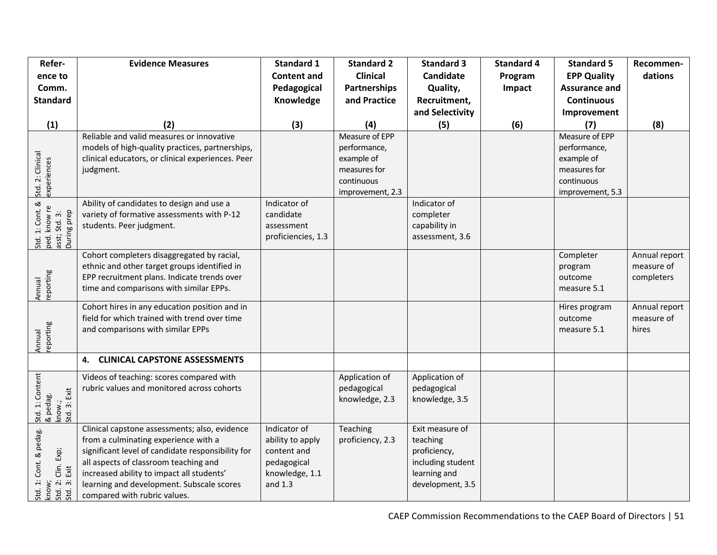| Refer-                                                                | <b>Evidence Measures</b>                                                                                                                                                                                                                                                                                      | <b>Standard 1</b>                                                                           | <b>Standard 2</b>                                                                              | <b>Standard 3</b>                                                                                    | <b>Standard 4</b> | <b>Standard 5</b>                                                                              | Recommen-                                 |
|-----------------------------------------------------------------------|---------------------------------------------------------------------------------------------------------------------------------------------------------------------------------------------------------------------------------------------------------------------------------------------------------------|---------------------------------------------------------------------------------------------|------------------------------------------------------------------------------------------------|------------------------------------------------------------------------------------------------------|-------------------|------------------------------------------------------------------------------------------------|-------------------------------------------|
| ence to                                                               |                                                                                                                                                                                                                                                                                                               | <b>Content and</b>                                                                          | <b>Clinical</b>                                                                                | Candidate                                                                                            | Program           | <b>EPP Quality</b>                                                                             | dations                                   |
| Comm.                                                                 |                                                                                                                                                                                                                                                                                                               | Pedagogical                                                                                 | <b>Partnerships</b>                                                                            | Quality,                                                                                             | Impact            | <b>Assurance and</b>                                                                           |                                           |
| <b>Standard</b>                                                       |                                                                                                                                                                                                                                                                                                               | Knowledge                                                                                   | and Practice                                                                                   | Recruitment,                                                                                         |                   | <b>Continuous</b>                                                                              |                                           |
|                                                                       |                                                                                                                                                                                                                                                                                                               |                                                                                             |                                                                                                | and Selectivity                                                                                      |                   | Improvement                                                                                    |                                           |
| (1)                                                                   | (2)                                                                                                                                                                                                                                                                                                           | (3)                                                                                         | (4)                                                                                            | (5)                                                                                                  | (6)               | (7)                                                                                            | (8)                                       |
| Std. 2: Clinical<br>experiences                                       | Reliable and valid measures or innovative<br>models of high-quality practices, partnerships,<br>clinical educators, or clinical experiences. Peer<br>judgment.                                                                                                                                                |                                                                                             | Measure of EPP<br>performance,<br>example of<br>measures for<br>continuous<br>improvement, 2.3 |                                                                                                      |                   | Measure of EPP<br>performance,<br>example of<br>measures for<br>continuous<br>improvement, 5.3 |                                           |
| Std. 1: Cont. &<br>ped. know re<br>asst; Std. 3:<br>During prep       | Ability of candidates to design and use a<br>variety of formative assessments with P-12<br>students. Peer judgment.                                                                                                                                                                                           | Indicator of<br>candidate<br>assessment<br>proficiencies, 1.3                               |                                                                                                | Indicator of<br>completer<br>capability in<br>assessment, 3.6                                        |                   |                                                                                                |                                           |
| reporting<br>Annual                                                   | Cohort completers disaggregated by racial,<br>ethnic and other target groups identified in<br>EPP recruitment plans. Indicate trends over<br>time and comparisons with similar EPPs.                                                                                                                          |                                                                                             |                                                                                                |                                                                                                      |                   | Completer<br>program<br>outcome<br>measure 5.1                                                 | Annual report<br>measure of<br>completers |
| Annual<br>reporting                                                   | Cohort hires in any education position and in<br>field for which trained with trend over time<br>and comparisons with similar EPPs                                                                                                                                                                            |                                                                                             |                                                                                                |                                                                                                      |                   | Hires program<br>outcome<br>measure 5.1                                                        | Annual report<br>measure of<br>hires      |
|                                                                       | <b>CLINICAL CAPSTONE ASSESSMENTS</b><br>4.                                                                                                                                                                                                                                                                    |                                                                                             |                                                                                                |                                                                                                      |                   |                                                                                                |                                           |
| Std. 1: Content<br>& pedag.<br>know.;<br>Std. 3: Exit                 | Videos of teaching: scores compared with<br>rubric values and monitored across cohorts                                                                                                                                                                                                                        |                                                                                             | Application of<br>pedagogical<br>knowledge, 2.3                                                | Application of<br>pedagogical<br>knowledge, 3.5                                                      |                   |                                                                                                |                                           |
| Std. 1: Cont. & pedag.<br>know;<br>Std. 2: Clin. Exp;<br>Std. 3: Exit | Clinical capstone assessments; also, evidence<br>from a culminating experience with a<br>significant level of candidate responsibility for<br>all aspects of classroom teaching and<br>increased ability to impact all students'<br>learning and development. Subscale scores<br>compared with rubric values. | Indicator of<br>ability to apply<br>content and<br>pedagogical<br>knowledge, 1.1<br>and 1.3 | Teaching<br>proficiency, 2.3                                                                   | Exit measure of<br>teaching<br>proficiency,<br>including student<br>learning and<br>development, 3.5 |                   |                                                                                                |                                           |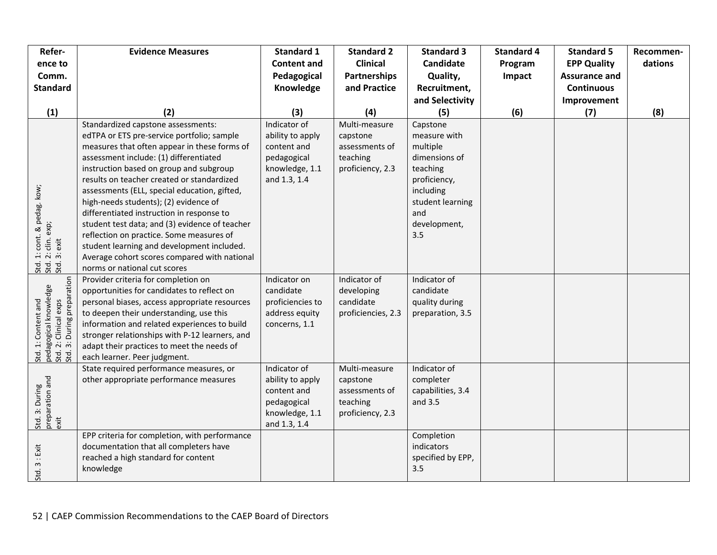| Refer-                                                                                              | <b>Evidence Measures</b>                                                                                                                                                                                                                                                                                                                                                                                                                                                                                                                                                                                                              | <b>Standard 1</b>                                                                                | <b>Standard 2</b>                                                           | <b>Standard 3</b>                                                                                                                                | <b>Standard 4</b> | <b>Standard 5</b>    | Recommen- |
|-----------------------------------------------------------------------------------------------------|---------------------------------------------------------------------------------------------------------------------------------------------------------------------------------------------------------------------------------------------------------------------------------------------------------------------------------------------------------------------------------------------------------------------------------------------------------------------------------------------------------------------------------------------------------------------------------------------------------------------------------------|--------------------------------------------------------------------------------------------------|-----------------------------------------------------------------------------|--------------------------------------------------------------------------------------------------------------------------------------------------|-------------------|----------------------|-----------|
| ence to                                                                                             |                                                                                                                                                                                                                                                                                                                                                                                                                                                                                                                                                                                                                                       | <b>Content and</b>                                                                               | <b>Clinical</b>                                                             | <b>Candidate</b>                                                                                                                                 | Program           | <b>EPP Quality</b>   | dations   |
| Comm.                                                                                               |                                                                                                                                                                                                                                                                                                                                                                                                                                                                                                                                                                                                                                       | Pedagogical                                                                                      | Partnerships                                                                | Quality,                                                                                                                                         | Impact            | <b>Assurance and</b> |           |
| <b>Standard</b>                                                                                     |                                                                                                                                                                                                                                                                                                                                                                                                                                                                                                                                                                                                                                       | Knowledge                                                                                        | and Practice                                                                | Recruitment,                                                                                                                                     |                   | <b>Continuous</b>    |           |
|                                                                                                     |                                                                                                                                                                                                                                                                                                                                                                                                                                                                                                                                                                                                                                       |                                                                                                  |                                                                             | and Selectivity                                                                                                                                  |                   | Improvement          |           |
| (1)                                                                                                 | (2)                                                                                                                                                                                                                                                                                                                                                                                                                                                                                                                                                                                                                                   | (3)                                                                                              | (4)                                                                         | (5)                                                                                                                                              | (6)               | (7)                  | (8)       |
| i. 1: cont. & pedag. kow;<br>i. 2: clin. exp;<br>i. 3: exit<br><u>ti ti ti</u><br>555               | Standardized capstone assessments:<br>edTPA or ETS pre-service portfolio; sample<br>measures that often appear in these forms of<br>assessment include: (1) differentiated<br>instruction based on group and subgroup<br>results on teacher created or standardized<br>assessments (ELL, special education, gifted,<br>high-needs students); (2) evidence of<br>differentiated instruction in response to<br>student test data; and (3) evidence of teacher<br>reflection on practice. Some measures of<br>student learning and development included.<br>Average cohort scores compared with national<br>norms or national cut scores | Indicator of<br>ability to apply<br>content and<br>pedagogical<br>knowledge, 1.1<br>and 1.3, 1.4 | Multi-measure<br>capstone<br>assessments of<br>teaching<br>proficiency, 2.3 | Capstone<br>measure with<br>multiple<br>dimensions of<br>teaching<br>proficiency,<br>including<br>student learning<br>and<br>development,<br>3.5 |                   |                      |           |
| pedagogical knowledge<br>Std. 2: Clinical exps<br>Std. 3: During preparation<br>Std. 1: Content and | Provider criteria for completion on<br>opportunities for candidates to reflect on<br>personal biases, access appropriate resources<br>to deepen their understanding, use this<br>information and related experiences to build<br>stronger relationships with P-12 learners, and<br>adapt their practices to meet the needs of<br>each learner. Peer judgment.                                                                                                                                                                                                                                                                         | Indicator on<br>candidate<br>proficiencies to<br>address equity<br>concerns, 1.1                 | Indicator of<br>developing<br>candidate<br>proficiencies, 2.3               | Indicator of<br>candidate<br>quality during<br>preparation, 3.5                                                                                  |                   |                      |           |
| Std. 3: During<br>preparation and<br>exit                                                           | State required performance measures, or<br>other appropriate performance measures                                                                                                                                                                                                                                                                                                                                                                                                                                                                                                                                                     | Indicator of<br>ability to apply<br>content and<br>pedagogical<br>knowledge, 1.1<br>and 1.3, 1.4 | Multi-measure<br>capstone<br>assessments of<br>teaching<br>proficiency, 2.3 | Indicator of<br>completer<br>capabilities, 3.4<br>and 3.5                                                                                        |                   |                      |           |
| Std. 3 : Exit                                                                                       | EPP criteria for completion, with performance<br>documentation that all completers have<br>reached a high standard for content<br>knowledge                                                                                                                                                                                                                                                                                                                                                                                                                                                                                           |                                                                                                  |                                                                             | Completion<br>indicators<br>specified by EPP,<br>3.5                                                                                             |                   |                      |           |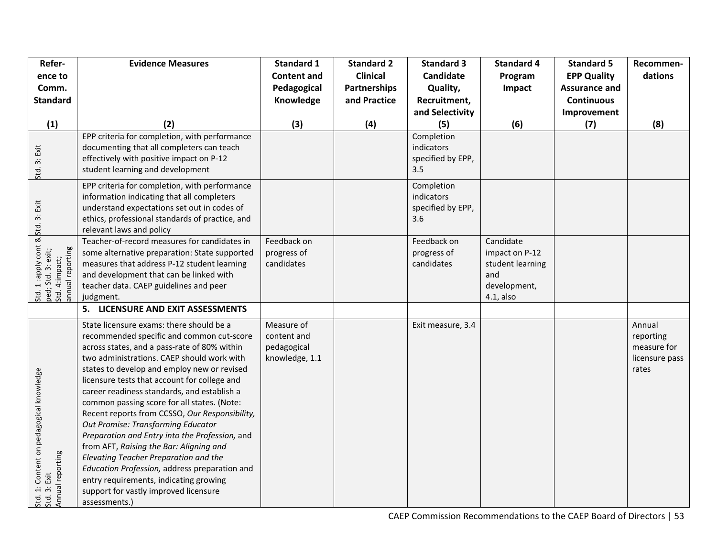| Refer-                                                                                                     | <b>Evidence Measures</b>                                                                                                                                                                                                                                                                                                                                                                                                                                                                                                                                                                                                                                                                                                                                            | <b>Standard 1</b>                                          | <b>Standard 2</b>   | <b>Standard 3</b>                                    | <b>Standard 4</b>                                                                      | <b>Standard 5</b>    | Recommen-                                                     |
|------------------------------------------------------------------------------------------------------------|---------------------------------------------------------------------------------------------------------------------------------------------------------------------------------------------------------------------------------------------------------------------------------------------------------------------------------------------------------------------------------------------------------------------------------------------------------------------------------------------------------------------------------------------------------------------------------------------------------------------------------------------------------------------------------------------------------------------------------------------------------------------|------------------------------------------------------------|---------------------|------------------------------------------------------|----------------------------------------------------------------------------------------|----------------------|---------------------------------------------------------------|
| ence to                                                                                                    |                                                                                                                                                                                                                                                                                                                                                                                                                                                                                                                                                                                                                                                                                                                                                                     | <b>Content and</b>                                         | <b>Clinical</b>     | Candidate                                            | Program                                                                                | <b>EPP Quality</b>   | dations                                                       |
| Comm.                                                                                                      |                                                                                                                                                                                                                                                                                                                                                                                                                                                                                                                                                                                                                                                                                                                                                                     | Pedagogical                                                | <b>Partnerships</b> | Quality,                                             | Impact                                                                                 | <b>Assurance and</b> |                                                               |
| <b>Standard</b>                                                                                            |                                                                                                                                                                                                                                                                                                                                                                                                                                                                                                                                                                                                                                                                                                                                                                     | Knowledge                                                  | and Practice        | Recruitment,                                         |                                                                                        | <b>Continuous</b>    |                                                               |
|                                                                                                            |                                                                                                                                                                                                                                                                                                                                                                                                                                                                                                                                                                                                                                                                                                                                                                     |                                                            |                     | and Selectivity                                      |                                                                                        | Improvement          |                                                               |
| (1)                                                                                                        | (2)                                                                                                                                                                                                                                                                                                                                                                                                                                                                                                                                                                                                                                                                                                                                                                 | (3)                                                        | (4)                 | (5)                                                  | (6)                                                                                    | (7)                  | (8)                                                           |
| Std. 3: Exit                                                                                               | EPP criteria for completion, with performance<br>documenting that all completers can teach<br>effectively with positive impact on P-12<br>student learning and development                                                                                                                                                                                                                                                                                                                                                                                                                                                                                                                                                                                          |                                                            |                     | Completion<br>indicators<br>specified by EPP,<br>3.5 |                                                                                        |                      |                                                               |
|                                                                                                            | EPP criteria for completion, with performance<br>information indicating that all completers<br>understand expectations set out in codes of<br>ethics, professional standards of practice, and<br>relevant laws and policy                                                                                                                                                                                                                                                                                                                                                                                                                                                                                                                                           |                                                            |                     | Completion<br>indicators<br>specified by EPP,<br>3.6 |                                                                                        |                      |                                                               |
| Std. 1:apply cont & <mark>S</mark> td. 3: Exit<br>ped; Std. 3: exit;<br>Std. 4:impact;<br>annual reporting | Teacher-of-record measures for candidates in<br>some alternative preparation: State supported<br>measures that address P-12 student learning<br>and development that can be linked with<br>teacher data. CAEP guidelines and peer<br>judgment.                                                                                                                                                                                                                                                                                                                                                                                                                                                                                                                      | Feedback on<br>progress of<br>candidates                   |                     | Feedback on<br>progress of<br>candidates             | Candidate<br>impact on P-12<br>student learning<br>and<br>development,<br>$4.1$ , also |                      |                                                               |
|                                                                                                            | 5. LICENSURE AND EXIT ASSESSMENTS                                                                                                                                                                                                                                                                                                                                                                                                                                                                                                                                                                                                                                                                                                                                   |                                                            |                     |                                                      |                                                                                        |                      |                                                               |
| Std. 1: Content on pedagogical knowledge<br>Std. 3: Exit<br>Annual reporting                               | State licensure exams: there should be a<br>recommended specific and common cut-score<br>across states, and a pass-rate of 80% within<br>two administrations. CAEP should work with<br>states to develop and employ new or revised<br>licensure tests that account for college and<br>career readiness standards, and establish a<br>common passing score for all states. (Note:<br>Recent reports from CCSSO, Our Responsibility,<br>Out Promise: Transforming Educator<br>Preparation and Entry into the Profession, and<br>from AFT, Raising the Bar: Aligning and<br>Elevating Teacher Preparation and the<br>Education Profession, address preparation and<br>entry requirements, indicating growing<br>support for vastly improved licensure<br>assessments.) | Measure of<br>content and<br>pedagogical<br>knowledge, 1.1 |                     | Exit measure, 3.4                                    |                                                                                        |                      | Annual<br>reporting<br>measure for<br>licensure pass<br>rates |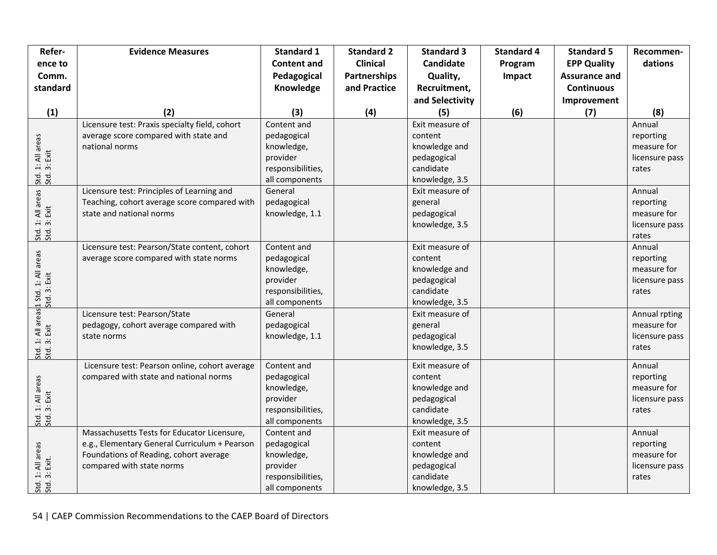| Refer-                             | <b>Evidence Measures</b>                       | <b>Standard 1</b>  | <b>Standard 2</b>   | <b>Standard 3</b> | <b>Standard 4</b> | <b>Standard 5</b>    | Recommen-      |
|------------------------------------|------------------------------------------------|--------------------|---------------------|-------------------|-------------------|----------------------|----------------|
| ence to                            |                                                | <b>Content and</b> | <b>Clinical</b>     | Candidate         | Program           | <b>EPP Quality</b>   | dations        |
| Comm.                              |                                                | Pedagogical        | <b>Partnerships</b> | Quality,          | Impact            | <b>Assurance and</b> |                |
| standard                           |                                                | Knowledge          | and Practice        | Recruitment,      |                   | <b>Continuous</b>    |                |
|                                    |                                                |                    |                     | and Selectivity   |                   | Improvement          |                |
| (1)                                | (2)                                            | (3)                | (4)                 | (5)               | (6)               | (7)                  | (8)            |
|                                    | Licensure test: Praxis specialty field, cohort | Content and        |                     | Exit measure of   |                   |                      | Annual         |
|                                    | average score compared with state and          | pedagogical        |                     | content           |                   |                      | reporting      |
|                                    | national norms                                 | knowledge,         |                     | knowledge and     |                   |                      | measure for    |
|                                    |                                                | provider           |                     | pedagogical       |                   |                      | licensure pass |
|                                    |                                                | responsibilities,  |                     | candidate         |                   |                      | rates          |
| Std. 1: All areas<br>Std. 3: Exit  |                                                | all components     |                     | knowledge, 3.5    |                   |                      |                |
|                                    | Licensure test: Principles of Learning and     | General            |                     | Exit measure of   |                   |                      | Annual         |
|                                    | Teaching, cohort average score compared with   | pedagogical        |                     | general           |                   |                      | reporting      |
|                                    | state and national norms                       | knowledge, 1.1     |                     | pedagogical       |                   |                      | measure for    |
|                                    |                                                |                    |                     | knowledge, 3.5    |                   |                      | licensure pass |
| Std. 1: All areas<br>Std. 3: Exit  |                                                |                    |                     |                   |                   |                      | rates          |
|                                    | Licensure test: Pearson/State content, cohort  | Content and        |                     | Exit measure of   |                   |                      | Annual         |
|                                    | average score compared with state norms        | pedagogical        |                     | content           |                   |                      | reporting      |
|                                    |                                                | knowledge,         |                     | knowledge and     |                   |                      | measure for    |
|                                    |                                                | provider           |                     | pedagogical       |                   |                      | licensure pass |
|                                    |                                                | responsibilities,  |                     | candidate         |                   |                      | rates          |
|                                    |                                                | all components     |                     | knowledge, 3.5    |                   |                      |                |
|                                    | Licensure test: Pearson/State                  | General            |                     | Exit measure of   |                   |                      | Annual rpting  |
|                                    | pedagogy, cohort average compared with         | pedagogical        |                     | general           |                   |                      | measure for    |
|                                    | state norms                                    | knowledge, 1.1     |                     | pedagogical       |                   |                      | licensure pass |
|                                    |                                                |                    |                     | knowledge, 3.5    |                   |                      | rates          |
|                                    | Licensure test: Pearson online, cohort average | Content and        |                     | Exit measure of   |                   |                      | Annual         |
|                                    | compared with state and national norms         | pedagogical        |                     | content           |                   |                      | reporting      |
|                                    |                                                | knowledge,         |                     | knowledge and     |                   |                      | measure for    |
|                                    |                                                | provider           |                     | pedagogical       |                   |                      | licensure pass |
| Std. 1: All areas<br>Std. 3: Exit  |                                                | responsibilities,  |                     | candidate         |                   |                      | rates          |
|                                    |                                                | all components     |                     | knowledge, 3.5    |                   |                      |                |
|                                    | Massachusetts Tests for Educator Licensure,    | Content and        |                     | Exit measure of   |                   |                      | Annual         |
| Std. 1: All areas<br>Std. 3: Exit. | e.g., Elementary General Curriculum + Pearson  | pedagogical        |                     | content           |                   |                      | reporting      |
|                                    | Foundations of Reading, cohort average         | knowledge,         |                     | knowledge and     |                   |                      | measure for    |
|                                    | compared with state norms                      | provider           |                     | pedagogical       |                   |                      | licensure pass |
|                                    |                                                | responsibilities,  |                     | candidate         |                   |                      | rates          |
|                                    |                                                | all components     |                     | knowledge, 3.5    |                   |                      |                |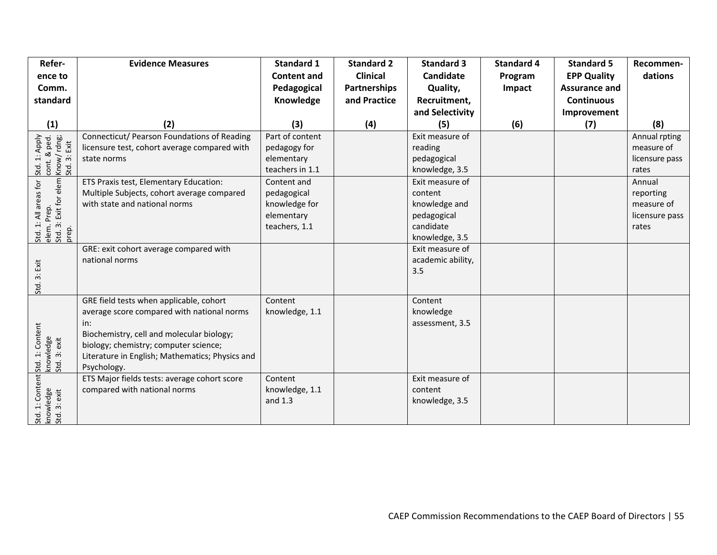| Refer-                                                       | <b>Evidence Measures</b>                        | <b>Standard 1</b>  | <b>Standard 2</b>   | <b>Standard 3</b> | <b>Standard 4</b> | <b>Standard 5</b>    | Recommen-      |
|--------------------------------------------------------------|-------------------------------------------------|--------------------|---------------------|-------------------|-------------------|----------------------|----------------|
| ence to                                                      |                                                 | <b>Content and</b> | <b>Clinical</b>     | <b>Candidate</b>  | Program           | <b>EPP Quality</b>   | dations        |
| Comm.                                                        |                                                 | Pedagogical        | <b>Partnerships</b> | Quality,          | Impact            | <b>Assurance and</b> |                |
| standard                                                     |                                                 | Knowledge          | and Practice        | Recruitment,      |                   | <b>Continuous</b>    |                |
|                                                              |                                                 |                    |                     | and Selectivity   |                   | Improvement          |                |
| (1)                                                          | (2)                                             | (3)                | (4)                 | (5)               | (6)               | (7)                  | (8)            |
| Std. 1: Apply<br>cont. & ped.<br>Know/ rdng;<br>Std. 3: Exit | Connecticut/ Pearson Foundations of Reading     | Part of content    |                     | Exit measure of   |                   |                      | Annual rpting  |
|                                                              | licensure test, cohort average compared with    | pedagogy for       |                     | reading           |                   |                      | measure of     |
|                                                              | state norms                                     | elementary         |                     | pedagogical       |                   |                      | licensure pass |
|                                                              |                                                 | teachers in 1.1    |                     | knowledge, 3.5    |                   |                      | rates          |
|                                                              | ETS Praxis test, Elementary Education:          | Content and        |                     | Exit measure of   |                   |                      | Annual         |
|                                                              | Multiple Subjects, cohort average compared      | pedagogical        |                     | content           |                   |                      | reporting      |
|                                                              | with state and national norms                   | knowledge for      |                     | knowledge and     |                   |                      | measure of     |
|                                                              |                                                 | elementary         |                     | pedagogical       |                   |                      | licensure pass |
| Std. 1: All areas for                                        |                                                 | teachers, 1.1      |                     | candidate         |                   |                      | rates          |
| elem. Prep.<br>Std. 3: Exit for elem K<br>prep.              |                                                 |                    |                     | knowledge, 3.5    |                   |                      |                |
|                                                              | GRE: exit cohort average compared with          |                    |                     | Exit measure of   |                   |                      |                |
|                                                              | national norms                                  |                    |                     | academic ability, |                   |                      |                |
|                                                              |                                                 |                    |                     | 3.5               |                   |                      |                |
| Std. 3: Exit                                                 |                                                 |                    |                     |                   |                   |                      |                |
|                                                              | GRE field tests when applicable, cohort         | Content            |                     | Content           |                   |                      |                |
|                                                              | average score compared with national norms      | knowledge, 1.1     |                     | knowledge         |                   |                      |                |
|                                                              | in:                                             |                    |                     | assessment, 3.5   |                   |                      |                |
|                                                              | Biochemistry, cell and molecular biology;       |                    |                     |                   |                   |                      |                |
|                                                              | biology; chemistry; computer science;           |                    |                     |                   |                   |                      |                |
|                                                              | Literature in English; Mathematics; Physics and |                    |                     |                   |                   |                      |                |
| : Std. 1: Content<br>  knowledge<br>  Std. 3: exit           | Psychology.                                     |                    |                     |                   |                   |                      |                |
|                                                              | ETS Major fields tests: average cohort score    | Content            |                     | Exit measure of   |                   |                      |                |
|                                                              | compared with national norms                    | knowledge, 1.1     |                     | content           |                   |                      |                |
| Std. 1: Content<br>knowledge<br>Std. 3: exit                 |                                                 | and 1.3            |                     | knowledge, 3.5    |                   |                      |                |
|                                                              |                                                 |                    |                     |                   |                   |                      |                |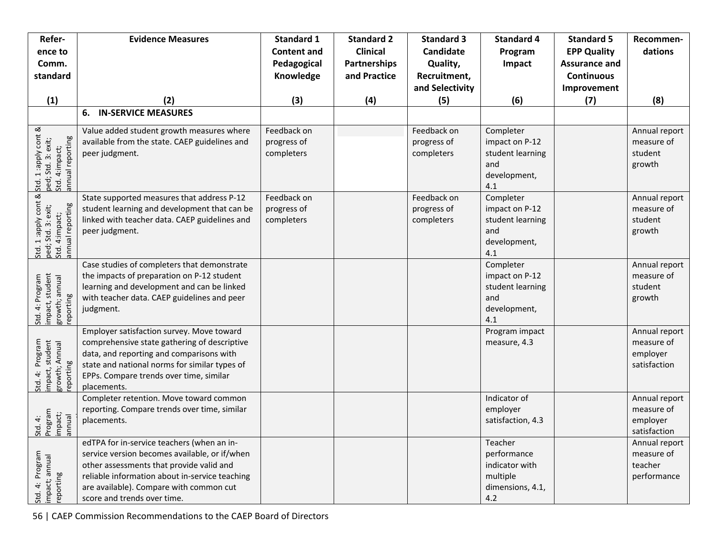| Refer-                                                                                   | <b>Evidence Measures</b>                                                                                                                                                                                                                                            | <b>Standard 1</b>                        | <b>Standard 2</b>                      | <b>Standard 3</b>                        | <b>Standard 4</b>                                                               | <b>Standard 5</b>                          | Recommen-                                               |
|------------------------------------------------------------------------------------------|---------------------------------------------------------------------------------------------------------------------------------------------------------------------------------------------------------------------------------------------------------------------|------------------------------------------|----------------------------------------|------------------------------------------|---------------------------------------------------------------------------------|--------------------------------------------|---------------------------------------------------------|
| ence to<br>Comm.                                                                         |                                                                                                                                                                                                                                                                     | <b>Content and</b><br>Pedagogical        | <b>Clinical</b><br><b>Partnerships</b> | <b>Candidate</b><br>Quality,             | Program<br>Impact                                                               | <b>EPP Quality</b><br><b>Assurance and</b> | dations                                                 |
| standard                                                                                 |                                                                                                                                                                                                                                                                     | Knowledge                                | and Practice                           | Recruitment,                             |                                                                                 | <b>Continuous</b>                          |                                                         |
|                                                                                          |                                                                                                                                                                                                                                                                     |                                          |                                        | and Selectivity                          |                                                                                 | Improvement                                |                                                         |
| (1)                                                                                      | (2)                                                                                                                                                                                                                                                                 | (3)                                      | (4)                                    | (5)                                      | (6)                                                                             | (7)                                        | (8)                                                     |
|                                                                                          | <b>IN-SERVICE MEASURES</b><br>6.                                                                                                                                                                                                                                    |                                          |                                        |                                          |                                                                                 |                                            |                                                         |
| k Std. 1 :apply cont &<br>ped; Std. 3: exit;<br>Std. 4:impact;<br>annual reporting       | Value added student growth measures where<br>available from the state. CAEP guidelines and<br>peer judgment.                                                                                                                                                        | Feedback on<br>progress of<br>completers |                                        | Feedback on<br>progress of<br>completers | Completer<br>impact on P-12<br>student learning<br>and<br>development,<br>4.1   |                                            | Annual report<br>measure of<br>student<br>growth        |
| Std. 1 :apply cont & S<br>ped; Std. 3: exit; p<br>Std. 4:impact; S<br>annual reporting p | State supported measures that address P-12<br>student learning and development that can be<br>linked with teacher data. CAEP guidelines and<br>peer judgment.                                                                                                       | Feedback on<br>progress of<br>completers |                                        | Feedback on<br>progress of<br>completers | Completer<br>impact on P-12<br>student learning<br>and<br>development,<br>4.1   |                                            | Annual report<br>measure of<br>student<br>growth        |
| impact, student<br>growth; annual<br>reporting<br>Std. 4: Program                        | Case studies of completers that demonstrate<br>the impacts of preparation on P-12 student<br>learning and development and can be linked<br>with teacher data. CAEP guidelines and peer<br>judgment.                                                                 |                                          |                                        |                                          | Completer<br>impact on P-12<br>student learning<br>and<br>development,<br>4.1   |                                            | Annual report<br>measure of<br>student<br>growth        |
| impact, student<br>growth; Annual<br>reporting<br>Std. 4: Program                        | Employer satisfaction survey. Move toward<br>comprehensive state gathering of descriptive<br>data, and reporting and comparisons with<br>state and national norms for similar types of<br>EPPs. Compare trends over time, similar<br>placements.                    |                                          |                                        |                                          | Program impact<br>measure, 4.3                                                  |                                            | Annual report<br>measure of<br>employer<br>satisfaction |
| Std. 4:<br>Program<br>impact;<br>annual                                                  | Completer retention. Move toward common<br>reporting. Compare trends over time, similar<br>placements.                                                                                                                                                              |                                          |                                        |                                          | Indicator of<br>employer<br>satisfaction, 4.3                                   |                                            | Annual report<br>measure of<br>employer<br>satisfaction |
| Std. 4: Program<br>impact; annual<br>reporting                                           | edTPA for in-service teachers (when an in-<br>service version becomes available, or if/when<br>other assessments that provide valid and<br>reliable information about in-service teaching<br>are available). Compare with common cut<br>score and trends over time. |                                          |                                        |                                          | Teacher<br>performance<br>indicator with<br>multiple<br>dimensions, 4.1,<br>4.2 |                                            | Annual report<br>measure of<br>teacher<br>performance   |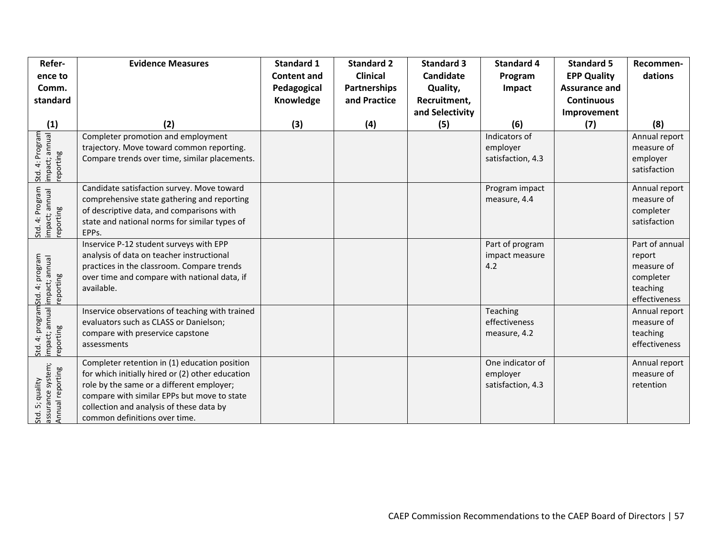| Refer-                                                           | <b>Evidence Measures</b>                                                                                                                                                                                                                                                   | <b>Standard 1</b>  | <b>Standard 2</b>   | <b>Standard 3</b> | <b>Standard 4</b>                                 | <b>Standard 5</b>    | Recommen-                                                                        |
|------------------------------------------------------------------|----------------------------------------------------------------------------------------------------------------------------------------------------------------------------------------------------------------------------------------------------------------------------|--------------------|---------------------|-------------------|---------------------------------------------------|----------------------|----------------------------------------------------------------------------------|
| ence to                                                          |                                                                                                                                                                                                                                                                            | <b>Content and</b> | <b>Clinical</b>     | <b>Candidate</b>  | Program                                           | <b>EPP Quality</b>   | dations                                                                          |
| Comm.                                                            |                                                                                                                                                                                                                                                                            | Pedagogical        | <b>Partnerships</b> | Quality,          | Impact                                            | <b>Assurance and</b> |                                                                                  |
| standard                                                         |                                                                                                                                                                                                                                                                            | Knowledge          | and Practice        | Recruitment,      |                                                   | <b>Continuous</b>    |                                                                                  |
|                                                                  |                                                                                                                                                                                                                                                                            |                    |                     | and Selectivity   |                                                   | Improvement          |                                                                                  |
| (1)                                                              | (2)                                                                                                                                                                                                                                                                        | (3)                | (4)                 | (5)               | (6)                                               | (7)                  | (8)                                                                              |
| Std. 4: Program<br>impact; annual<br>reporting                   | Completer promotion and employment<br>trajectory. Move toward common reporting.<br>Compare trends over time, similar placements.                                                                                                                                           |                    |                     |                   | Indicators of<br>employer<br>satisfaction, 4.3    |                      | Annual report<br>measure of<br>employer<br>satisfaction                          |
|                                                                  |                                                                                                                                                                                                                                                                            |                    |                     |                   |                                                   |                      |                                                                                  |
| Std. 4: Program<br>impact; annual<br>reporting                   | Candidate satisfaction survey. Move toward<br>comprehensive state gathering and reporting<br>of descriptive data, and comparisons with<br>state and national norms for similar types of<br>EPPs.                                                                           |                    |                     |                   | Program impact<br>measure, 4.4                    |                      | Annual report<br>measure of<br>completer<br>satisfaction                         |
| 4: program<br>impact; annual<br>reporting<br>Std.                | Inservice P-12 student surveys with EPP<br>analysis of data on teacher instructional<br>practices in the classroom. Compare trends<br>over time and compare with national data, if<br>available.                                                                           |                    |                     |                   | Part of program<br>impact measure<br>4.2          |                      | Part of annual<br>report<br>measure of<br>completer<br>teaching<br>effectiveness |
| 4: program<br>impact; annual <mark>i</mark><br>reporting<br>Std. | Inservice observations of teaching with trained<br>evaluators such as CLASS or Danielson;<br>compare with preservice capstone<br>assessments                                                                                                                               |                    |                     |                   | Teaching<br>effectiveness<br>measure, 4.2         |                      | Annual report<br>measure of<br>teaching<br>effectiveness                         |
| assurance system;<br>Annual reporting<br>5; quality<br>Std.      | Completer retention in (1) education position<br>for which initially hired or (2) other education<br>role by the same or a different employer;<br>compare with similar EPPs but move to state<br>collection and analysis of these data by<br>common definitions over time. |                    |                     |                   | One indicator of<br>employer<br>satisfaction, 4.3 |                      | Annual report<br>measure of<br>retention                                         |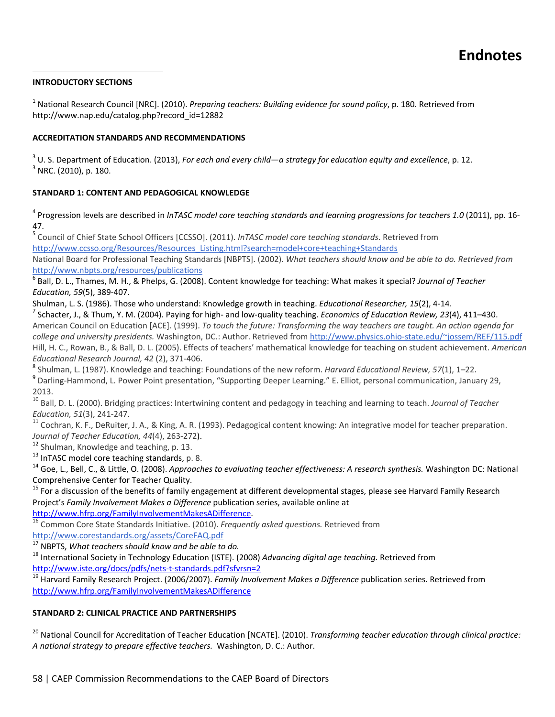#### **INTRODUCTORY SECTIONS**

<sup>1</sup> National Research Council [NRC]. (2010). *Preparing teachers: Building evidence for sound policy*, p. 180. Retrieved from http://www.nap.edu/catalog.php?record\_id=12882

#### **ACCREDITATION STANDARDS AND RECOMMENDATIONS**

<sup>3</sup> U. S. Department of Education. (2013), *For each and every child—a strategy for education equity and excellence*, p. 12. <sup>3</sup> NRC. (2010), p. 180.

#### **STANDARD 1: CONTENT AND PEDAGOGICAL KNOWLEDGE**

<sup>4</sup> Progression levels are described in *InTASC model core teaching standards and learning progressions for teachers 1.0* (2011), pp. 16‐ 47.

<sup>5</sup> Council of Chief State School Officers [CCSSO]. (2011). *InTASC model core teaching standards*. Retrieved from http://www.ccsso.org/Resources/Resources\_Listing.html?search=model+core+teaching+Standards

National Board for Professional Teaching Standards [NBPTS]. (2002). *What teachers should know and be able to do. Retrieved from* http://www.nbpts.org/resources/publications

<sup>6</sup> Ball, D. L., Thames, M. H., & Phelps, G. (2008). Content knowledge for teaching: What makes it special? *Journal of Teacher Education, 59*(5), 389‐407.

Shulman, L. S. (1986). Those who understand: Knowledge growth in teaching. *Educational Researcher, 15*(2), 4-14.<br><sup>7</sup> Schacter, J., & Thum, Y. M. (2004). Paying for high- and low-quality teaching. *Economics of Education R* 

American Council on Education [ACE]. (1999). To touch the future: Transforming the way teachers are taught. An action agenda for *college and university presidents.* Washington, DC.: Author. Retrieved from http://www.physics.ohio‐state.edu/~jossem/REF/115.pdf Hill, H. C., Rowan, B., & Ball, D. L. (2005). Effects of teachers' mathematical knowledge for teaching on student achievement. *American*

Educational Research Journal, 42 (2), 371-406.<br><sup>8</sup> Shulman, L. (1987). Knowledge and teaching: Foundations of the new reform. *Harvard Educational Review, 57*(1), 1–22.<br><sup>9</sup> Darling-Hammond, L. Power Point presentation, "Su 2013.

<sup>10</sup> Ball, D. L. (2000). Bridging practices: Intertwining content and pedagogy in teaching and learning to teach. *Journal of Teacher*

*Education, 51*(3), 241-247.<br><sup>11</sup> Cochran, K. F., DeRuiter, J. A., & King, A. R. (1993). Pedagogical content knowing: An integrative model for teacher preparation. Journal of Teacher Education, 44(4), 263-272).<br><sup>12</sup> Shulman, Knowledge and teaching, p. 13.<br><sup>13</sup> InTASC model core teaching standards, p. 8.<br><sup>14</sup> Goe, L., Bell, C., & Little, O. (2008). Approaches to evaluating teacher eff

Comprehensive Center for Teacher Quality.<br><sup>15</sup> For a discussion of the benefits of family engagement at different developmental stages, please see Harvard Family Research

Project's *Family Involvement Makes a Difference* publication series, available online at

16 Common Core State Standards Initiative. (2010). *Frequently asked questions.* Retrieved from http://www.corestandards.org/assets/CoreFAQ.pdf<br><sup>17</sup> NBPTS, What teachers should know and be able to do.

<sup>18</sup> International Society in Technology Education (ISTE). (2008) Advancing digital age teaching. Retrieved from<br>http://www.iste.org/docs/pdfs/nets-t-standards.pdf?sfvrsn=2

<sup>19</sup> Harvard Family Research Project. (2006/2007). *Family Involvement Makes a Difference* publication series. Retrieved from http://www.hfrp.org/FamilyInvolvementMakesADifference

#### **STANDARD 2: CLINICAL PRACTICE AND PARTNERSHIPS**

<sup>20</sup> National Council for Accreditation of Teacher Education [NCATE]. (2010). *Transforming teacher education through clinical practice: A national strategy to prepare effective teachers.* Washington, D. C.: Author.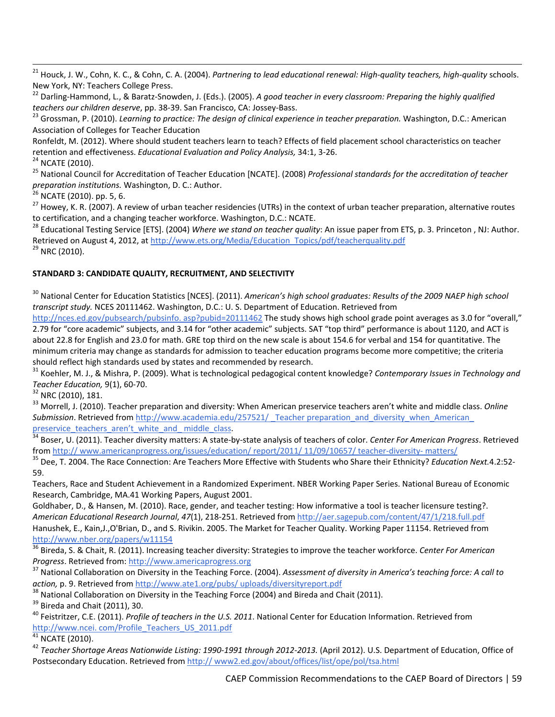<sup>21</sup> Houck, J. W., Cohn, K. C., & Cohn, C. A. (2004). *Partnering to lead educational renewal: High‐quality teachers, high‐quality* schools.

New York, NY: Teachers College Press.<br><sup>22</sup> Darling-Hammond, L., & Baratz-Snowden, J. (Eds.). (2005). A good teacher in every classroom: Preparing the highly qualified<br>teachers our children deserve, pp. 38-39. San Francisco

<sup>23</sup> Grossman, P. (2010). Learning to practice: The design of clinical experience in teacher preparation. Washington, D.C.: American Association of Colleges for Teacher Education

Ronfeldt, M. (2012). Where should student teachers learn to teach? Effects of field placement school characteristics on teacher

retention and effectiveness. *Educational Evaluation and Policy Analysis*, 34:1, 3-26.<br><sup>24</sup> NCATE (2010).<br><sup>25</sup> National Council for Accreditation of Teacher Education [NCATE]. (2008) *Professional standards for the accredi* 

<sup>26</sup> NCATE (2010). pp. 5, 6.<br><sup>27</sup> Howey, K. R. (2007). A review of urban teacher residencies (UTRs) in the context of urban teacher preparation, alternative routes<br>to certification, and a changing teacher workforce. Washin

<sup>28</sup> Educational Testing Service [ETS]. (2004) Where we stand on teacher quality: An issue paper from ETS, p. 3. Princeton, NJ: Author. Retrieved on August 4, 2012, at http://www.ets.org/Media/Education\_Topics/pdf/teacherquality.pdf <sup>29</sup> NRC (2010).

## **STANDARD 3: CANDIDATE QUALITY, RECRUITMENT, AND SELECTIVITY**

<sup>30</sup> National Center for Education Statistics [NCES]. (2011). *American's high school graduates: Results of the 2009 NAEP high school transcript study.* NCES 20111462. Washington, D.C.: U. S. Department of Education. Retrieved from

http://nces.ed.gov/pubsearch/pubsinfo. asp?pubid=20111462 The study shows high school grade point averages as 3.0 for "overall," 2.79 for "core academic" subjects, and 3.14 for "other academic" subjects. SAT "top third" performance is about 1120, and ACT is about 22.8 for English and 23.0 for math. GRE top third on the new scale is about 154.6 for verbal and 154 for quantitative. The minimum criteria may change as standards for admission to teacher education programs become more competitive; the criteria

should reflect high standards used by states and recommended by research.<br><sup>31</sup> Koehler, M. J., & Mishra, P. (2009). What is technological pedagogical content knowledge? Contemporary Issues in Technology and *Teacher Education,* 9(1), 60-70.<br><sup>32</sup> NRC (2010), 181.<br><sup>33</sup> Morrell, J. (2010). Teacher preparation and diversity: When American preservice teachers aren't white and middle class. *Online* 

Submission. Retrieved from http://www.academia.edu/257521/ Teacher preparation and diversity when American preservice teachers aren't white and middle class.

34 Boser, U. (2011). Teacher diversity matters: A state-by-state analysis of teachers of color. *Center For American Progress*. Retrieved<br>from http://www.americanprogress.org/issues/education/report/2011/11/09/10657/teache

<sup>35</sup> Dee, T. 2004. The Race Connection: Are Teachers More Effective with Students who Share their Ethnicity? Education Next.4.2:52-59.

Teachers, Race and Student Achievement in a Randomized Experiment. NBER Working Paper Series. National Bureau of Economic Research, Cambridge, MA.41 Working Papers, August 2001.

Goldhaber, D., & Hansen, M. (2010). Race, gender, and teacher testing: How informative a tool is teacher licensure testing?. *American Educational Research Journal*, *47*(1), 218‐251. Retrieved from http://aer.sagepub.com/content/47/1/218.full.pdf Hanushek, E., Kain,J.,O'Brian, D., and S. Rivikin. 2005. The Market for Teacher Quality. Working Paper 11154. Retrieved from http://www.nber.org/papers/w11154

<sup>36</sup> Bireda, S. & Chait, R. (2011). Increasing teacher diversity: Strategies to improve the teacher workforce. *Center For American* Progress. Retrieved from: http://www.americaprogress.org<br><sup>37</sup> National Collaboration on Diversity in the Teaching Force. (2004). Assessment of diversity in America's teaching force: A call to

action, p. 9. Retrieved from <u>http://www.ate1.org/pubs/ uploads/diversityreport.pdf</u><br><sup>38</sup> National Collaboration on Diversity in the Teaching Force (2004) and Bireda and Chait (2011).<br><sup>39</sup> Bireda and Chait (2011), 30.<br><sup>40</sup>

http://www.ncei.com/Profile\_Teachers\_US\_2011.pdf 41 NCATE (2010).

<sup>42</sup> *Teacher Shortage Areas Nationwide Listing: 1990‐1991 through 2012‐2013.* (April 2012). U.S. Department of Education, Office of Postsecondary Education. Retrieved from http://www2.ed.gov/about/offices/list/ope/pol/tsa.html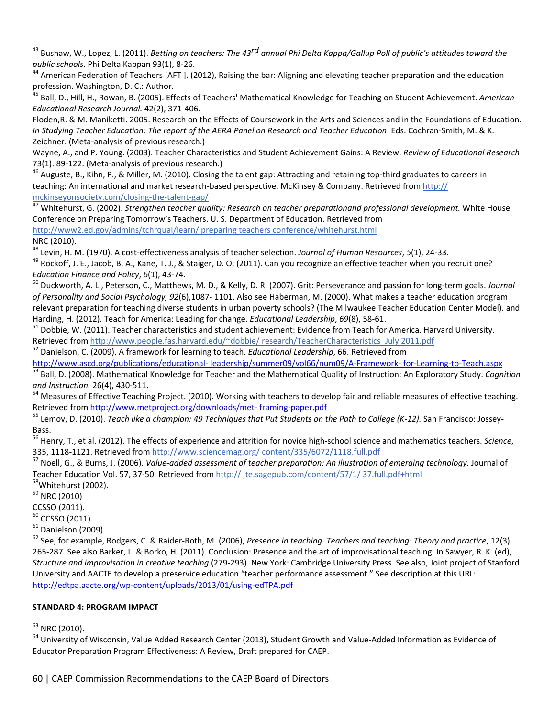<sup>43</sup> Bushaw, W., Lopez, L. (2011). *Betting on teachers: The 43<sup>rd</sup> annual Phi Delta Kappa/Gallup Poll of public's attitudes toward the<br>public schools. Phi Delta Kappan 93(1), 8-26.* 

<u> Andrewski politika (za obrazu za obrazu za obrazu za obrazu za obrazu za obrazu za obrazu za obrazu za obrazu</u>

American Federation of Teachers [AFT ]. (2012), Raising the bar: Aligning and elevating teacher preparation and the education profession. Washington, D. C.: Author.

<sup>45</sup> Ball, D., Hill, H., Rowan, B. (2005). Effects of Teachers' Mathematical Knowledge for Teaching on Student Achievement. *American Educational Research Journal.* 42(2), 371‐406.

Floden,R. & M. Maniketti. 2005. Research on the Effects of Coursework in the Arts and Sciences and in the Foundations of Education. In Studying Teacher Education: The report of the AERA Panel on Research and Teacher Education. Eds. Cochran-Smith, M. & K. Zeichner. (Meta‐analysis of previous research.)

Wayne, A., and P. Young. (2003). Teacher Characteristics and Student Achievement Gains: A Review. *Review of Educational Research* 73(1). 89-122. (Meta-analysis of previous research.)<br><sup>46</sup> Auguste, B., Kihn, P., & Miller, M. (2010). Closing the talent gap: Attracting and retaining top-third graduates to careers in

teaching: An international and market research-based perspective. McKinsey & Company. Retrieved from http://<br>mckinseyonsociety.com/closing-the-talent-gap/

<sup>47</sup> Whitehurst, G. (2002). Strengthen teacher quality: Research on teacher preparationand professional development. White House Conference on Preparing Tomorrow's Teachers. U. S. Department of Education. Retrieved from http://www2.ed.gov/admins/tchrqual/learn/ preparing teachers conference/whitehurst.html NRC (2010).

<sup>48</sup> Levin, H. M. (1970). A cost-effectiveness analysis of teacher selection. Journal of Human Resources, 5(1), 24-33.<br><sup>49</sup> Rockoff, J. E., Jacob, B. A., Kane, T. J., & Staiger, D. O. (2011). Can you recognize an effective *Education Finance and Policy, 6*(1), 43-74.<br><sup>50</sup> Duckworth, A. L., Peterson, C., Matthews, M. D., & Kelly, D. R. (2007). Grit: Perseverance and passion for long-term goals. *Journal* 

*of Personality and Social Psychology, 92*(6),1087‐ 1101. Also see Haberman, M. (2000). What makes a teacher education program relevant preparation for teaching diverse students in urban poverty schools? (The Milwaukee Teacher Education Center Model). and Harding, H. (2012). Teach for America: Leading for change. *Educational Leadership*, 69(8), 58-61.<br><sup>51</sup> Dobbie, W. (2011). Teacher characteristics and student achievement: Evidence from Teach for America. Harvard Universit

Retrieved from http://www.people.fas.harvard.edu/~dobbie/ research/TeacherCharacteristics\_July 2011.pdf <sup>52</sup> Danielson, C. (2009). A framework for learning to teach. *Educational Leadership*, 66. Retrieved from

http://www.ascd.org/publications/educational-leadership/summer09/vol66/num09/A-Framework- for-Learning-to-Teach.aspx<br><sup>53</sup> Ball, D. (2008). Mathematical Knowledge for Teacher and the Mathematical Quality of Instruction: An and *Instruction.* 26(4), 430-511.<br><sup>54</sup> Measures of Effective Teaching Project. (2010). Working with teachers to develop fair and reliable measures of effective teaching.

Retrieved from http://www.metproject.org/downloads/met-framing-paper.pdf

<sup>55</sup> Lemov, D. (2010). Teach like a champion: 49 Techniques that Put Students on the Path to College (K-12). San Francisco: Jossey-Bass.

<sup>56</sup> Henry, T., et al. (2012). The effects of experience and attrition for novice high‐school science and mathematics teachers. *Science*,

335, 1118-1121. Retrieved from http://www.sciencemag.org/content/335/6072/1118.full.pdf<br><sup>57</sup> Noell, G., & Burns, J. (2006). *Value-added assessment of teacher preparation: An illustration of emerging technology.* Journal o Teacher Education Vol. 57, 37-50. Retrieved from http:// jte.sagepub.com/content/57/1/ 37.full.pdf+html <sup>58</sup>Whitehurst (2002).

 $59$  NRC (2010)

CCSSO (2011).<br><sup>60</sup> CCSSO (2011).<br><sup>61</sup> Danielson (2009).

<sup>62</sup> See, for example, Rodgers, C. & Raider‐Roth, M. (2006), *Presence in teaching. Teachers and teaching: Theory and practice*, 12(3) 265‐287. See also Barker, L. & Borko, H. (2011). Conclusion: Presence and the art of improvisational teaching. In Sawyer, R. K. (ed), *Structure and improvisation in creative teaching* (279‐293). New York: Cambridge University Press. See also, Joint project of Stanford University and AACTE to develop a preservice education "teacher performance assessment." See description at this URL: http://edtpa.aacte.org/wp‐content/uploads/2013/01/using‐edTPA.pdf

## **STANDARD 4: PROGRAM IMPACT**

 $^{63}$  NRC (2010).<br> $^{64}$  University of Wisconsin, Value Added Research Center (2013), Student Growth and Value-Added Information as Evidence of Educator Preparation Program Effectiveness: A Review, Draft prepared for CAEP.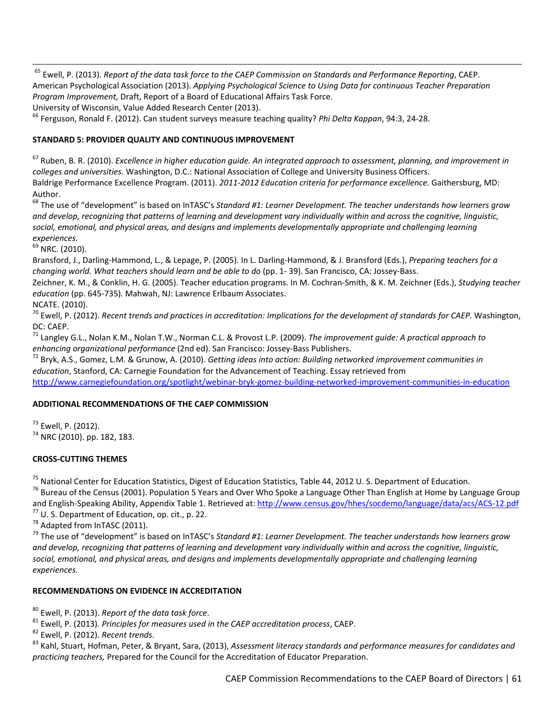<sup>65</sup> Ewell, P. (2013). *Report of the data task force to the CAEP Commission on Standards and Performance Reporting*, CAEP. American Psychological Association (2013). *Applying Psychological Science to Using Data for continuous Teacher Preparation Program Improvement,* Draft, Report of a Board of Educational Affairs Task Force.

University of Wisconsin, Value Added Research Center (2013).<br><sup>66</sup> Ferguson, Ronald F. (2012). Can student surveys measure teaching quality? *Phi Delta Kappan*, 94:3, 24-28.

## **STANDARD 5: PROVIDER QUALITY AND CONTINUOUS IMPROVEMENT**

 $67$  Ruben, B. R. (2010). Excellence in higher education guide. An integrated approach to assessment, planning, and improvement in *colleges and universities.* Washington, D.C.: National Association of College and University Business Officers. Baldrige Performance Excellence Program. (2011). *2011‐2012 Education criteria for performance excellence.* Gaithersburg, MD: Author.

<sup>68</sup> The use of "development" is based on InTASC's *Standard #1: Learner Development. The teacher understands how learners grow* and develop, recognizing that patterns of learning and development vary individually within and across the cognitive, linguistic, *social, emotional, and physical areas, and designs and implements developmentally appropriate and challenging learning experiences.*

<sup>69</sup> NRC. (2010).

Bransford, J., Darling‐Hammond, L., & Lepage, P. (2005). In L. Darling‐Hammond, & J. Bransford (Eds.), *Preparing teachers for a changing world. What teachers should learn and be able to do* (pp. 1‐ 39). San Francisco, CA: Jossey‐Bass.

Zeichner, K. M., & Conklin, H. G. (2005). Teacher education programs. In M. Cochran‐Smith, & K. M. Zeichner (Eds.), *Studying teacher education* (pp. 645‐735)*.* Mahwah, NJ: Lawrence Erlbaum Associates.

NCATE. (2010).<br><sup>70</sup> Ewell, P. (2012). Recent trends and practices in accreditation: Implications for the development of standards for CAEP. Washington,

DC: CAEP. <sup>71</sup> Langley G.L., Nolan K.M., Nolan T.W., Norman C.L. & Provost L.P. (2009). *The improvement guide: <sup>A</sup> practical approach to*

<sup>72</sup> Bryk, A.S., Gomez, L.M. & Grunow, A. (2010). Getting ideas into action: Building networked improvement communities in *education*, Stanford, CA: Carnegie Foundation for the Advancement of Teaching. Essay retrieved from

http://www.carnegiefoundation.org/spotlight/webinar‐bryk‐gomez‐building‐networked‐improvement‐communities‐in‐education

## **ADDITIONAL RECOMMENDATIONS OF THE CAEP COMMISSION**

 $73$  Ewell, P. (2012).<br> $74$  NRC (2010). pp. 182, 183.

## **CROSS‐CUTTING THEMES**

<sup>75</sup> National Center for Education Statistics, Digest of Education Statistics, Table 44, 2012 U. S. Department of Education.<br><sup>76</sup> Bureau of the Census (2001). Population 5 Years and Over Who Spoke a Language Other Than Eng and English-Speaking Ability, Appendix Table 1. Retrieved at: http://www.census.gov/hhes/socdemo/language/data/acs/ACS-12.pdf<br><sup>77</sup> U. S. Department of Education, op. cit., p. 22.<br><sup>78</sup> Adapted from InTASC (2011).<br><sup>79</sup> The u

and develop, recognizing that patterns of learning and development vary individually within and across the cognitive, linguistic, *social, emotional, and physical areas, and designs and implements developmentally appropriate and challenging learning experiences.*

## **RECOMMENDATIONS ON EVIDENCE IN ACCREDITATION**

<sup>80</sup> Ewell, P. (2013). *Report of the data task force.*<br><sup>81</sup> Ewell, P. (2013). *Principles for measures used in the CAEP accreditation process, CAEP.*<br><sup>82</sup> Ewell, P. (2012). *Recent trends.*<br><sup>83</sup> Kahl. Stuart, Hofman, Pete *practicing teachers,* Prepared for the Council for the Accreditation of Educator Preparation.